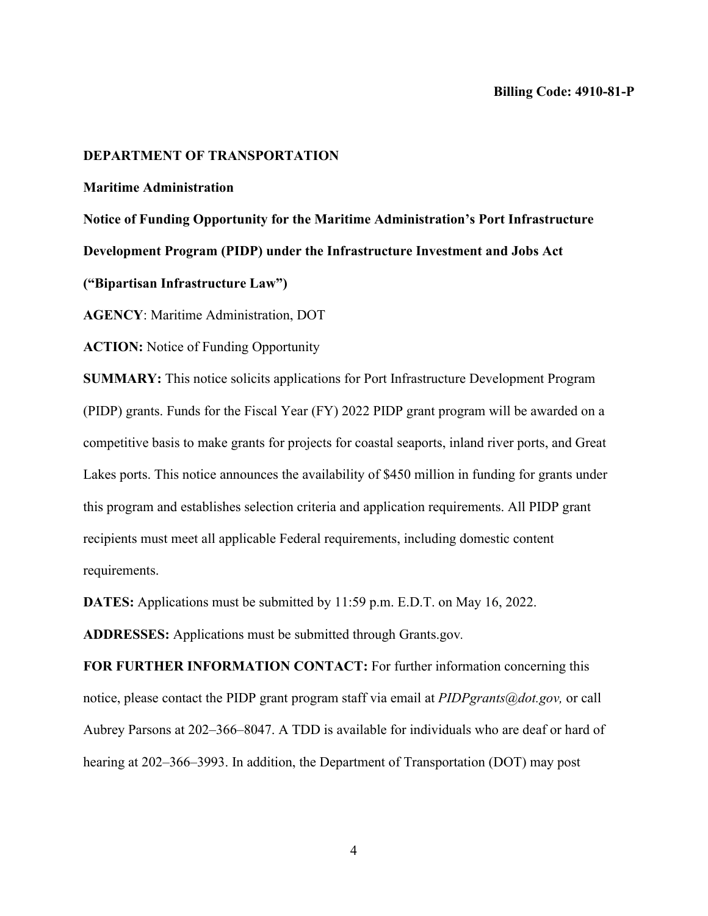## **DEPARTMENT OF TRANSPORTATION**

#### **Maritime Administration**

**Notice of Funding Opportunity for the Maritime Administration's Port Infrastructure Development Program (PIDP) under the Infrastructure Investment and Jobs Act** 

**("Bipartisan Infrastructure Law")** 

**AGENCY**: Maritime Administration, DOT

**ACTION:** Notice of Funding Opportunity

**SUMMARY:** This notice solicits applications for Port Infrastructure Development Program (PIDP) grants. Funds for the Fiscal Year (FY) 2022 PIDP grant program will be awarded on a competitive basis to make grants for projects for coastal seaports, inland river ports, and Great Lakes ports. This notice announces the availability of \$450 million in funding for grants under this program and establishes selection criteria and application requirements. All PIDP grant recipients must meet all applicable Federal requirements, including domestic content requirements.

**DATES:** Applications must be submitted by 11:59 p.m. E.D.T. on May 16, 2022.

**ADDRESSES:** Applications must be submitted through Grants.gov*.* 

**FOR FURTHER INFORMATION CONTACT:** For further information concerning this notice, please contact the PIDP grant program staff via email at *PIDPgrants@dot.gov,* or call Aubrey Parsons at 202–366–8047. A TDD is available for individuals who are deaf or hard of hearing at 202–366–3993. In addition, the Department of Transportation (DOT) may post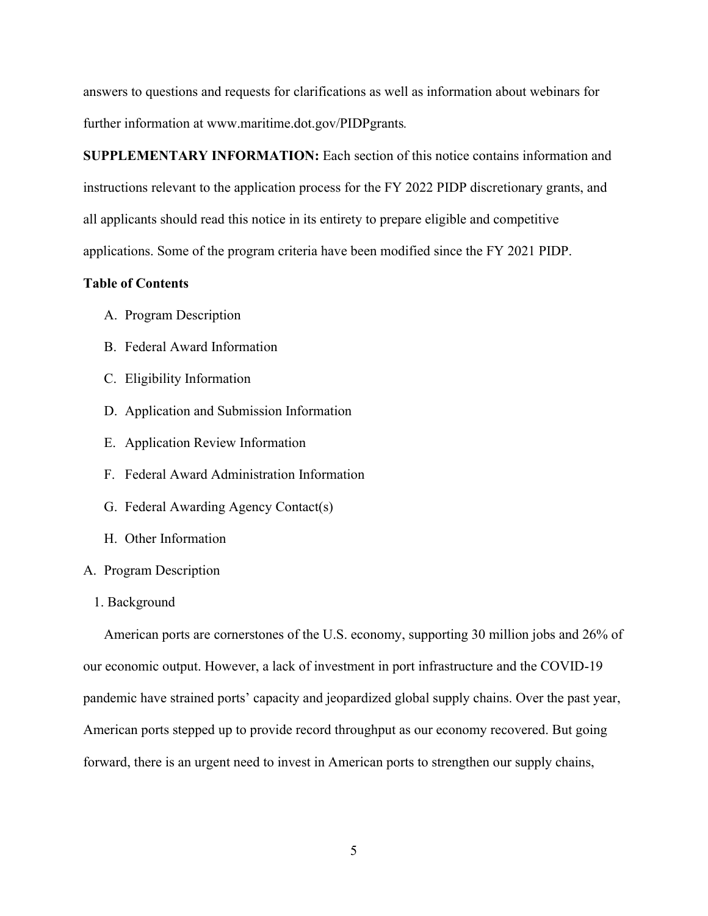answers to questions and requests for clarifications as well as information about webinars for further information at www.maritime.dot.gov/PIDPgrants*.*

**SUPPLEMENTARY INFORMATION:** Each section of this notice contains information and instructions relevant to the application process for the FY 2022 PIDP discretionary grants, and all applicants should read this notice in its entirety to prepare eligible and competitive applications. Some of the program criteria have been modified since the FY 2021 PIDP.

# **Table of Contents**

- A. Program Description
- B. Federal Award Information
- C. Eligibility Information
- D. Application and Submission Information
- E. Application Review Information
- F. Federal Award Administration Information
- G. Federal Awarding Agency Contact(s)
- H. Other Information

## A. Program Description

## 1. Background

American ports are cornerstones of the U.S. economy, supporting 30 million jobs and 26% of our economic output. However, a lack of investment in port infrastructure and the COVID-19 pandemic have strained ports' capacity and jeopardized global supply chains. Over the past year, American ports stepped up to provide record throughput as our economy recovered. But going forward, there is an urgent need to invest in American ports to strengthen our supply chains,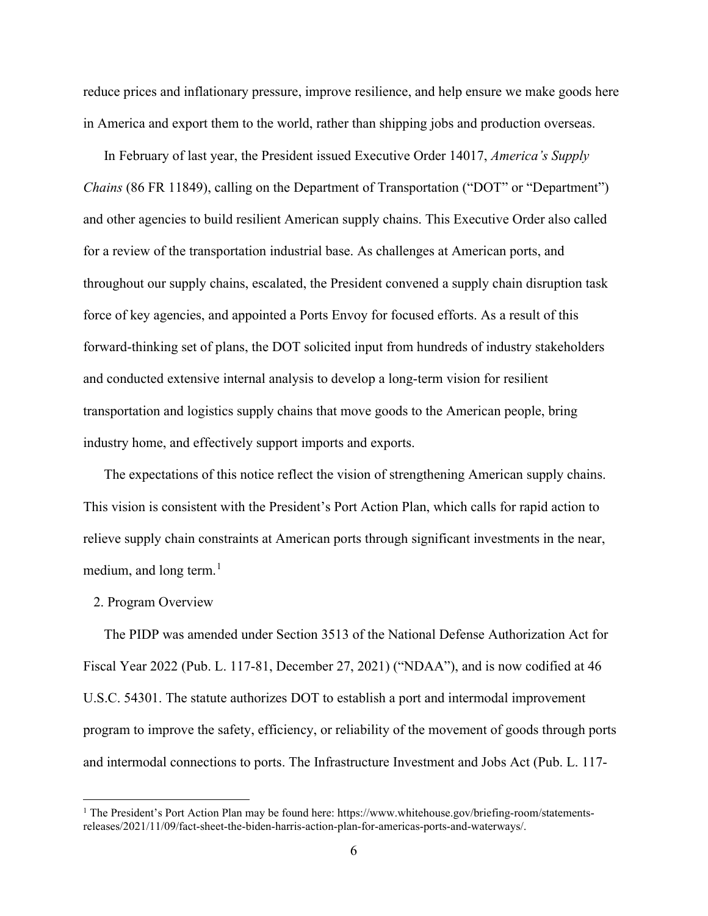reduce prices and inflationary pressure, improve resilience, and help ensure we make goods here in America and export them to the world, rather than shipping jobs and production overseas.

In February of last year, the President issued Executive Order 14017, *America's Supply Chains* (86 FR 11849), calling on the Department of Transportation ("DOT" or "Department") and other agencies to build resilient American supply chains. This Executive Order also called for a review of the transportation industrial base. As challenges at American ports, and throughout our supply chains, escalated, the President convened a supply chain disruption task force of key agencies, and appointed a Ports Envoy for focused efforts. As a result of this forward-thinking set of plans, the DOT solicited input from hundreds of industry stakeholders and conducted extensive internal analysis to develop a long-term vision for resilient transportation and logistics supply chains that move goods to the American people, bring industry home, and effectively support imports and exports.

The expectations of this notice reflect the vision of strengthening American supply chains. This vision is consistent with the President's Port Action Plan, which calls for rapid action to relieve supply chain constraints at American ports through significant investments in the near, medium, and long term. $<sup>1</sup>$ </sup>

## 2. Program Overview

The PIDP was amended under Section 3513 of the National Defense Authorization Act for Fiscal Year 2022 (Pub. L. 117-81, December 27, 2021) ("NDAA"), and is now codified at 46 U.S.C. 54301. The statute authorizes DOT to establish a port and intermodal improvement program to improve the safety, efficiency, or reliability of the movement of goods through ports and intermodal connections to ports. The Infrastructure Investment and Jobs Act (Pub. L. 117-

<sup>&</sup>lt;sup>1</sup> The President's Port Action Plan may be found here: https://www.whitehouse.gov/briefing-room/statementsreleases/2021/11/09/fact-sheet-the-biden-harris-action-plan-for-americas-ports-and-waterways/.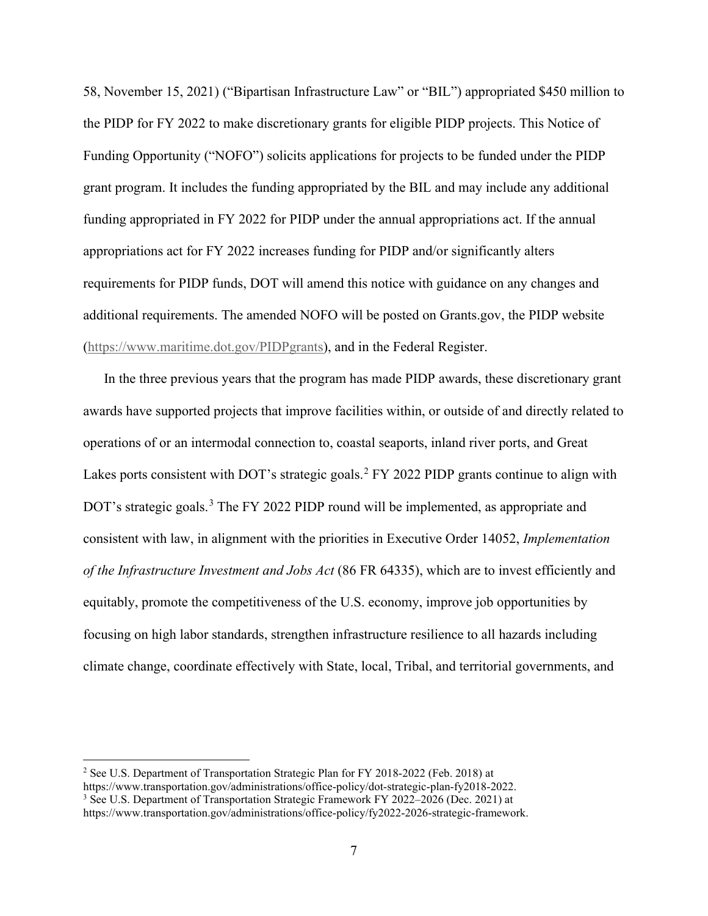58, November 15, 2021) ("Bipartisan Infrastructure Law" or "BIL") appropriated \$450 million to the PIDP for FY 2022 to make discretionary grants for eligible PIDP projects. This Notice of Funding Opportunity ("NOFO") solicits applications for projects to be funded under the PIDP grant program. It includes the funding appropriated by the BIL and may include any additional funding appropriated in FY 2022 for PIDP under the annual appropriations act. If the annual appropriations act for FY 2022 increases funding for PIDP and/or significantly alters requirements for PIDP funds, DOT will amend this notice with guidance on any changes and additional requirements. The amended NOFO will be posted on Grants.gov, the PIDP website (https://www.maritime.dot.gov/PIDPgrants), and in the Federal Register.

In the three previous years that the program has made PIDP awards, these discretionary grant awards have supported projects that improve facilities within, or outside of and directly related to operations of or an intermodal connection to, coastal seaports, inland river ports, and Great Lakes ports consistent with DOT's strategic goals.<sup>2</sup> FY 2022 PIDP grants continue to align with DOT's strategic goals.<sup>3</sup> The FY 2022 PIDP round will be implemented, as appropriate and consistent with law, in alignment with the priorities in Executive Order 14052, *Implementation of the Infrastructure Investment and Jobs Act* (86 FR 64335), which are to invest efficiently and equitably, promote the competitiveness of the U.S. economy, improve job opportunities by focusing on high labor standards, strengthen infrastructure resilience to all hazards including climate change, coordinate effectively with State, local, Tribal, and territorial governments, and

<sup>&</sup>lt;sup>2</sup> See U.S. Department of Transportation Strategic Plan for FY 2018-2022 (Feb. 2018) at

https://www.transportation.gov/administrations/office-policy/dot-strategic-plan-fy2018-2022.

<sup>&</sup>lt;sup>3</sup> See U.S. Department of Transportation Strategic Framework FY 2022–2026 (Dec. 2021) at

https://www.transportation.gov/administrations/office-policy/fy2022-2026-strategic-framework.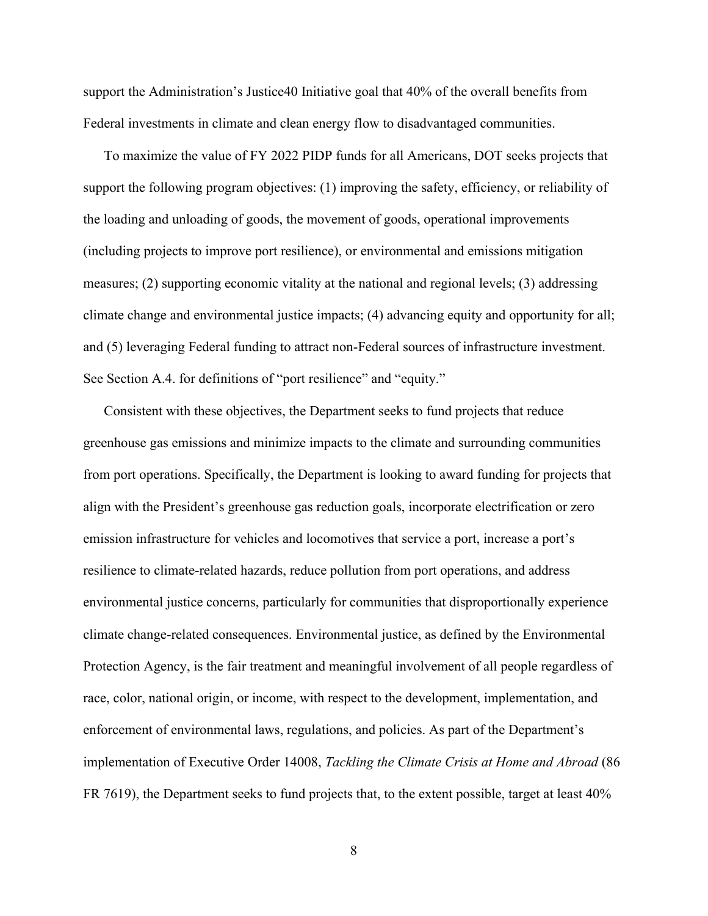support the Administration's Justice40 Initiative goal that 40% of the overall benefits from Federal investments in climate and clean energy flow to disadvantaged communities.

To maximize the value of FY 2022 PIDP funds for all Americans, DOT seeks projects that support the following program objectives: (1) improving the safety, efficiency, or reliability of the loading and unloading of goods, the movement of goods, operational improvements (including projects to improve port resilience), or environmental and emissions mitigation measures; (2) supporting economic vitality at the national and regional levels; (3) addressing climate change and environmental justice impacts; (4) advancing equity and opportunity for all; and (5) leveraging Federal funding to attract non-Federal sources of infrastructure investment. See Section A.4. for definitions of "port resilience" and "equity."

Consistent with these objectives, the Department seeks to fund projects that reduce greenhouse gas emissions and minimize impacts to the climate and surrounding communities from port operations. Specifically, the Department is looking to award funding for projects that align with the President's greenhouse gas reduction goals, incorporate electrification or zero emission infrastructure for vehicles and locomotives that service a port, increase a port's resilience to climate-related hazards, reduce pollution from port operations, and address environmental justice concerns, particularly for communities that disproportionally experience climate change-related consequences. Environmental justice, as defined by the Environmental Protection Agency, is the fair treatment and meaningful involvement of all people regardless of race, color, national origin, or income, with respect to the development, implementation, and enforcement of environmental laws, regulations, and policies. As part of the Department's implementation of Executive Order 14008, *Tackling the Climate Crisis at Home and Abroad* (86 FR 7619), the Department seeks to fund projects that, to the extent possible, target at least 40%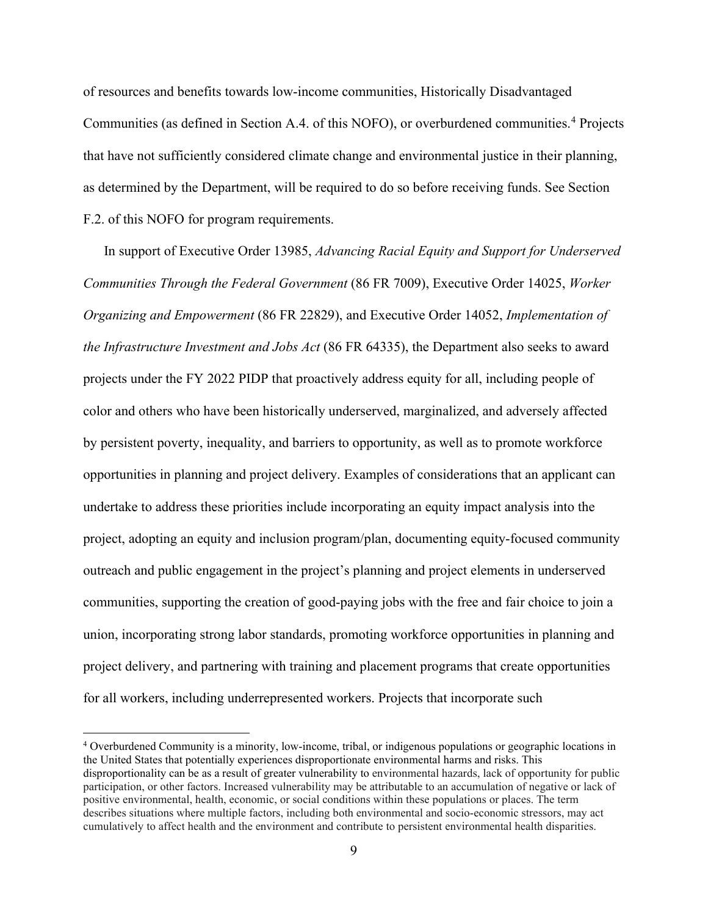of resources and benefits towards low-income communities, Historically Disadvantaged Communities (as defined in Section A.4. of this NOFO), or overburdened communities.<sup>4</sup> Projects that have not sufficiently considered climate change and environmental justice in their planning, as determined by the Department, will be required to do so before receiving funds. See Section F.2. of this NOFO for program requirements.

In support of Executive Order 13985, *Advancing Racial Equity and Support for Underserved Communities Through the Federal Government* (86 FR 7009), Executive Order 14025, *Worker Organizing and Empowerment* (86 FR 22829), and Executive Order 14052, *Implementation of the Infrastructure Investment and Jobs Act* (86 FR 64335), the Department also seeks to award projects under the FY 2022 PIDP that proactively address equity for all, including people of color and others who have been historically underserved, marginalized, and adversely affected by persistent poverty, inequality, and barriers to opportunity, as well as to promote workforce opportunities in planning and project delivery. Examples of considerations that an applicant can undertake to address these priorities include incorporating an equity impact analysis into the project, adopting an equity and inclusion program/plan, documenting equity-focused community outreach and public engagement in the project's planning and project elements in underserved communities, supporting the creation of good-paying jobs with the free and fair choice to join a union, incorporating strong labor standards, promoting workforce opportunities in planning and project delivery, and partnering with training and placement programs that create opportunities for all workers, including underrepresented workers. Projects that incorporate such

<sup>4</sup> Overburdened Community is a minority, low-income, tribal, or indigenous populations or geographic locations in the United States that potentially experiences disproportionate environmental harms and risks. This disproportionality can be as a result of greater vulnerability to environmental hazards, lack of opportunity for public participation, or other factors. Increased vulnerability may be attributable to an accumulation of negative or lack of positive environmental, health, economic, or social conditions within these populations or places. The term describes situations where multiple factors, including both environmental and socio-economic stressors, may act cumulatively to affect health and the environment and contribute to persistent environmental health disparities.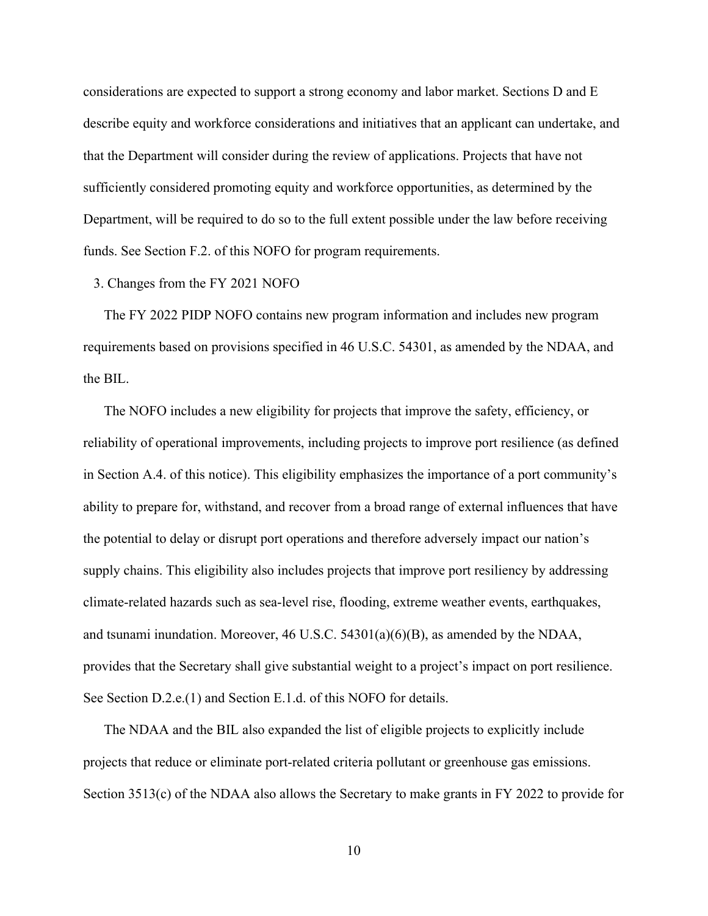considerations are expected to support a strong economy and labor market. Sections D and E describe equity and workforce considerations and initiatives that an applicant can undertake, and that the Department will consider during the review of applications. Projects that have not sufficiently considered promoting equity and workforce opportunities, as determined by the Department, will be required to do so to the full extent possible under the law before receiving funds. See Section F.2. of this NOFO for program requirements.

## 3. Changes from the FY 2021 NOFO

The FY 2022 PIDP NOFO contains new program information and includes new program requirements based on provisions specified in 46 U.S.C. 54301, as amended by the NDAA, and the BIL.

The NOFO includes a new eligibility for projects that improve the safety, efficiency, or reliability of operational improvements, including projects to improve port resilience (as defined in Section A.4. of this notice). This eligibility emphasizes the importance of a port community's ability to prepare for, withstand, and recover from a broad range of external influences that have the potential to delay or disrupt port operations and therefore adversely impact our nation's supply chains. This eligibility also includes projects that improve port resiliency by addressing climate-related hazards such as sea-level rise, flooding, extreme weather events, earthquakes, and tsunami inundation. Moreover, 46 U.S.C. 54301(a)(6)(B), as amended by the NDAA, provides that the Secretary shall give substantial weight to a project's impact on port resilience. See Section D.2.e.(1) and Section E.1.d. of this NOFO for details.

The NDAA and the BIL also expanded the list of eligible projects to explicitly include projects that reduce or eliminate port-related criteria pollutant or greenhouse gas emissions. Section 3513(c) of the NDAA also allows the Secretary to make grants in FY 2022 to provide for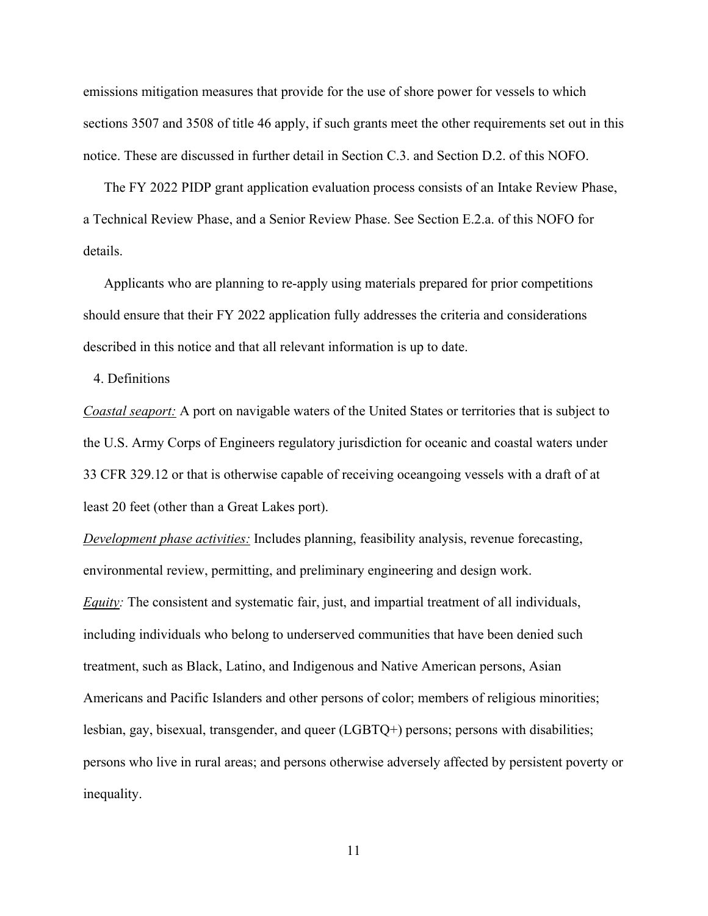emissions mitigation measures that provide for the use of shore power for vessels to which sections 3507 and 3508 of title 46 apply, if such grants meet the other requirements set out in this notice. These are discussed in further detail in Section C.3. and Section D.2. of this NOFO.

The FY 2022 PIDP grant application evaluation process consists of an Intake Review Phase, a Technical Review Phase, and a Senior Review Phase. See Section E.2.a. of this NOFO for details.

Applicants who are planning to re-apply using materials prepared for prior competitions should ensure that their FY 2022 application fully addresses the criteria and considerations described in this notice and that all relevant information is up to date.

4. Definitions

*Coastal seaport:* A port on navigable waters of the United States or territories that is subject to the U.S. Army Corps of Engineers regulatory jurisdiction for oceanic and coastal waters under 33 CFR 329.12 or that is otherwise capable of receiving oceangoing vessels with a draft of at least 20 feet (other than a Great Lakes port).

*Development phase activities:* Includes planning, feasibility analysis, revenue forecasting, environmental review, permitting, and preliminary engineering and design work. *Equity:* The consistent and systematic fair, just, and impartial treatment of all individuals, including individuals who belong to underserved communities that have been denied such treatment, such as Black, Latino, and Indigenous and Native American persons, Asian Americans and Pacific Islanders and other persons of color; members of religious minorities;

persons who live in rural areas; and persons otherwise adversely affected by persistent poverty or inequality.

lesbian, gay, bisexual, transgender, and queer (LGBTQ+) persons; persons with disabilities;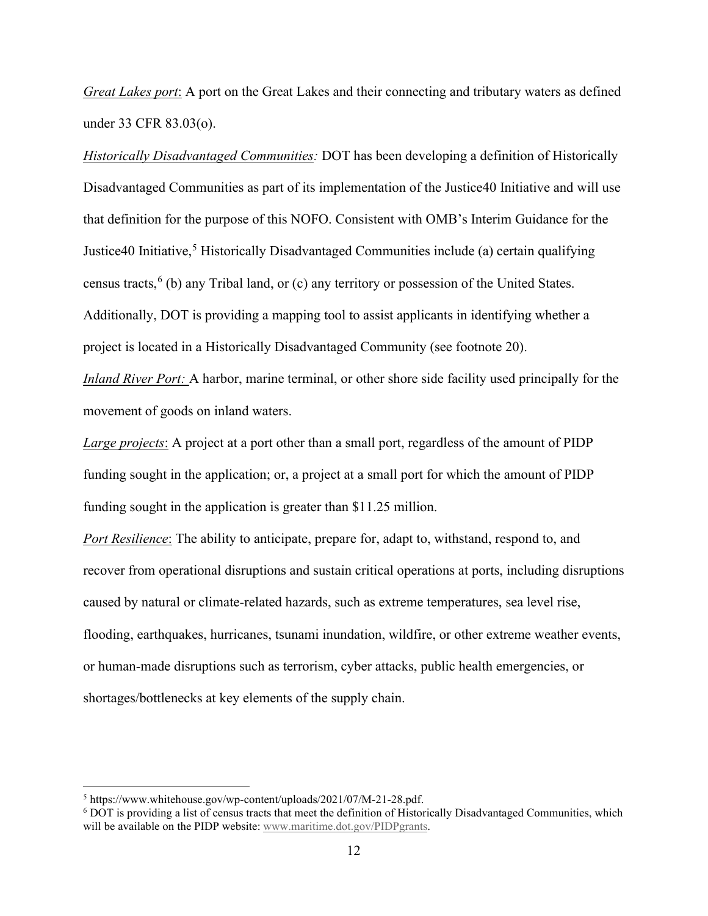*Great Lakes port*: A port on the Great Lakes and their connecting and tributary waters as defined under 33 CFR 83.03(o).

*Historically Disadvantaged Communities:* DOT has been developing a definition of Historically Disadvantaged Communities as part of its implementation of the Justice40 Initiative and will use that definition for the purpose of this NOFO. Consistent with OMB's Interim Guidance for the Justice40 Initiative,<sup>5</sup> Historically Disadvantaged Communities include (a) certain qualifying census tracts,  $6$  (b) any Tribal land, or (c) any territory or possession of the United States. Additionally, DOT is providing a mapping tool to assist applicants in identifying whether a project is located in a Historically Disadvantaged Community (see footnote 20).

*Inland River Port:* A harbor, marine terminal, or other shore side facility used principally for the movement of goods on inland waters.

*Large projects*: A project at a port other than a small port, regardless of the amount of PIDP funding sought in the application; or, a project at a small port for which the amount of PIDP funding sought in the application is greater than \$11.25 million.

*Port Resilience*: The ability to anticipate, prepare for, adapt to, withstand, respond to, and recover from operational disruptions and sustain critical operations at ports, including disruptions caused by natural or climate-related hazards, such as extreme temperatures, sea level rise, flooding, earthquakes, hurricanes, tsunami inundation, wildfire, or other extreme weather events, or human-made disruptions such as terrorism, cyber attacks, public health emergencies, or shortages/bottlenecks at key elements of the supply chain.

<sup>&</sup>lt;sup>5</sup> https://www.whitehouse.gov/wp-content/uploads/2021/07/M-21-28.pdf.

<sup>&</sup>lt;sup>6</sup> DOT is providing a list of census tracts that meet the definition of Historically Disadvantaged Communities, which will be available on the PIDP website: www.maritime.dot.gov/PIDPgrants.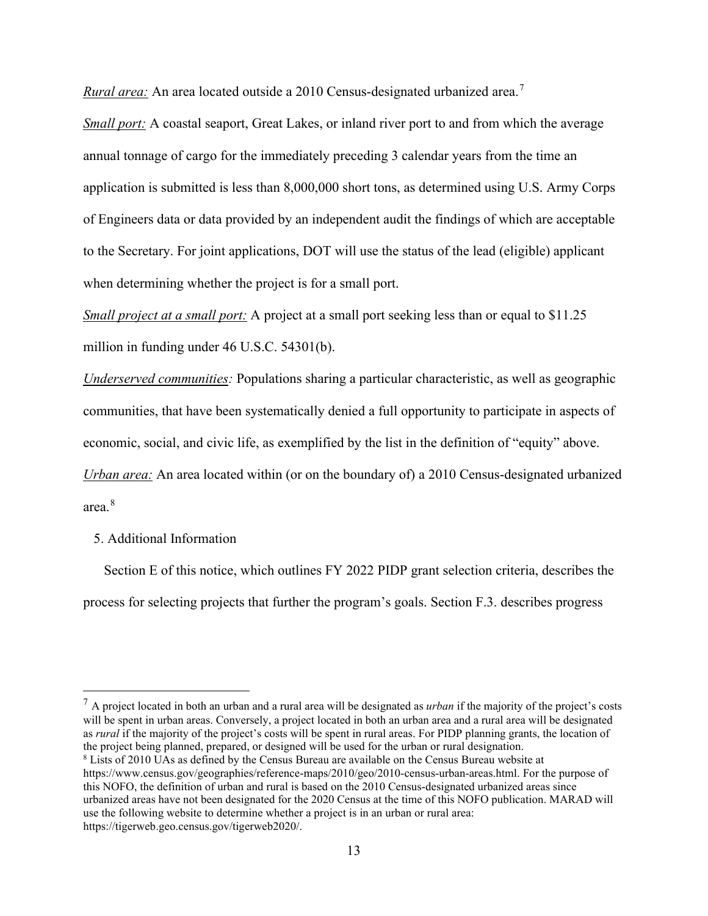*Rural area:* An area located outside a 2010 Census-designated urbanized area.<sup>7</sup>

*Small port:* A coastal seaport, Great Lakes, or inland river port to and from which the average annual tonnage of cargo for the immediately preceding 3 calendar years from the time an application is submitted is less than 8,000,000 short tons, as determined using U.S. Army Corps of Engineers data or data provided by an independent audit the findings of which are acceptable to the Secretary. For joint applications, DOT will use the status of the lead (eligible) applicant when determining whether the project is for a small port.

*Small project at a small port:* A project at a small port seeking less than or equal to \$11.25 million in funding under 46 U.S.C. 54301(b).

*Underserved communities:* Populations sharing a particular characteristic, as well as geographic communities, that have been systematically denied a full opportunity to participate in aspects of economic, social, and civic life, as exemplified by the list in the definition of "equity" above. *Urban area:* An area located within (or on the boundary of) a 2010 Census-designated urbanized area.<sup>8</sup>

5. Additional Information

Section E of this notice, which outlines FY 2022 PIDP grant selection criteria, describes the process for selecting projects that further the program's goals. Section F.3. describes progress

<sup>7</sup> A project located in both an urban and a rural area will be designated as *urban* if the majority of the project's costs will be spent in urban areas. Conversely, a project located in both an urban area and a rural area will be designated as *rural* if the majority of the project's costs will be spent in rural areas. For PIDP planning grants, the location of the project being planned, prepared, or designed will be used for the urban or rural designation.

<sup>8</sup> Lists of 2010 UAs as defined by the Census Bureau are available on the Census Bureau website at https://www.census.gov/geographies/reference-maps/2010/geo/2010-census-urban-areas.html. For the purpose of this NOFO, the definition of urban and rural is based on the 2010 Census-designated urbanized areas since urbanized areas have not been designated for the 2020 Census at the time of this NOFO publication. MARAD will use the following website to determine whether a project is in an urban or rural area: https://tigerweb.geo.census.gov/tigerweb2020/.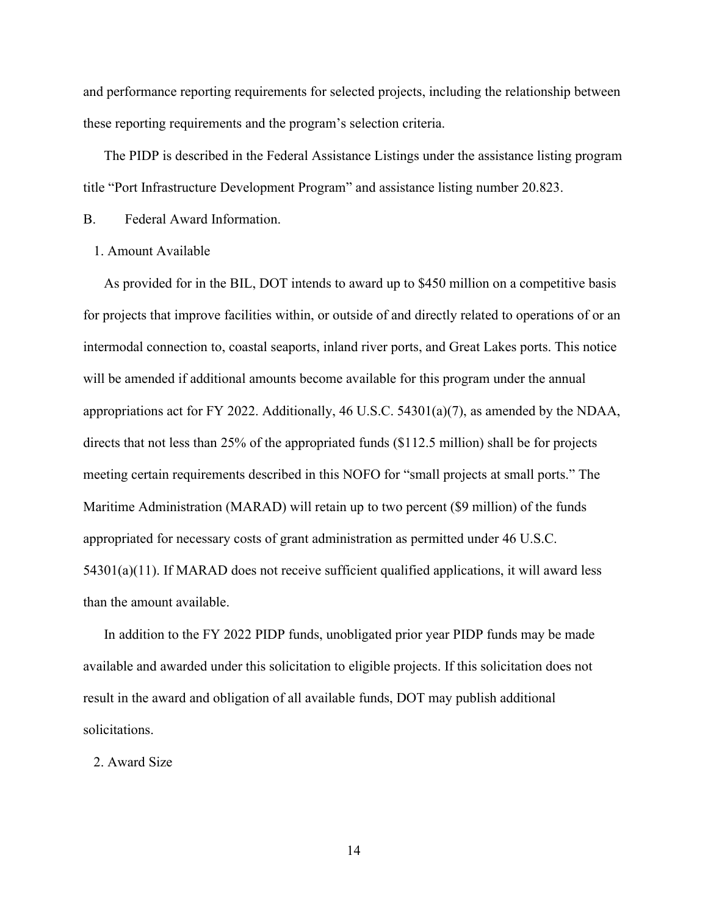and performance reporting requirements for selected projects, including the relationship between these reporting requirements and the program's selection criteria.

The PIDP is described in the Federal Assistance Listings under the assistance listing program title "Port Infrastructure Development Program" and assistance listing number 20.823.

B. Federal Award Information.

1. Amount Available

As provided for in the BIL, DOT intends to award up to \$450 million on a competitive basis for projects that improve facilities within, or outside of and directly related to operations of or an intermodal connection to, coastal seaports, inland river ports, and Great Lakes ports. This notice will be amended if additional amounts become available for this program under the annual appropriations act for FY 2022. Additionally, 46 U.S.C. 54301(a)(7), as amended by the NDAA, directs that not less than 25% of the appropriated funds (\$112.5 million) shall be for projects meeting certain requirements described in this NOFO for "small projects at small ports." The Maritime Administration (MARAD) will retain up to two percent (\$9 million) of the funds appropriated for necessary costs of grant administration as permitted under 46 U.S.C.  $54301(a)(11)$ . If MARAD does not receive sufficient qualified applications, it will award less than the amount available.

In addition to the FY 2022 PIDP funds, unobligated prior year PIDP funds may be made available and awarded under this solicitation to eligible projects. If this solicitation does not result in the award and obligation of all available funds, DOT may publish additional solicitations.

2. Award Size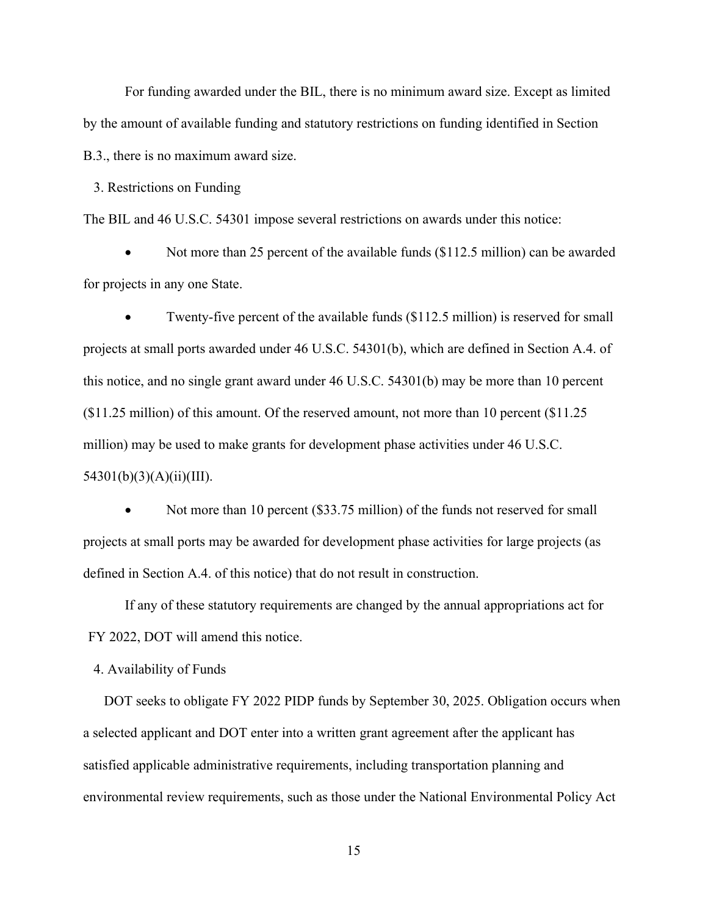For funding awarded under the BIL, there is no minimum award size. Except as limited by the amount of available funding and statutory restrictions on funding identified in Section B.3., there is no maximum award size.

3. Restrictions on Funding

The BIL and 46 U.S.C. 54301 impose several restrictions on awards under this notice:

Not more than 25 percent of the available funds (\$112.5 million) can be awarded for projects in any one State.

Twenty-five percent of the available funds (\$112.5 million) is reserved for small projects at small ports awarded under 46 U.S.C. 54301(b), which are defined in Section A.4. of this notice, and no single grant award under 46 U.S.C. 54301(b) may be more than 10 percent (\$11.25 million) of this amount. Of the reserved amount, not more than 10 percent (\$11.25 million) may be used to make grants for development phase activities under 46 U.S.C.  $54301(b)(3)(A)(ii)(III).$ 

Not more than 10 percent (\$33.75 million) of the funds not reserved for small projects at small ports may be awarded for development phase activities for large projects (as defined in Section A.4. of this notice) that do not result in construction.

 If any of these statutory requirements are changed by the annual appropriations act for FY 2022, DOT will amend this notice.

4. Availability of Funds

DOT seeks to obligate FY 2022 PIDP funds by September 30, 2025. Obligation occurs when a selected applicant and DOT enter into a written grant agreement after the applicant has satisfied applicable administrative requirements, including transportation planning and environmental review requirements, such as those under the National Environmental Policy Act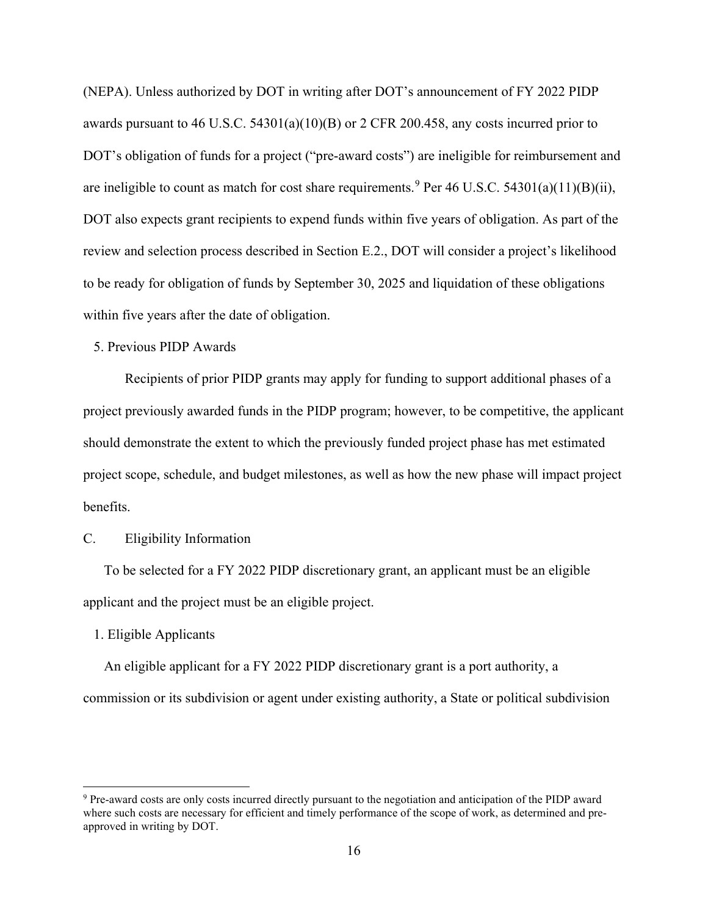(NEPA). Unless authorized by DOT in writing after DOT's announcement of FY 2022 PIDP awards pursuant to 46 U.S.C. 54301(a)(10)(B) or 2 CFR 200.458, any costs incurred prior to DOT's obligation of funds for a project ("pre-award costs") are ineligible for reimbursement and are ineligible to count as match for cost share requirements.  $9$  Per 46 U.S.C. 54301(a)(11)(B)(ii), DOT also expects grant recipients to expend funds within five years of obligation. As part of the review and selection process described in Section E.2., DOT will consider a project's likelihood to be ready for obligation of funds by September 30, 2025 and liquidation of these obligations within five years after the date of obligation.

# 5. Previous PIDP Awards

 Recipients of prior PIDP grants may apply for funding to support additional phases of a project previously awarded funds in the PIDP program; however, to be competitive, the applicant should demonstrate the extent to which the previously funded project phase has met estimated project scope, schedule, and budget milestones, as well as how the new phase will impact project benefits.

# C. Eligibility Information

To be selected for a FY 2022 PIDP discretionary grant, an applicant must be an eligible applicant and the project must be an eligible project.

#### 1. Eligible Applicants

An eligible applicant for a FY 2022 PIDP discretionary grant is a port authority, a commission or its subdivision or agent under existing authority, a State or political subdivision

<sup>9</sup> Pre-award costs are only costs incurred directly pursuant to the negotiation and anticipation of the PIDP award where such costs are necessary for efficient and timely performance of the scope of work, as determined and preapproved in writing by DOT.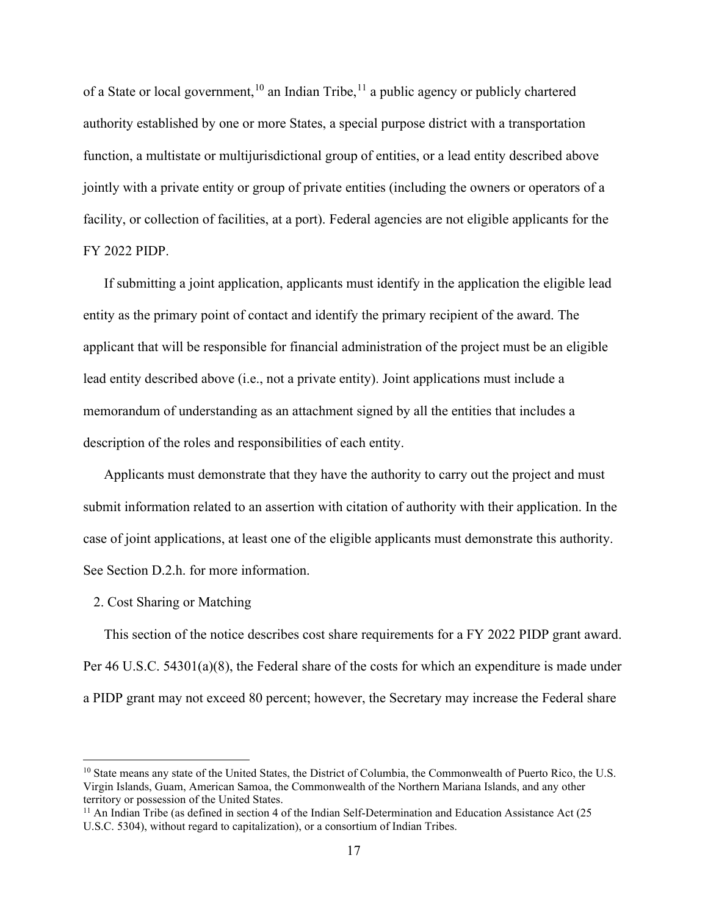of a State or local government,<sup>10</sup> an Indian Tribe,<sup>11</sup> a public agency or publicly chartered authority established by one or more States, a special purpose district with a transportation function, a multistate or multijurisdictional group of entities, or a lead entity described above jointly with a private entity or group of private entities (including the owners or operators of a facility, or collection of facilities, at a port). Federal agencies are not eligible applicants for the FY 2022 PIDP.

If submitting a joint application, applicants must identify in the application the eligible lead entity as the primary point of contact and identify the primary recipient of the award. The applicant that will be responsible for financial administration of the project must be an eligible lead entity described above (i.e., not a private entity). Joint applications must include a memorandum of understanding as an attachment signed by all the entities that includes a description of the roles and responsibilities of each entity.

Applicants must demonstrate that they have the authority to carry out the project and must submit information related to an assertion with citation of authority with their application. In the case of joint applications, at least one of the eligible applicants must demonstrate this authority. See Section D.2.h. for more information.

#### 2. Cost Sharing or Matching

This section of the notice describes cost share requirements for a FY 2022 PIDP grant award. Per 46 U.S.C. 54301(a)(8), the Federal share of the costs for which an expenditure is made under a PIDP grant may not exceed 80 percent; however, the Secretary may increase the Federal share

<sup>&</sup>lt;sup>10</sup> State means any state of the United States, the District of Columbia, the Commonwealth of Puerto Rico, the U.S. Virgin Islands, Guam, American Samoa, the Commonwealth of the Northern Mariana Islands, and any other territory or possession of the United States.

<sup>&</sup>lt;sup>11</sup> An Indian Tribe (as defined in section 4 of the Indian Self-Determination and Education Assistance Act (25 U.S.C. 5304), without regard to capitalization), or a consortium of Indian Tribes.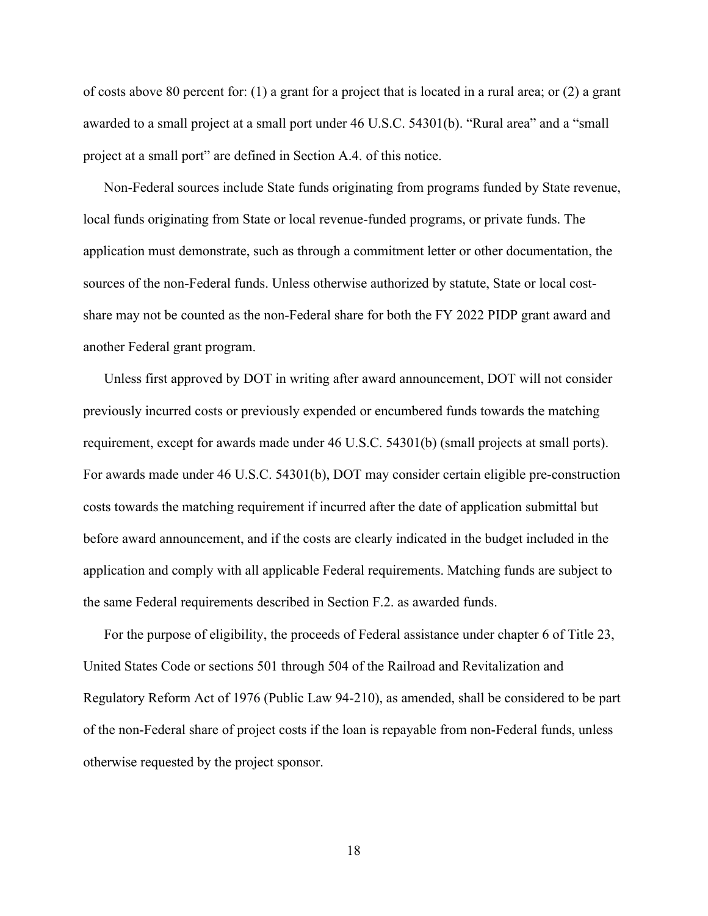of costs above 80 percent for: (1) a grant for a project that is located in a rural area; or (2) a grant awarded to a small project at a small port under 46 U.S.C. 54301(b). "Rural area" and a "small project at a small port" are defined in Section A.4. of this notice.

Non-Federal sources include State funds originating from programs funded by State revenue, local funds originating from State or local revenue-funded programs, or private funds. The application must demonstrate, such as through a commitment letter or other documentation, the sources of the non-Federal funds. Unless otherwise authorized by statute, State or local costshare may not be counted as the non-Federal share for both the FY 2022 PIDP grant award and another Federal grant program.

Unless first approved by DOT in writing after award announcement, DOT will not consider previously incurred costs or previously expended or encumbered funds towards the matching requirement, except for awards made under 46 U.S.C. 54301(b) (small projects at small ports). For awards made under 46 U.S.C. 54301(b), DOT may consider certain eligible pre-construction costs towards the matching requirement if incurred after the date of application submittal but before award announcement, and if the costs are clearly indicated in the budget included in the application and comply with all applicable Federal requirements. Matching funds are subject to the same Federal requirements described in Section F.2. as awarded funds.

For the purpose of eligibility, the proceeds of Federal assistance under chapter 6 of Title 23, United States Code or sections 501 through 504 of the Railroad and Revitalization and Regulatory Reform Act of 1976 (Public Law 94-210), as amended, shall be considered to be part of the non-Federal share of project costs if the loan is repayable from non-Federal funds, unless otherwise requested by the project sponsor.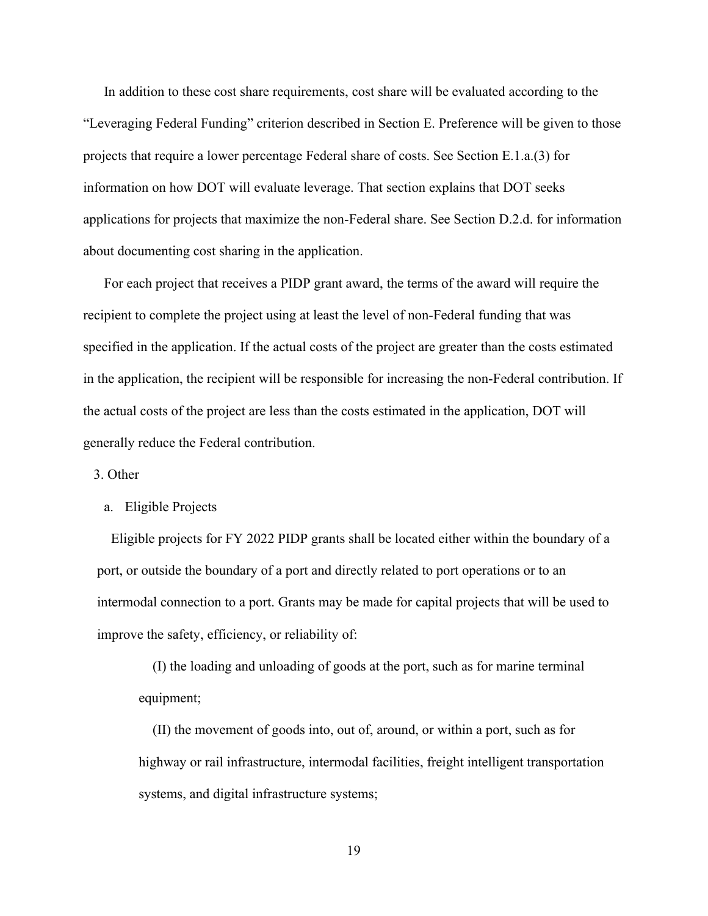In addition to these cost share requirements, cost share will be evaluated according to the "Leveraging Federal Funding" criterion described in Section E. Preference will be given to those projects that require a lower percentage Federal share of costs. See Section E.1.a.(3) for information on how DOT will evaluate leverage. That section explains that DOT seeks applications for projects that maximize the non-Federal share. See Section D.2.d. for information about documenting cost sharing in the application.

For each project that receives a PIDP grant award, the terms of the award will require the recipient to complete the project using at least the level of non-Federal funding that was specified in the application. If the actual costs of the project are greater than the costs estimated in the application, the recipient will be responsible for increasing the non-Federal contribution. If the actual costs of the project are less than the costs estimated in the application, DOT will generally reduce the Federal contribution.

## 3. Other

#### a. Eligible Projects

Eligible projects for FY 2022 PIDP grants shall be located either within the boundary of a port, or outside the boundary of a port and directly related to port operations or to an intermodal connection to a port. Grants may be made for capital projects that will be used to improve the safety, efficiency, or reliability of:

(I) the loading and unloading of goods at the port, such as for marine terminal equipment;

(II) the movement of goods into, out of, around, or within a port, such as for highway or rail infrastructure, intermodal facilities, freight intelligent transportation systems, and digital infrastructure systems;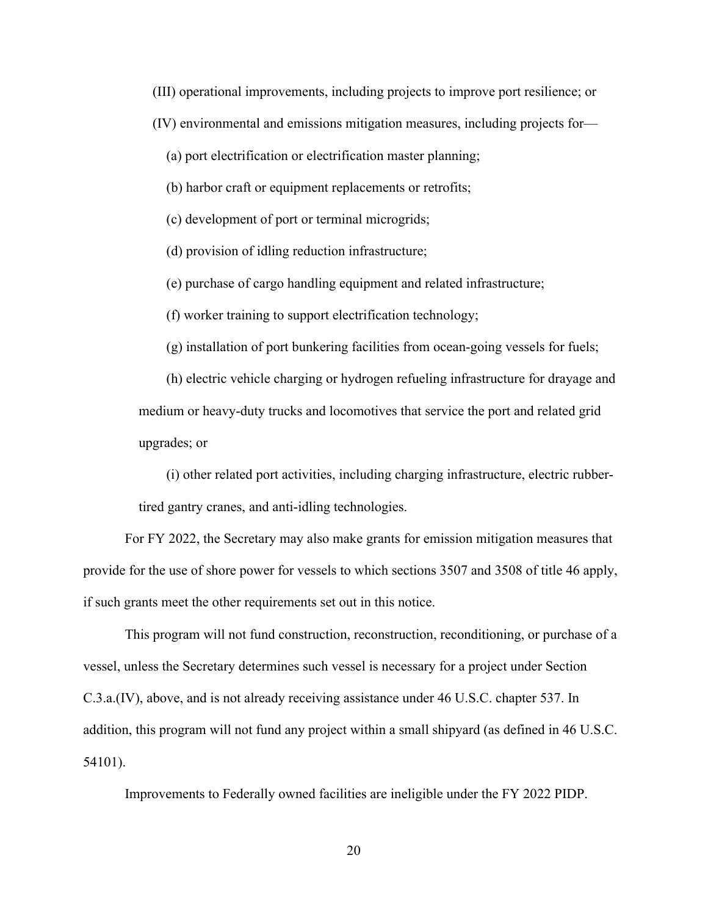(III) operational improvements, including projects to improve port resilience; or

(IV) environmental and emissions mitigation measures, including projects for—

(a) port electrification or electrification master planning;

(b) harbor craft or equipment replacements or retrofits;

(c) development of port or terminal microgrids;

(d) provision of idling reduction infrastructure;

(e) purchase of cargo handling equipment and related infrastructure;

(f) worker training to support electrification technology;

(g) installation of port bunkering facilities from ocean-going vessels for fuels;

(h) electric vehicle charging or hydrogen refueling infrastructure for drayage and medium or heavy-duty trucks and locomotives that service the port and related grid upgrades; or

(i) other related port activities, including charging infrastructure, electric rubbertired gantry cranes, and anti-idling technologies.

 For FY 2022, the Secretary may also make grants for emission mitigation measures that provide for the use of shore power for vessels to which sections 3507 and 3508 of title 46 apply, if such grants meet the other requirements set out in this notice.

 This program will not fund construction, reconstruction, reconditioning, or purchase of a vessel, unless the Secretary determines such vessel is necessary for a project under Section C.3.a.(IV), above, and is not already receiving assistance under 46 U.S.C. chapter 537. In addition, this program will not fund any project within a small shipyard (as defined in 46 U.S.C. 54101).

Improvements to Federally owned facilities are ineligible under the FY 2022 PIDP.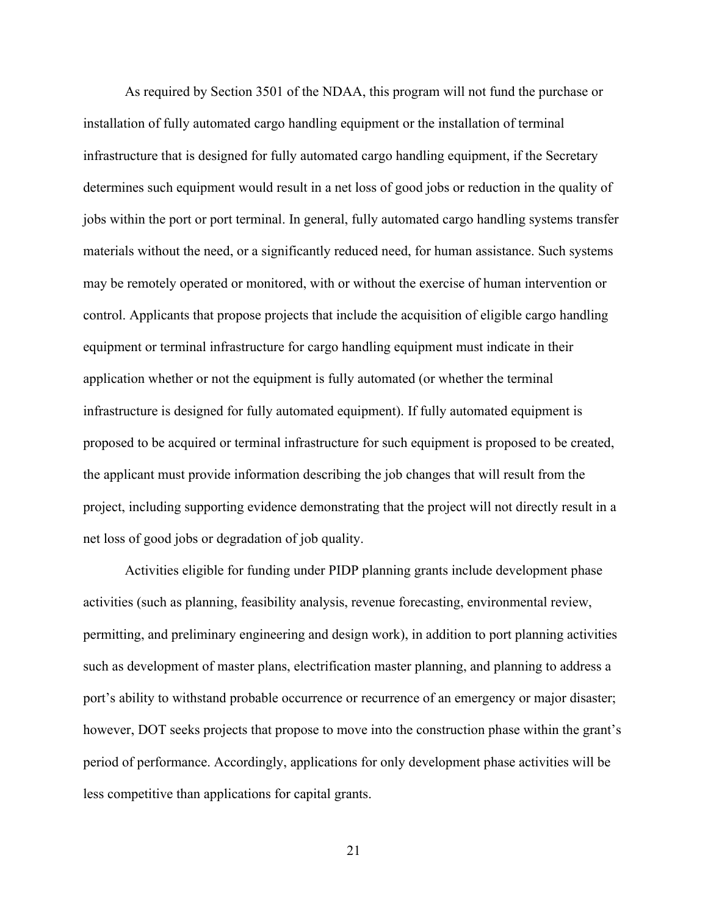As required by Section 3501 of the NDAA, this program will not fund the purchase or installation of fully automated cargo handling equipment or the installation of terminal infrastructure that is designed for fully automated cargo handling equipment, if the Secretary determines such equipment would result in a net loss of good jobs or reduction in the quality of jobs within the port or port terminal. In general, fully automated cargo handling systems transfer materials without the need, or a significantly reduced need, for human assistance. Such systems may be remotely operated or monitored, with or without the exercise of human intervention or control. Applicants that propose projects that include the acquisition of eligible cargo handling equipment or terminal infrastructure for cargo handling equipment must indicate in their application whether or not the equipment is fully automated (or whether the terminal infrastructure is designed for fully automated equipment). If fully automated equipment is proposed to be acquired or terminal infrastructure for such equipment is proposed to be created, the applicant must provide information describing the job changes that will result from the project, including supporting evidence demonstrating that the project will not directly result in a net loss of good jobs or degradation of job quality.

 Activities eligible for funding under PIDP planning grants include development phase activities (such as planning, feasibility analysis, revenue forecasting, environmental review, permitting, and preliminary engineering and design work), in addition to port planning activities such as development of master plans, electrification master planning, and planning to address a port's ability to withstand probable occurrence or recurrence of an emergency or major disaster; however, DOT seeks projects that propose to move into the construction phase within the grant's period of performance. Accordingly, applications for only development phase activities will be less competitive than applications for capital grants.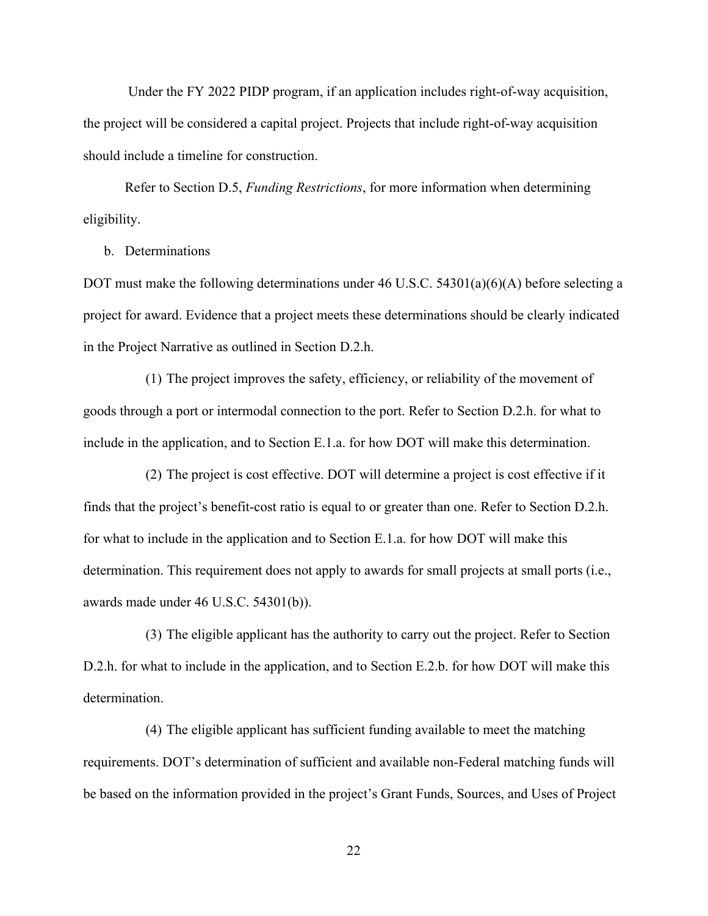Under the FY 2022 PIDP program, if an application includes right-of-way acquisition, the project will be considered a capital project. Projects that include right-of-way acquisition should include a timeline for construction.

 Refer to Section D.5, *Funding Restrictions*, for more information when determining eligibility.

# b. Determinations

DOT must make the following determinations under 46 U.S.C. 54301(a)(6)(A) before selecting a project for award. Evidence that a project meets these determinations should be clearly indicated in the Project Narrative as outlined in Section D.2.h.

(1) The project improves the safety, efficiency, or reliability of the movement of goods through a port or intermodal connection to the port. Refer to Section D.2.h. for what to include in the application, and to Section E.1.a. for how DOT will make this determination.

(2) The project is cost effective. DOT will determine a project is cost effective if it finds that the project's benefit-cost ratio is equal to or greater than one. Refer to Section D.2.h. for what to include in the application and to Section E.1.a. for how DOT will make this determination. This requirement does not apply to awards for small projects at small ports (i.e., awards made under 46 U.S.C. 54301(b)).

(3) The eligible applicant has the authority to carry out the project. Refer to Section D.2.h. for what to include in the application, and to Section E.2.b. for how DOT will make this determination.

(4) The eligible applicant has sufficient funding available to meet the matching requirements. DOT's determination of sufficient and available non-Federal matching funds will be based on the information provided in the project's Grant Funds, Sources, and Uses of Project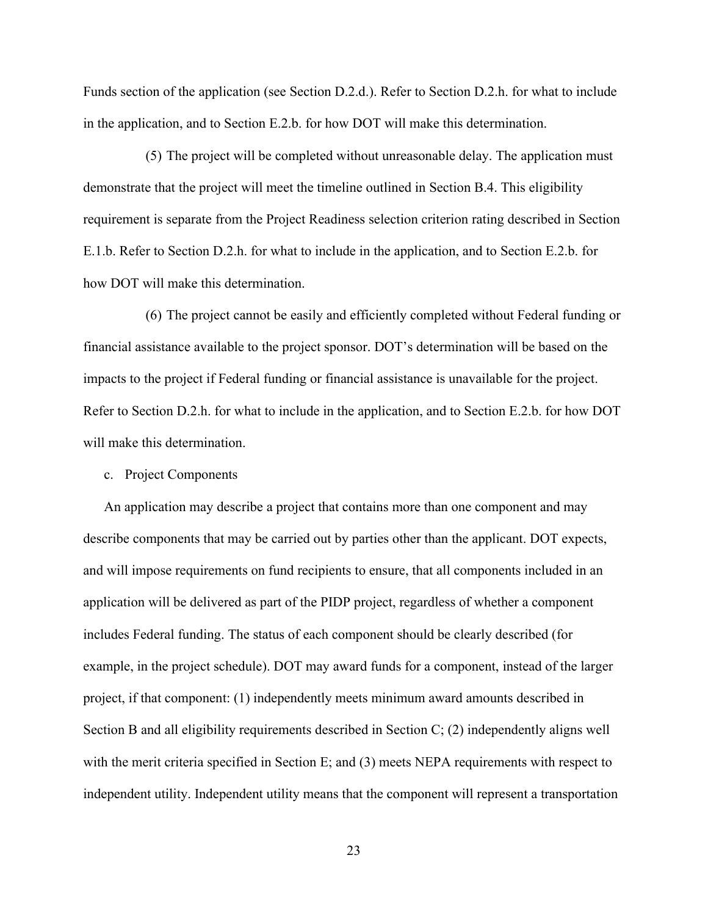Funds section of the application (see Section D.2.d.). Refer to Section D.2.h. for what to include in the application, and to Section E.2.b. for how DOT will make this determination.

(5) The project will be completed without unreasonable delay. The application must demonstrate that the project will meet the timeline outlined in Section B.4. This eligibility requirement is separate from the Project Readiness selection criterion rating described in Section E.1.b. Refer to Section D.2.h. for what to include in the application, and to Section E.2.b. for how DOT will make this determination.

(6) The project cannot be easily and efficiently completed without Federal funding or financial assistance available to the project sponsor. DOT's determination will be based on the impacts to the project if Federal funding or financial assistance is unavailable for the project. Refer to Section D.2.h. for what to include in the application, and to Section E.2.b. for how DOT will make this determination.

c. Project Components

An application may describe a project that contains more than one component and may describe components that may be carried out by parties other than the applicant. DOT expects, and will impose requirements on fund recipients to ensure, that all components included in an application will be delivered as part of the PIDP project, regardless of whether a component includes Federal funding. The status of each component should be clearly described (for example, in the project schedule). DOT may award funds for a component, instead of the larger project, if that component: (1) independently meets minimum award amounts described in Section B and all eligibility requirements described in Section C; (2) independently aligns well with the merit criteria specified in Section E; and (3) meets NEPA requirements with respect to independent utility. Independent utility means that the component will represent a transportation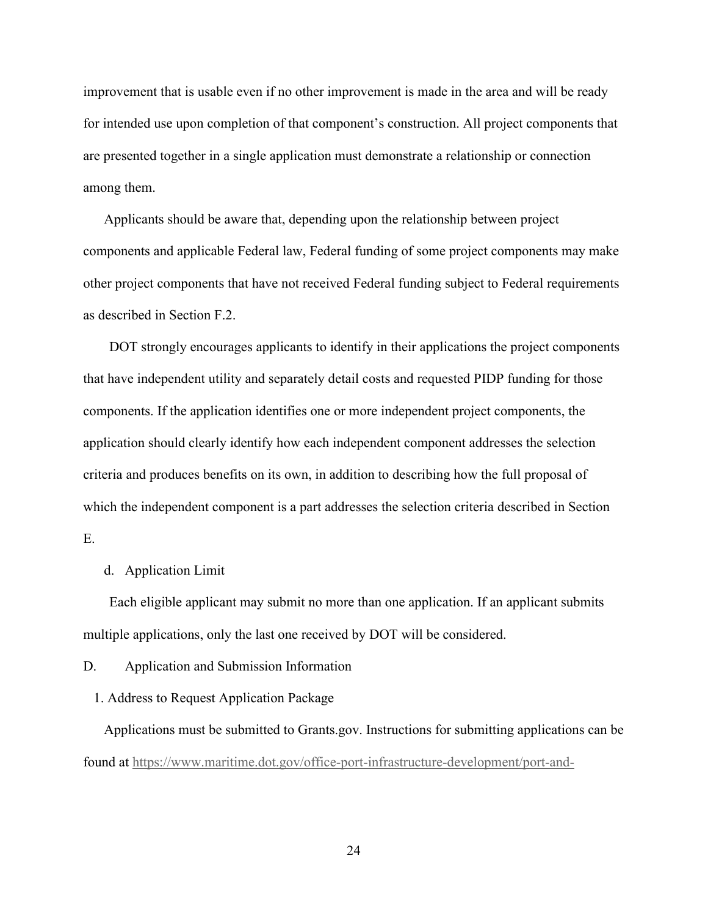improvement that is usable even if no other improvement is made in the area and will be ready for intended use upon completion of that component's construction. All project components that are presented together in a single application must demonstrate a relationship or connection among them.

Applicants should be aware that, depending upon the relationship between project components and applicable Federal law, Federal funding of some project components may make other project components that have not received Federal funding subject to Federal requirements as described in Section F.2.

DOT strongly encourages applicants to identify in their applications the project components that have independent utility and separately detail costs and requested PIDP funding for those components. If the application identifies one or more independent project components, the application should clearly identify how each independent component addresses the selection criteria and produces benefits on its own, in addition to describing how the full proposal of which the independent component is a part addresses the selection criteria described in Section E.

# d. Application Limit

Each eligible applicant may submit no more than one application. If an applicant submits multiple applications, only the last one received by DOT will be considered.

D. Application and Submission Information

## 1. Address to Request Application Package

Applications must be submitted to Grants.gov. Instructions for submitting applications can be found at https://www.maritime.dot.gov/office-port-infrastructure-development/port-and-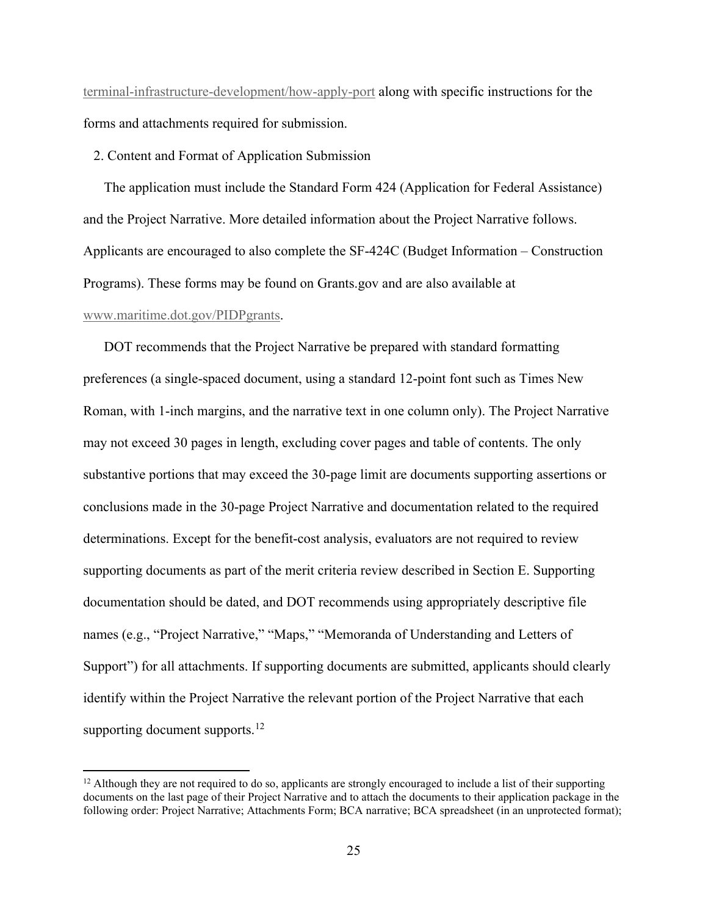terminal-infrastructure-development/how-apply-port along with specific instructions for the forms and attachments required for submission.

2. Content and Format of Application Submission

The application must include the Standard Form 424 (Application for Federal Assistance) and the Project Narrative. More detailed information about the Project Narrative follows. Applicants are encouraged to also complete the SF-424C (Budget Information – Construction Programs). These forms may be found on Grants.gov and are also available at www.maritime.dot.gov/PIDPgrants.

DOT recommends that the Project Narrative be prepared with standard formatting preferences (a single-spaced document, using a standard 12-point font such as Times New Roman, with 1-inch margins, and the narrative text in one column only). The Project Narrative may not exceed 30 pages in length, excluding cover pages and table of contents. The only substantive portions that may exceed the 30-page limit are documents supporting assertions or conclusions made in the 30-page Project Narrative and documentation related to the required determinations. Except for the benefit-cost analysis, evaluators are not required to review supporting documents as part of the merit criteria review described in Section E. Supporting documentation should be dated, and DOT recommends using appropriately descriptive file names (e.g., "Project Narrative," "Maps," "Memoranda of Understanding and Letters of Support") for all attachments. If supporting documents are submitted, applicants should clearly identify within the Project Narrative the relevant portion of the Project Narrative that each supporting document supports. $12$ 

 $12$  Although they are not required to do so, applicants are strongly encouraged to include a list of their supporting documents on the last page of their Project Narrative and to attach the documents to their application package in the following order: Project Narrative; Attachments Form; BCA narrative; BCA spreadsheet (in an unprotected format);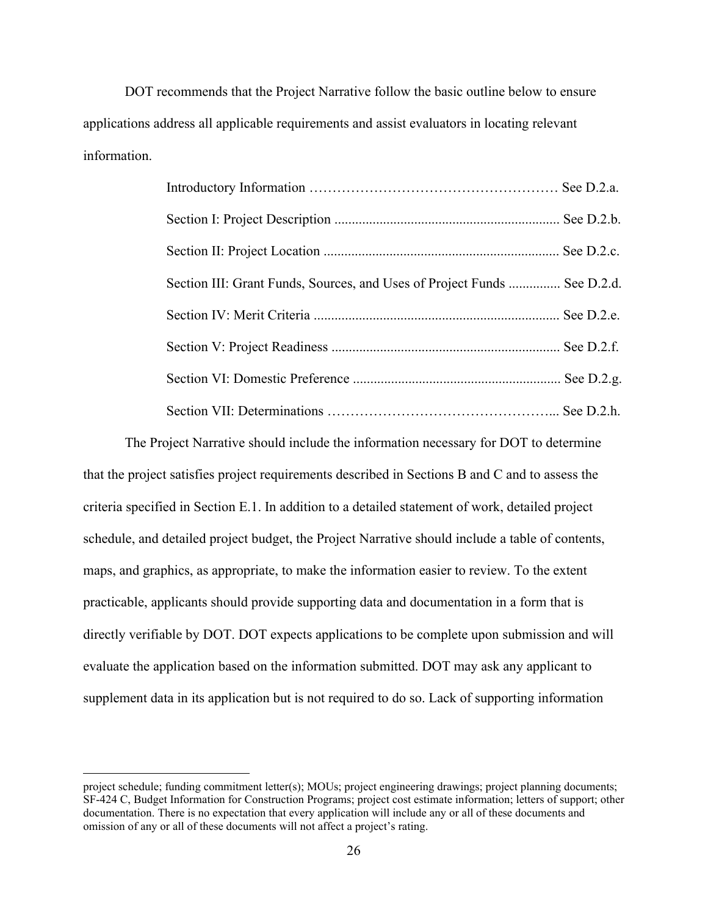DOT recommends that the Project Narrative follow the basic outline below to ensure applications address all applicable requirements and assist evaluators in locating relevant information.

| Section III: Grant Funds, Sources, and Uses of Project Funds  See D.2.d. |  |
|--------------------------------------------------------------------------|--|
|                                                                          |  |
|                                                                          |  |
|                                                                          |  |
|                                                                          |  |

 The Project Narrative should include the information necessary for DOT to determine that the project satisfies project requirements described in Sections B and C and to assess the criteria specified in Section E.1. In addition to a detailed statement of work, detailed project schedule, and detailed project budget, the Project Narrative should include a table of contents, maps, and graphics, as appropriate, to make the information easier to review. To the extent practicable, applicants should provide supporting data and documentation in a form that is directly verifiable by DOT. DOT expects applications to be complete upon submission and will evaluate the application based on the information submitted. DOT may ask any applicant to supplement data in its application but is not required to do so. Lack of supporting information

project schedule; funding commitment letter(s); MOUs; project engineering drawings; project planning documents; SF-424 C, Budget Information for Construction Programs; project cost estimate information; letters of support; other documentation. There is no expectation that every application will include any or all of these documents and omission of any or all of these documents will not affect a project's rating.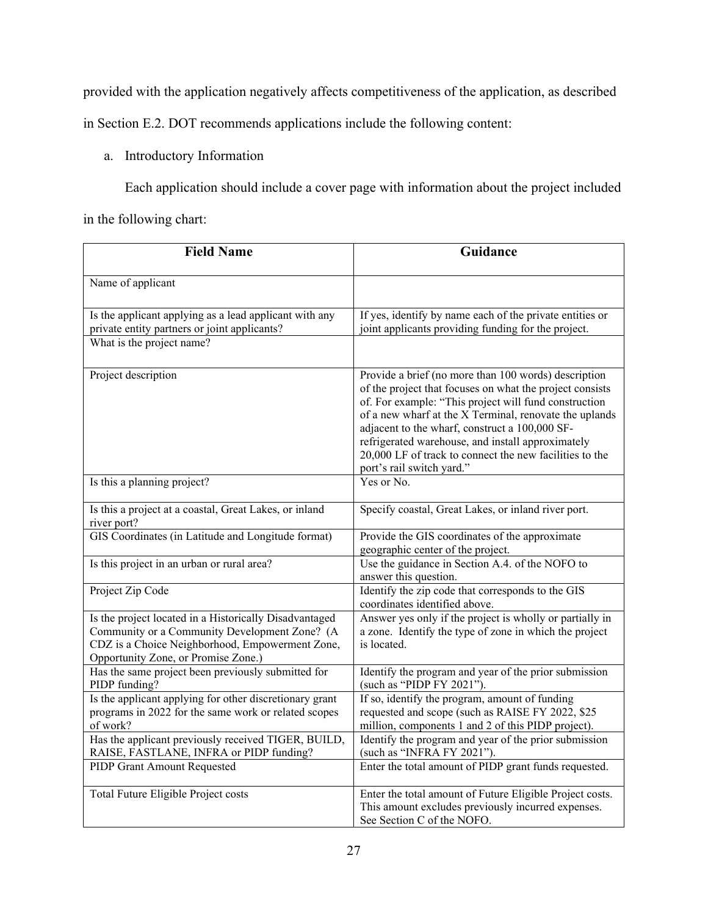provided with the application negatively affects competitiveness of the application, as described

in Section E.2. DOT recommends applications include the following content:

# a. Introductory Information

Each application should include a cover page with information about the project included

in the following chart:

| <b>Field Name</b>                                                                                                                                                                                 | Guidance                                                                                                                                                                                                                                                                                                                                                                                                                           |
|---------------------------------------------------------------------------------------------------------------------------------------------------------------------------------------------------|------------------------------------------------------------------------------------------------------------------------------------------------------------------------------------------------------------------------------------------------------------------------------------------------------------------------------------------------------------------------------------------------------------------------------------|
| Name of applicant                                                                                                                                                                                 |                                                                                                                                                                                                                                                                                                                                                                                                                                    |
| Is the applicant applying as a lead applicant with any<br>private entity partners or joint applicants?                                                                                            | If yes, identify by name each of the private entities or<br>joint applicants providing funding for the project.                                                                                                                                                                                                                                                                                                                    |
| What is the project name?                                                                                                                                                                         |                                                                                                                                                                                                                                                                                                                                                                                                                                    |
| Project description                                                                                                                                                                               | Provide a brief (no more than 100 words) description<br>of the project that focuses on what the project consists<br>of. For example: "This project will fund construction<br>of a new wharf at the X Terminal, renovate the uplands<br>adjacent to the wharf, construct a 100,000 SF-<br>refrigerated warehouse, and install approximately<br>20,000 LF of track to connect the new facilities to the<br>port's rail switch yard." |
| Is this a planning project?                                                                                                                                                                       | Yes or No.                                                                                                                                                                                                                                                                                                                                                                                                                         |
| Is this a project at a coastal, Great Lakes, or inland<br>river port?                                                                                                                             | Specify coastal, Great Lakes, or inland river port.                                                                                                                                                                                                                                                                                                                                                                                |
| GIS Coordinates (in Latitude and Longitude format)                                                                                                                                                | Provide the GIS coordinates of the approximate<br>geographic center of the project.                                                                                                                                                                                                                                                                                                                                                |
| Is this project in an urban or rural area?                                                                                                                                                        | Use the guidance in Section A.4. of the NOFO to<br>answer this question.                                                                                                                                                                                                                                                                                                                                                           |
| Project Zip Code                                                                                                                                                                                  | Identify the zip code that corresponds to the GIS<br>coordinates identified above.                                                                                                                                                                                                                                                                                                                                                 |
| Is the project located in a Historically Disadvantaged<br>Community or a Community Development Zone? (A<br>CDZ is a Choice Neighborhood, Empowerment Zone,<br>Opportunity Zone, or Promise Zone.) | Answer yes only if the project is wholly or partially in<br>a zone. Identify the type of zone in which the project<br>is located.                                                                                                                                                                                                                                                                                                  |
| Has the same project been previously submitted for<br>PIDP funding?                                                                                                                               | Identify the program and year of the prior submission<br>(such as "PIDP FY 2021").                                                                                                                                                                                                                                                                                                                                                 |
| Is the applicant applying for other discretionary grant<br>programs in 2022 for the same work or related scopes<br>of work?                                                                       | If so, identify the program, amount of funding<br>requested and scope (such as RAISE FY 2022, \$25<br>million, components 1 and 2 of this PIDP project).                                                                                                                                                                                                                                                                           |
| Has the applicant previously received TIGER, BUILD,<br>RAISE, FASTLANE, INFRA or PIDP funding?                                                                                                    | Identify the program and year of the prior submission<br>(such as "INFRA FY 2021").                                                                                                                                                                                                                                                                                                                                                |
| PIDP Grant Amount Requested                                                                                                                                                                       | Enter the total amount of PIDP grant funds requested.                                                                                                                                                                                                                                                                                                                                                                              |
| Total Future Eligible Project costs                                                                                                                                                               | Enter the total amount of Future Eligible Project costs.<br>This amount excludes previously incurred expenses.<br>See Section C of the NOFO.                                                                                                                                                                                                                                                                                       |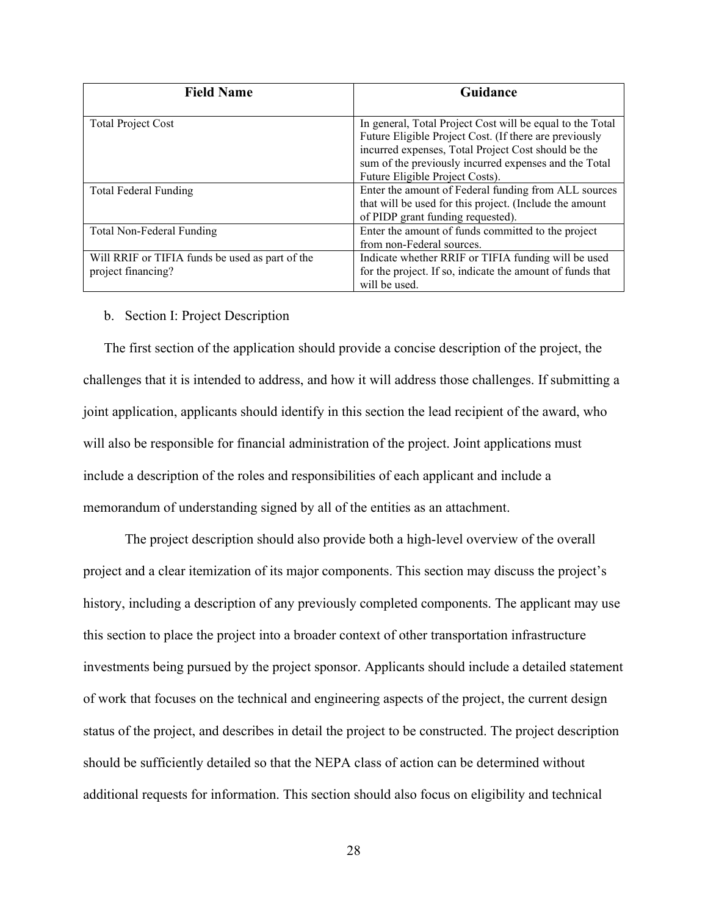| <b>Field Name</b>                                                     | Guidance                                                                                                                                                                                                                                                               |
|-----------------------------------------------------------------------|------------------------------------------------------------------------------------------------------------------------------------------------------------------------------------------------------------------------------------------------------------------------|
| <b>Total Project Cost</b>                                             | In general, Total Project Cost will be equal to the Total<br>Future Eligible Project Cost. (If there are previously<br>incurred expenses, Total Project Cost should be the<br>sum of the previously incurred expenses and the Total<br>Future Eligible Project Costs). |
| Total Federal Funding                                                 | Enter the amount of Federal funding from ALL sources<br>that will be used for this project. (Include the amount<br>of PIDP grant funding requested).                                                                                                                   |
| Total Non-Federal Funding                                             | Enter the amount of funds committed to the project<br>from non-Federal sources.                                                                                                                                                                                        |
| Will RRIF or TIFIA funds be used as part of the<br>project financing? | Indicate whether RRIF or TIFIA funding will be used<br>for the project. If so, indicate the amount of funds that<br>will be used.                                                                                                                                      |

#### b. Section I: Project Description

The first section of the application should provide a concise description of the project, the challenges that it is intended to address, and how it will address those challenges. If submitting a joint application, applicants should identify in this section the lead recipient of the award, who will also be responsible for financial administration of the project. Joint applications must include a description of the roles and responsibilities of each applicant and include a memorandum of understanding signed by all of the entities as an attachment.

The project description should also provide both a high-level overview of the overall project and a clear itemization of its major components. This section may discuss the project's history, including a description of any previously completed components. The applicant may use this section to place the project into a broader context of other transportation infrastructure investments being pursued by the project sponsor. Applicants should include a detailed statement of work that focuses on the technical and engineering aspects of the project, the current design status of the project, and describes in detail the project to be constructed. The project description should be sufficiently detailed so that the NEPA class of action can be determined without additional requests for information. This section should also focus on eligibility and technical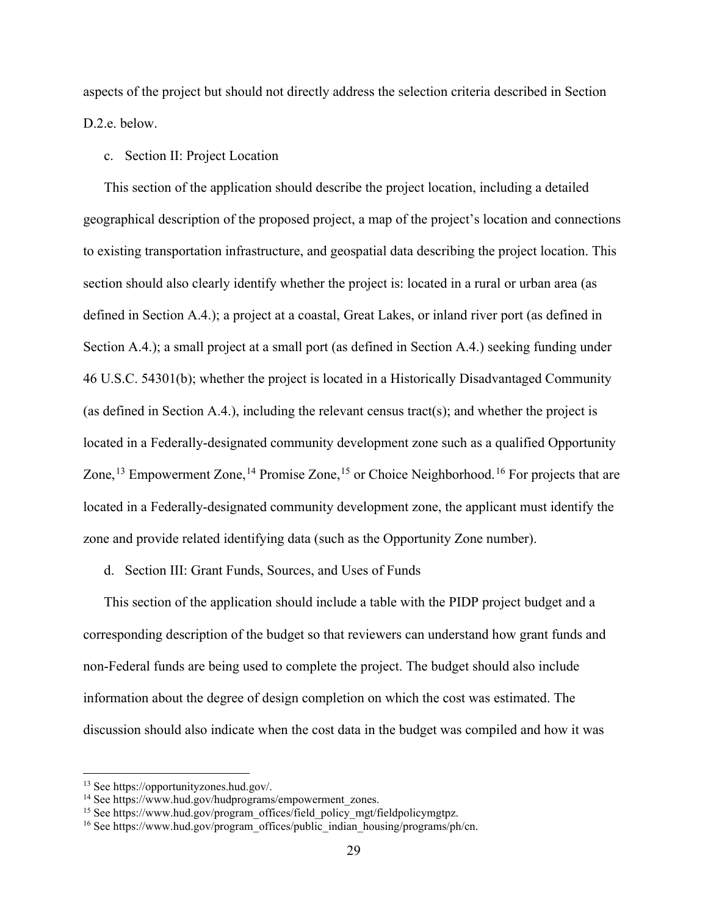aspects of the project but should not directly address the selection criteria described in Section D.2.e. below.

# c. Section II: Project Location

This section of the application should describe the project location, including a detailed geographical description of the proposed project, a map of the project's location and connections to existing transportation infrastructure, and geospatial data describing the project location. This section should also clearly identify whether the project is: located in a rural or urban area (as defined in Section A.4.); a project at a coastal, Great Lakes, or inland river port (as defined in Section A.4.); a small project at a small port (as defined in Section A.4.) seeking funding under 46 U.S.C. 54301(b); whether the project is located in a Historically Disadvantaged Community (as defined in Section A.4.), including the relevant census tract(s); and whether the project is located in a Federally-designated community development zone such as a qualified Opportunity Zone,<sup>13</sup> Empowerment Zone,<sup>14</sup> Promise Zone,<sup>15</sup> or Choice Neighborhood.<sup>16</sup> For projects that are located in a Federally-designated community development zone, the applicant must identify the zone and provide related identifying data (such as the Opportunity Zone number).

# d. Section III: Grant Funds, Sources, and Uses of Funds

This section of the application should include a table with the PIDP project budget and a corresponding description of the budget so that reviewers can understand how grant funds and non-Federal funds are being used to complete the project. The budget should also include information about the degree of design completion on which the cost was estimated. The discussion should also indicate when the cost data in the budget was compiled and how it was

<sup>&</sup>lt;sup>13</sup> See https://opportunityzones.hud.gov/.<br><sup>14</sup> See https://www.hud.gov/hudprograms/empowerment\_zones.

<sup>&</sup>lt;sup>15</sup> See https://www.hud.gov/program\_offices/field\_policy\_mgt/fieldpolicymgtpz.  $16$  See https://www.hud.gov/program\_offices/public\_indian\_housing/programs/ph/cn.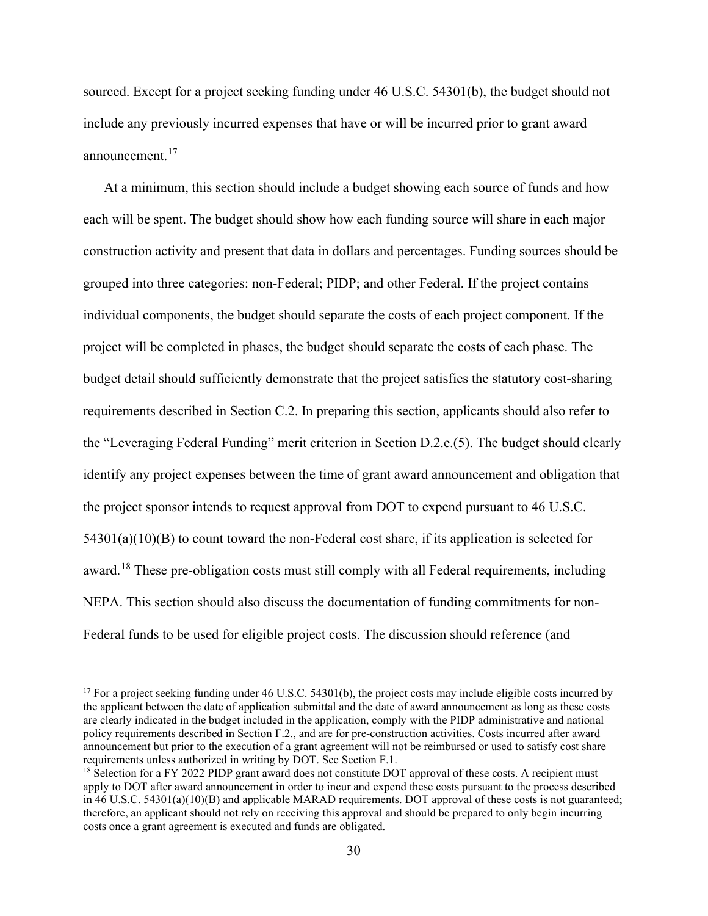sourced. Except for a project seeking funding under 46 U.S.C. 54301(b), the budget should not include any previously incurred expenses that have or will be incurred prior to grant award announcement.17

At a minimum, this section should include a budget showing each source of funds and how each will be spent. The budget should show how each funding source will share in each major construction activity and present that data in dollars and percentages. Funding sources should be grouped into three categories: non-Federal; PIDP; and other Federal. If the project contains individual components, the budget should separate the costs of each project component. If the project will be completed in phases, the budget should separate the costs of each phase. The budget detail should sufficiently demonstrate that the project satisfies the statutory cost-sharing requirements described in Section C.2. In preparing this section, applicants should also refer to the "Leveraging Federal Funding" merit criterion in Section D.2.e.(5). The budget should clearly identify any project expenses between the time of grant award announcement and obligation that the project sponsor intends to request approval from DOT to expend pursuant to 46 U.S.C.  $54301(a)(10)(B)$  to count toward the non-Federal cost share, if its application is selected for award.<sup>18</sup> These pre-obligation costs must still comply with all Federal requirements, including NEPA. This section should also discuss the documentation of funding commitments for non-Federal funds to be used for eligible project costs. The discussion should reference (and

<sup>&</sup>lt;sup>17</sup> For a project seeking funding under 46 U.S.C. 54301(b), the project costs may include eligible costs incurred by the applicant between the date of application submittal and the date of award announcement as long as these costs are clearly indicated in the budget included in the application, comply with the PIDP administrative and national policy requirements described in Section F.2., and are for pre-construction activities. Costs incurred after award announcement but prior to the execution of a grant agreement will not be reimbursed or used to satisfy cost share requirements unless authorized in writing by DOT. See Section F.1.

<sup>&</sup>lt;sup>18</sup> Selection for a FY 2022 PIDP grant award does not constitute DOT approval of these costs. A recipient must apply to DOT after award announcement in order to incur and expend these costs pursuant to the process described in 46 U.S.C. 54301(a)(10)(B) and applicable MARAD requirements. DOT approval of these costs is not guaranteed; therefore, an applicant should not rely on receiving this approval and should be prepared to only begin incurring costs once a grant agreement is executed and funds are obligated.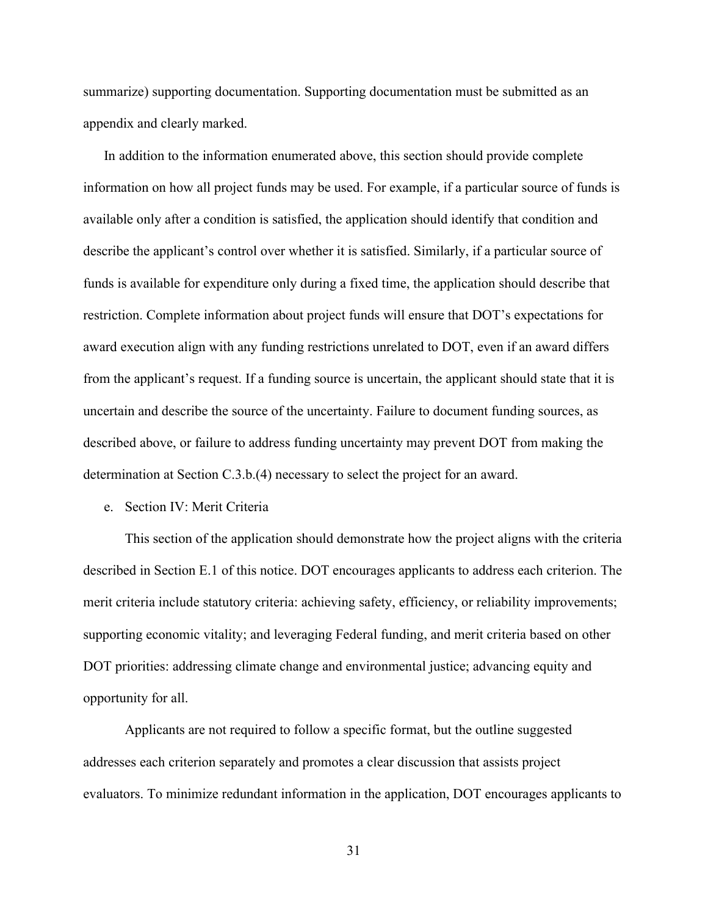summarize) supporting documentation. Supporting documentation must be submitted as an appendix and clearly marked.

In addition to the information enumerated above, this section should provide complete information on how all project funds may be used. For example, if a particular source of funds is available only after a condition is satisfied, the application should identify that condition and describe the applicant's control over whether it is satisfied. Similarly, if a particular source of funds is available for expenditure only during a fixed time, the application should describe that restriction. Complete information about project funds will ensure that DOT's expectations for award execution align with any funding restrictions unrelated to DOT, even if an award differs from the applicant's request. If a funding source is uncertain, the applicant should state that it is uncertain and describe the source of the uncertainty. Failure to document funding sources, as described above, or failure to address funding uncertainty may prevent DOT from making the determination at Section C.3.b.(4) necessary to select the project for an award.

#### e. Section IV: Merit Criteria

 This section of the application should demonstrate how the project aligns with the criteria described in Section E.1 of this notice. DOT encourages applicants to address each criterion. The merit criteria include statutory criteria: achieving safety, efficiency, or reliability improvements; supporting economic vitality; and leveraging Federal funding, and merit criteria based on other DOT priorities: addressing climate change and environmental justice; advancing equity and opportunity for all.

 Applicants are not required to follow a specific format, but the outline suggested addresses each criterion separately and promotes a clear discussion that assists project evaluators. To minimize redundant information in the application, DOT encourages applicants to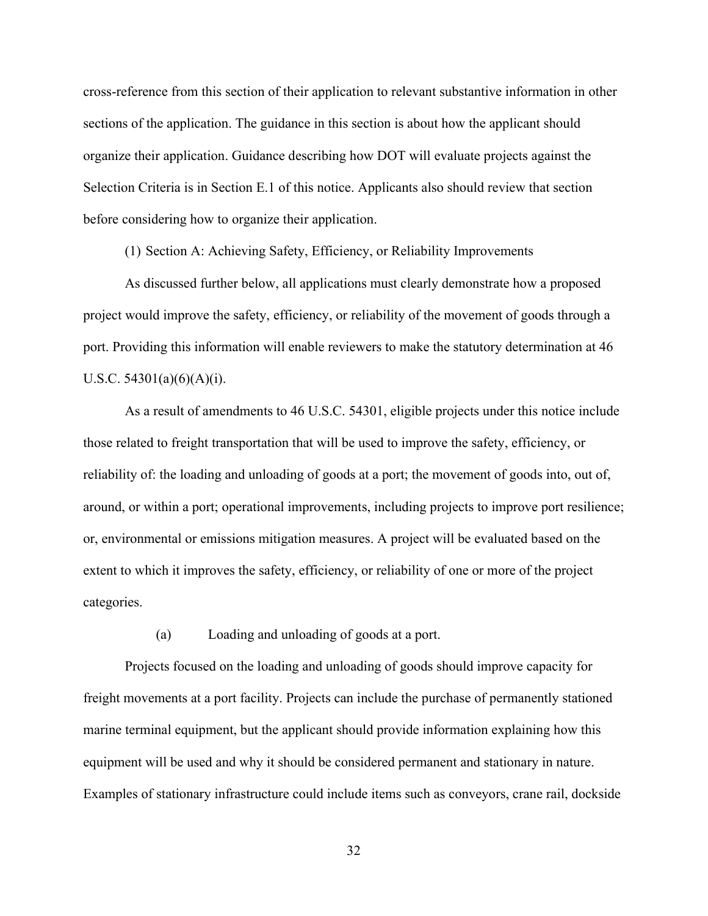cross-reference from this section of their application to relevant substantive information in other sections of the application. The guidance in this section is about how the applicant should organize their application. Guidance describing how DOT will evaluate projects against the Selection Criteria is in Section E.1 of this notice. Applicants also should review that section before considering how to organize their application.

(1) Section A: Achieving Safety, Efficiency, or Reliability Improvements

 As discussed further below, all applications must clearly demonstrate how a proposed project would improve the safety, efficiency, or reliability of the movement of goods through a port. Providing this information will enable reviewers to make the statutory determination at 46 U.S.C.  $54301(a)(6)(A)(i)$ .

 As a result of amendments to 46 U.S.C. 54301, eligible projects under this notice include those related to freight transportation that will be used to improve the safety, efficiency, or reliability of: the loading and unloading of goods at a port; the movement of goods into, out of, around, or within a port; operational improvements, including projects to improve port resilience; or, environmental or emissions mitigation measures. A project will be evaluated based on the extent to which it improves the safety, efficiency, or reliability of one or more of the project categories.

(a) Loading and unloading of goods at a port.

Projects focused on the loading and unloading of goods should improve capacity for freight movements at a port facility. Projects can include the purchase of permanently stationed marine terminal equipment, but the applicant should provide information explaining how this equipment will be used and why it should be considered permanent and stationary in nature. Examples of stationary infrastructure could include items such as conveyors, crane rail, dockside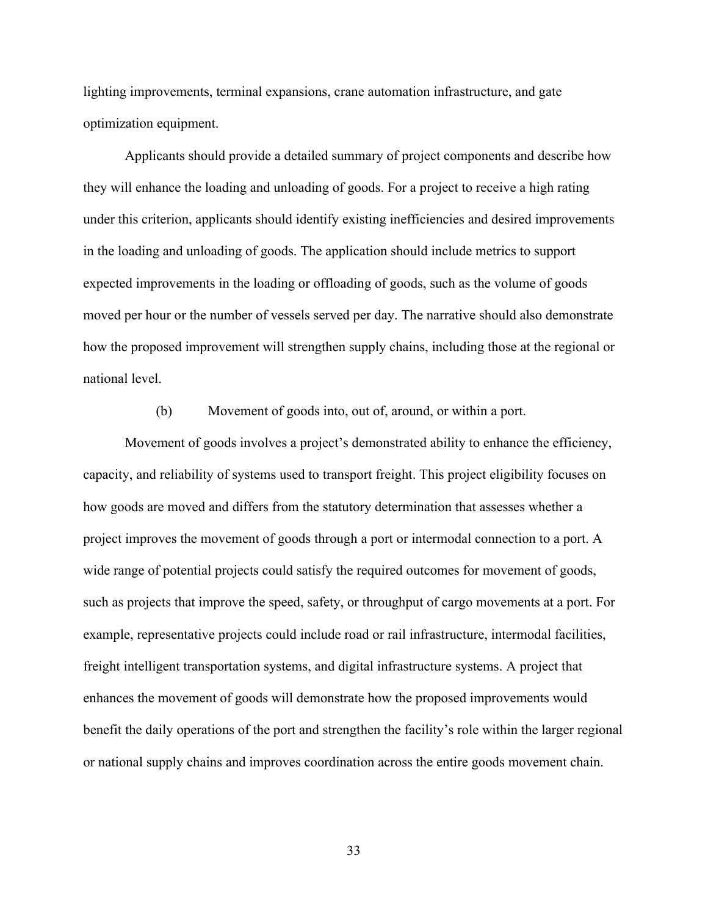lighting improvements, terminal expansions, crane automation infrastructure, and gate optimization equipment.

 Applicants should provide a detailed summary of project components and describe how they will enhance the loading and unloading of goods. For a project to receive a high rating under this criterion, applicants should identify existing inefficiencies and desired improvements in the loading and unloading of goods. The application should include metrics to support expected improvements in the loading or offloading of goods, such as the volume of goods moved per hour or the number of vessels served per day. The narrative should also demonstrate how the proposed improvement will strengthen supply chains, including those at the regional or national level.

(b) Movement of goods into, out of, around, or within a port.

 Movement of goods involves a project's demonstrated ability to enhance the efficiency, capacity, and reliability of systems used to transport freight. This project eligibility focuses on how goods are moved and differs from the statutory determination that assesses whether a project improves the movement of goods through a port or intermodal connection to a port. A wide range of potential projects could satisfy the required outcomes for movement of goods, such as projects that improve the speed, safety, or throughput of cargo movements at a port. For example, representative projects could include road or rail infrastructure, intermodal facilities, freight intelligent transportation systems, and digital infrastructure systems. A project that enhances the movement of goods will demonstrate how the proposed improvements would benefit the daily operations of the port and strengthen the facility's role within the larger regional or national supply chains and improves coordination across the entire goods movement chain.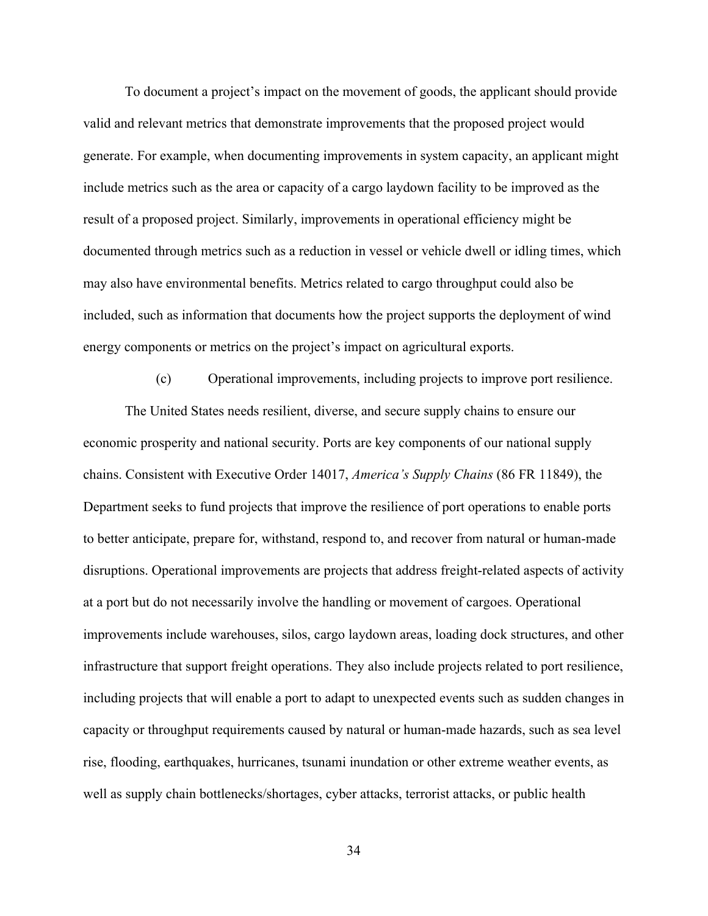To document a project's impact on the movement of goods, the applicant should provide valid and relevant metrics that demonstrate improvements that the proposed project would generate. For example, when documenting improvements in system capacity, an applicant might include metrics such as the area or capacity of a cargo laydown facility to be improved as the result of a proposed project. Similarly, improvements in operational efficiency might be documented through metrics such as a reduction in vessel or vehicle dwell or idling times, which may also have environmental benefits. Metrics related to cargo throughput could also be included, such as information that documents how the project supports the deployment of wind energy components or metrics on the project's impact on agricultural exports.

(c) Operational improvements, including projects to improve port resilience. The United States needs resilient, diverse, and secure supply chains to ensure our economic prosperity and national security. Ports are key components of our national supply chains. Consistent with Executive Order 14017, *America's Supply Chains* (86 FR 11849), the Department seeks to fund projects that improve the resilience of port operations to enable ports to better anticipate, prepare for, withstand, respond to, and recover from natural or human-made disruptions. Operational improvements are projects that address freight-related aspects of activity at a port but do not necessarily involve the handling or movement of cargoes. Operational improvements include warehouses, silos, cargo laydown areas, loading dock structures, and other infrastructure that support freight operations. They also include projects related to port resilience, including projects that will enable a port to adapt to unexpected events such as sudden changes in capacity or throughput requirements caused by natural or human-made hazards, such as sea level rise, flooding, earthquakes, hurricanes, tsunami inundation or other extreme weather events, as well as supply chain bottlenecks/shortages, cyber attacks, terrorist attacks, or public health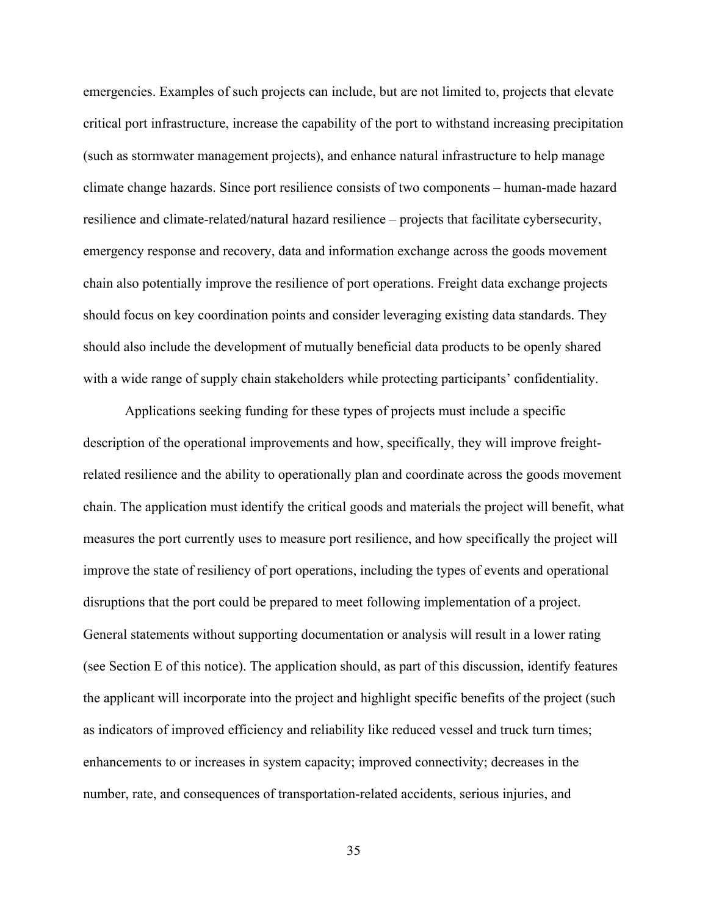emergencies. Examples of such projects can include, but are not limited to, projects that elevate critical port infrastructure, increase the capability of the port to withstand increasing precipitation (such as stormwater management projects), and enhance natural infrastructure to help manage climate change hazards. Since port resilience consists of two components – human-made hazard resilience and climate-related/natural hazard resilience – projects that facilitate cybersecurity, emergency response and recovery, data and information exchange across the goods movement chain also potentially improve the resilience of port operations. Freight data exchange projects should focus on key coordination points and consider leveraging existing data standards. They should also include the development of mutually beneficial data products to be openly shared with a wide range of supply chain stakeholders while protecting participants' confidentiality.

 Applications seeking funding for these types of projects must include a specific description of the operational improvements and how, specifically, they will improve freightrelated resilience and the ability to operationally plan and coordinate across the goods movement chain. The application must identify the critical goods and materials the project will benefit, what measures the port currently uses to measure port resilience, and how specifically the project will improve the state of resiliency of port operations, including the types of events and operational disruptions that the port could be prepared to meet following implementation of a project. General statements without supporting documentation or analysis will result in a lower rating (see Section E of this notice). The application should, as part of this discussion, identify features the applicant will incorporate into the project and highlight specific benefits of the project (such as indicators of improved efficiency and reliability like reduced vessel and truck turn times; enhancements to or increases in system capacity; improved connectivity; decreases in the number, rate, and consequences of transportation-related accidents, serious injuries, and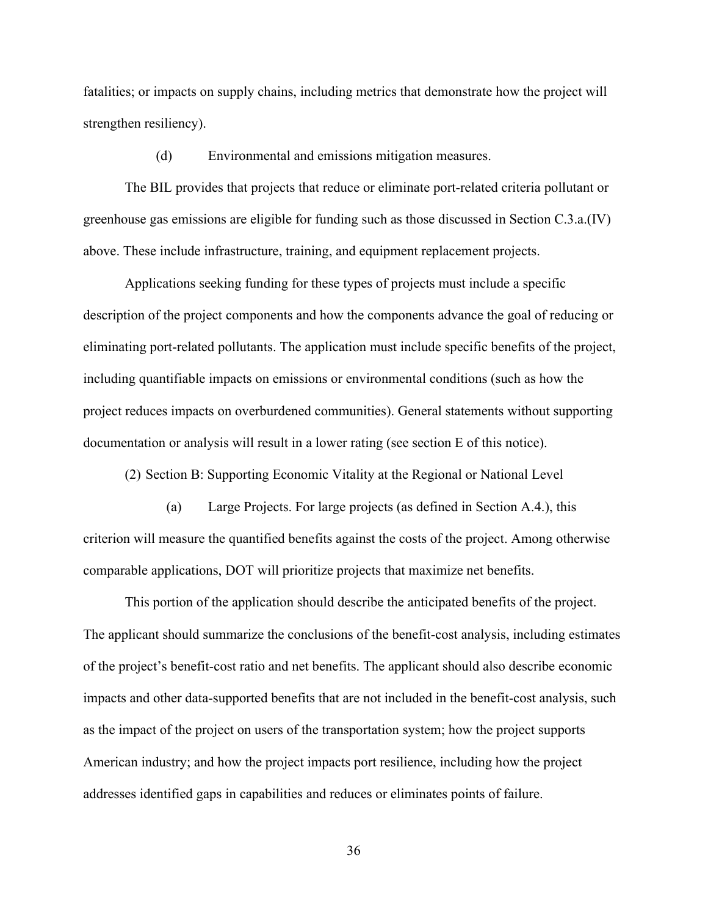fatalities; or impacts on supply chains, including metrics that demonstrate how the project will strengthen resiliency).

(d) Environmental and emissions mitigation measures.

 The BIL provides that projects that reduce or eliminate port-related criteria pollutant or greenhouse gas emissions are eligible for funding such as those discussed in Section C.3.a.(IV) above. These include infrastructure, training, and equipment replacement projects.

 Applications seeking funding for these types of projects must include a specific description of the project components and how the components advance the goal of reducing or eliminating port-related pollutants. The application must include specific benefits of the project, including quantifiable impacts on emissions or environmental conditions (such as how the project reduces impacts on overburdened communities). General statements without supporting documentation or analysis will result in a lower rating (see section E of this notice).

(2) Section B: Supporting Economic Vitality at the Regional or National Level

(a) Large Projects. For large projects (as defined in Section A.4.), this criterion will measure the quantified benefits against the costs of the project. Among otherwise comparable applications, DOT will prioritize projects that maximize net benefits.

This portion of the application should describe the anticipated benefits of the project. The applicant should summarize the conclusions of the benefit-cost analysis, including estimates of the project's benefit-cost ratio and net benefits. The applicant should also describe economic impacts and other data-supported benefits that are not included in the benefit-cost analysis, such as the impact of the project on users of the transportation system; how the project supports American industry; and how the project impacts port resilience, including how the project addresses identified gaps in capabilities and reduces or eliminates points of failure.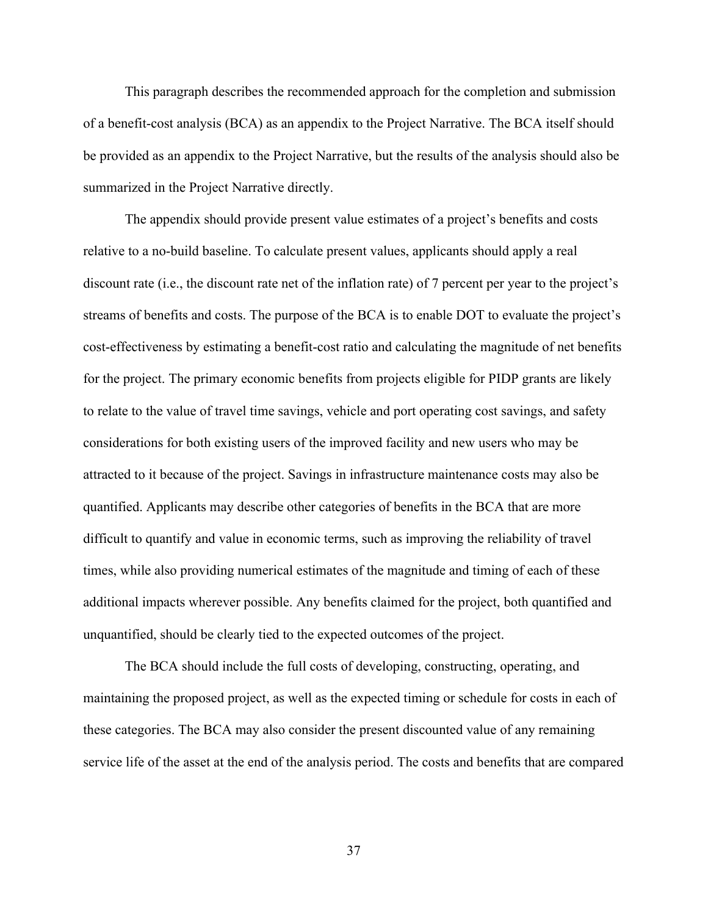This paragraph describes the recommended approach for the completion and submission of a benefit-cost analysis (BCA) as an appendix to the Project Narrative. The BCA itself should be provided as an appendix to the Project Narrative, but the results of the analysis should also be summarized in the Project Narrative directly.

The appendix should provide present value estimates of a project's benefits and costs relative to a no-build baseline. To calculate present values, applicants should apply a real discount rate (i.e., the discount rate net of the inflation rate) of 7 percent per year to the project's streams of benefits and costs. The purpose of the BCA is to enable DOT to evaluate the project's cost-effectiveness by estimating a benefit-cost ratio and calculating the magnitude of net benefits for the project. The primary economic benefits from projects eligible for PIDP grants are likely to relate to the value of travel time savings, vehicle and port operating cost savings, and safety considerations for both existing users of the improved facility and new users who may be attracted to it because of the project. Savings in infrastructure maintenance costs may also be quantified. Applicants may describe other categories of benefits in the BCA that are more difficult to quantify and value in economic terms, such as improving the reliability of travel times, while also providing numerical estimates of the magnitude and timing of each of these additional impacts wherever possible. Any benefits claimed for the project, both quantified and unquantified, should be clearly tied to the expected outcomes of the project.

The BCA should include the full costs of developing, constructing, operating, and maintaining the proposed project, as well as the expected timing or schedule for costs in each of these categories. The BCA may also consider the present discounted value of any remaining service life of the asset at the end of the analysis period. The costs and benefits that are compared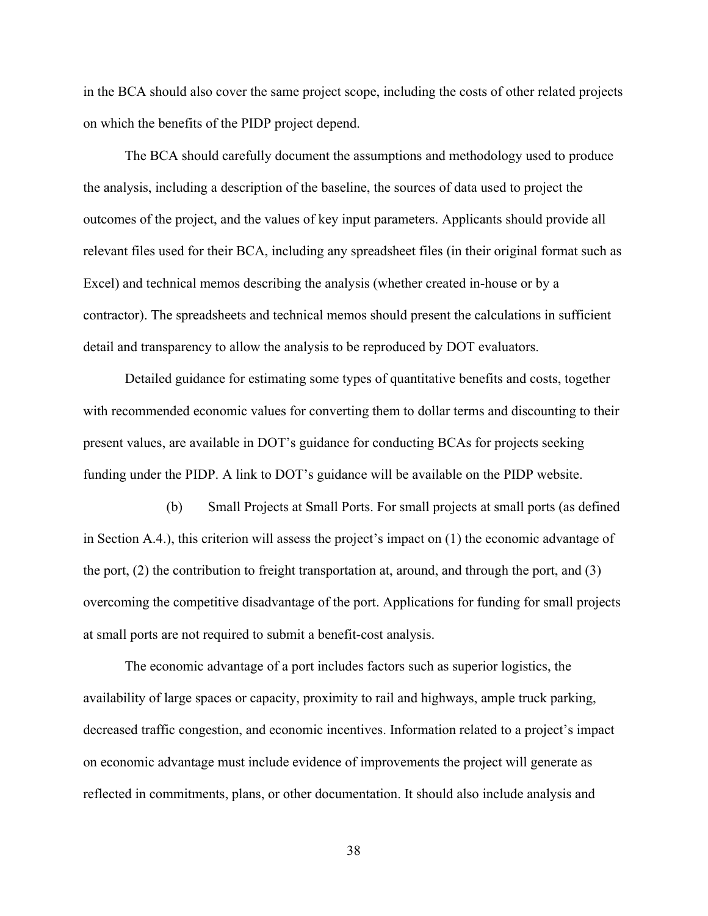in the BCA should also cover the same project scope, including the costs of other related projects on which the benefits of the PIDP project depend.

The BCA should carefully document the assumptions and methodology used to produce the analysis, including a description of the baseline, the sources of data used to project the outcomes of the project, and the values of key input parameters. Applicants should provide all relevant files used for their BCA, including any spreadsheet files (in their original format such as Excel) and technical memos describing the analysis (whether created in-house or by a contractor). The spreadsheets and technical memos should present the calculations in sufficient detail and transparency to allow the analysis to be reproduced by DOT evaluators.

Detailed guidance for estimating some types of quantitative benefits and costs, together with recommended economic values for converting them to dollar terms and discounting to their present values, are available in DOT's guidance for conducting BCAs for projects seeking funding under the PIDP. A link to DOT's guidance will be available on the PIDP website.

(b) Small Projects at Small Ports. For small projects at small ports (as defined in Section A.4.), this criterion will assess the project's impact on (1) the economic advantage of the port, (2) the contribution to freight transportation at, around, and through the port, and (3) overcoming the competitive disadvantage of the port. Applications for funding for small projects at small ports are not required to submit a benefit-cost analysis.

The economic advantage of a port includes factors such as superior logistics, the availability of large spaces or capacity, proximity to rail and highways, ample truck parking, decreased traffic congestion, and economic incentives. Information related to a project's impact on economic advantage must include evidence of improvements the project will generate as reflected in commitments, plans, or other documentation. It should also include analysis and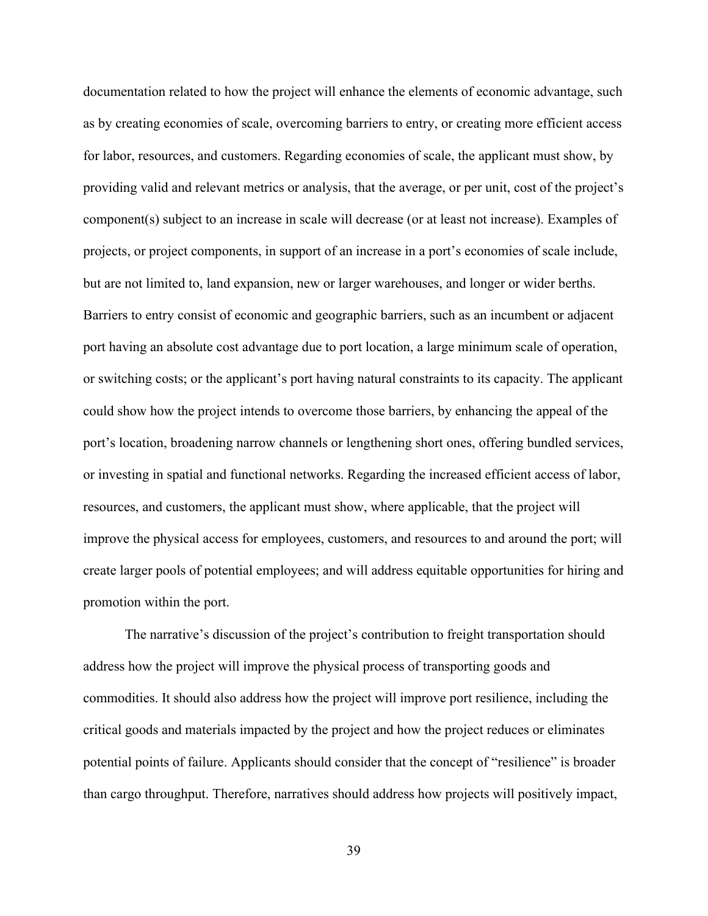documentation related to how the project will enhance the elements of economic advantage, such as by creating economies of scale, overcoming barriers to entry, or creating more efficient access for labor, resources, and customers. Regarding economies of scale, the applicant must show, by providing valid and relevant metrics or analysis, that the average, or per unit, cost of the project's component(s) subject to an increase in scale will decrease (or at least not increase). Examples of projects, or project components, in support of an increase in a port's economies of scale include, but are not limited to, land expansion, new or larger warehouses, and longer or wider berths. Barriers to entry consist of economic and geographic barriers, such as an incumbent or adjacent port having an absolute cost advantage due to port location, a large minimum scale of operation, or switching costs; or the applicant's port having natural constraints to its capacity. The applicant could show how the project intends to overcome those barriers, by enhancing the appeal of the port's location, broadening narrow channels or lengthening short ones, offering bundled services, or investing in spatial and functional networks. Regarding the increased efficient access of labor, resources, and customers, the applicant must show, where applicable, that the project will improve the physical access for employees, customers, and resources to and around the port; will create larger pools of potential employees; and will address equitable opportunities for hiring and promotion within the port.

The narrative's discussion of the project's contribution to freight transportation should address how the project will improve the physical process of transporting goods and commodities. It should also address how the project will improve port resilience, including the critical goods and materials impacted by the project and how the project reduces or eliminates potential points of failure. Applicants should consider that the concept of "resilience" is broader than cargo throughput. Therefore, narratives should address how projects will positively impact,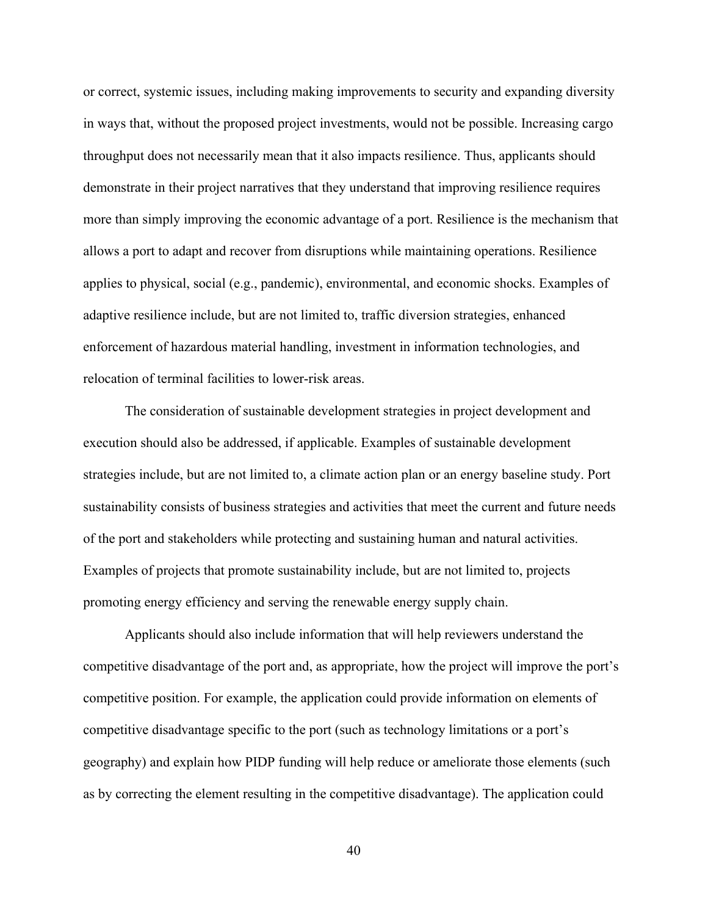or correct, systemic issues, including making improvements to security and expanding diversity in ways that, without the proposed project investments, would not be possible. Increasing cargo throughput does not necessarily mean that it also impacts resilience. Thus, applicants should demonstrate in their project narratives that they understand that improving resilience requires more than simply improving the economic advantage of a port. Resilience is the mechanism that allows a port to adapt and recover from disruptions while maintaining operations. Resilience applies to physical, social (e.g., pandemic), environmental, and economic shocks. Examples of adaptive resilience include, but are not limited to, traffic diversion strategies, enhanced enforcement of hazardous material handling, investment in information technologies, and relocation of terminal facilities to lower-risk areas.

The consideration of sustainable development strategies in project development and execution should also be addressed, if applicable. Examples of sustainable development strategies include, but are not limited to, a climate action plan or an energy baseline study. Port sustainability consists of business strategies and activities that meet the current and future needs of the port and stakeholders while protecting and sustaining human and natural activities. Examples of projects that promote sustainability include, but are not limited to, projects promoting energy efficiency and serving the renewable energy supply chain.

 Applicants should also include information that will help reviewers understand the competitive disadvantage of the port and, as appropriate, how the project will improve the port's competitive position. For example, the application could provide information on elements of competitive disadvantage specific to the port (such as technology limitations or a port's geography) and explain how PIDP funding will help reduce or ameliorate those elements (such as by correcting the element resulting in the competitive disadvantage). The application could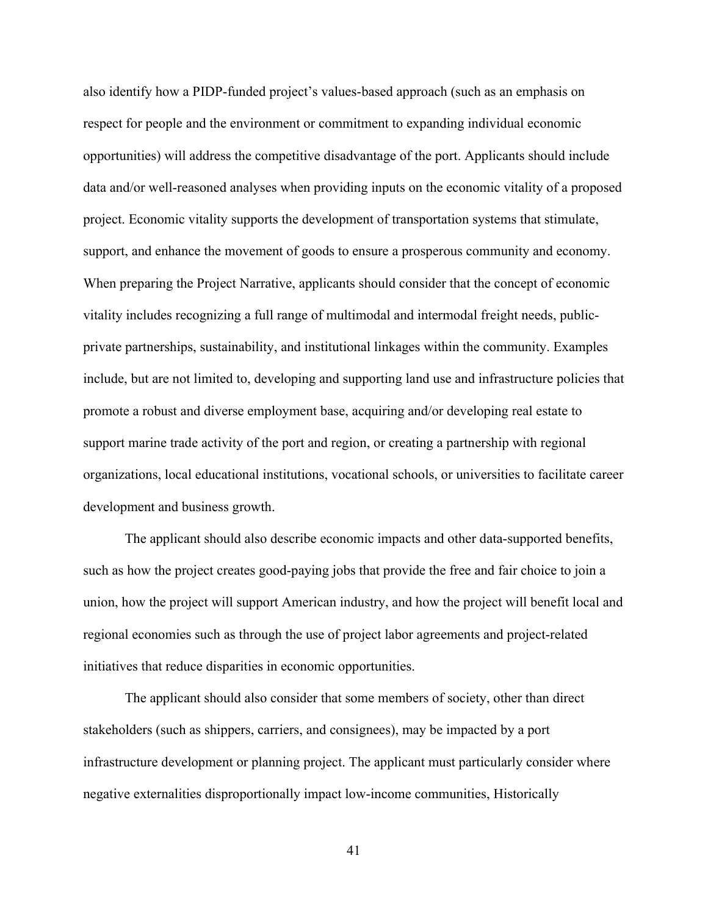also identify how a PIDP-funded project's values-based approach (such as an emphasis on respect for people and the environment or commitment to expanding individual economic opportunities) will address the competitive disadvantage of the port. Applicants should include data and/or well-reasoned analyses when providing inputs on the economic vitality of a proposed project. Economic vitality supports the development of transportation systems that stimulate, support, and enhance the movement of goods to ensure a prosperous community and economy. When preparing the Project Narrative, applicants should consider that the concept of economic vitality includes recognizing a full range of multimodal and intermodal freight needs, publicprivate partnerships, sustainability, and institutional linkages within the community. Examples include, but are not limited to, developing and supporting land use and infrastructure policies that promote a robust and diverse employment base, acquiring and/or developing real estate to support marine trade activity of the port and region, or creating a partnership with regional organizations, local educational institutions, vocational schools, or universities to facilitate career development and business growth.

 The applicant should also describe economic impacts and other data-supported benefits, such as how the project creates good-paying jobs that provide the free and fair choice to join a union, how the project will support American industry, and how the project will benefit local and regional economies such as through the use of project labor agreements and project-related initiatives that reduce disparities in economic opportunities.

 The applicant should also consider that some members of society, other than direct stakeholders (such as shippers, carriers, and consignees), may be impacted by a port infrastructure development or planning project. The applicant must particularly consider where negative externalities disproportionally impact low-income communities, Historically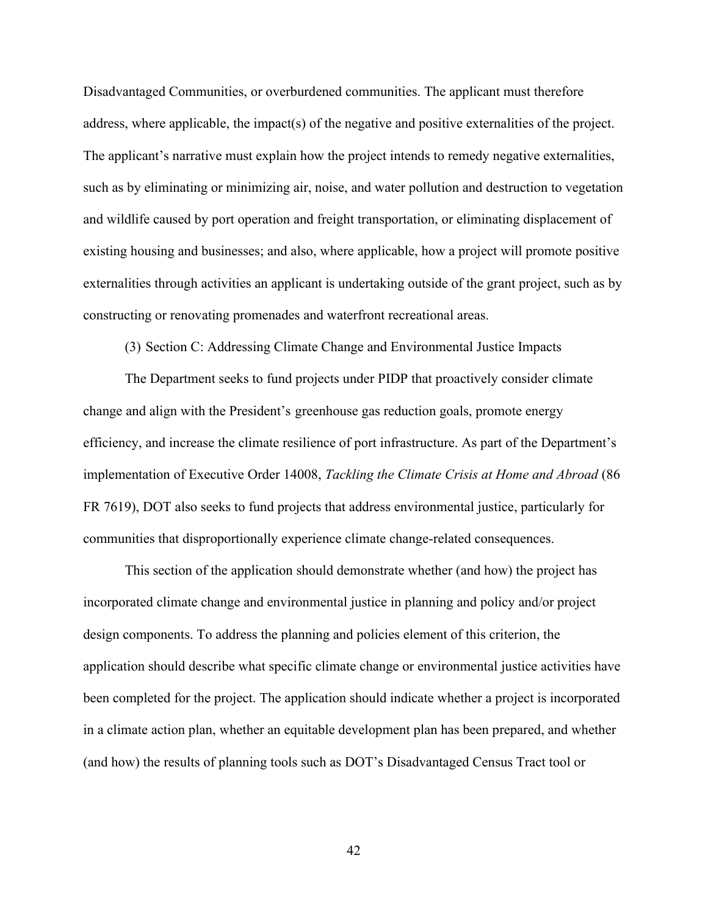Disadvantaged Communities, or overburdened communities. The applicant must therefore address, where applicable, the impact(s) of the negative and positive externalities of the project. The applicant's narrative must explain how the project intends to remedy negative externalities, such as by eliminating or minimizing air, noise, and water pollution and destruction to vegetation and wildlife caused by port operation and freight transportation, or eliminating displacement of existing housing and businesses; and also, where applicable, how a project will promote positive externalities through activities an applicant is undertaking outside of the grant project, such as by constructing or renovating promenades and waterfront recreational areas.

(3) Section C: Addressing Climate Change and Environmental Justice Impacts

The Department seeks to fund projects under PIDP that proactively consider climate change and align with the President's greenhouse gas reduction goals, promote energy efficiency, and increase the climate resilience of port infrastructure. As part of the Department's implementation of Executive Order 14008, *Tackling the Climate Crisis at Home and Abroad* (86 FR 7619), DOT also seeks to fund projects that address environmental justice, particularly for communities that disproportionally experience climate change-related consequences.

This section of the application should demonstrate whether (and how) the project has incorporated climate change and environmental justice in planning and policy and/or project design components. To address the planning and policies element of this criterion, the application should describe what specific climate change or environmental justice activities have been completed for the project. The application should indicate whether a project is incorporated in a climate action plan, whether an equitable development plan has been prepared, and whether (and how) the results of planning tools such as DOT's Disadvantaged Census Tract tool or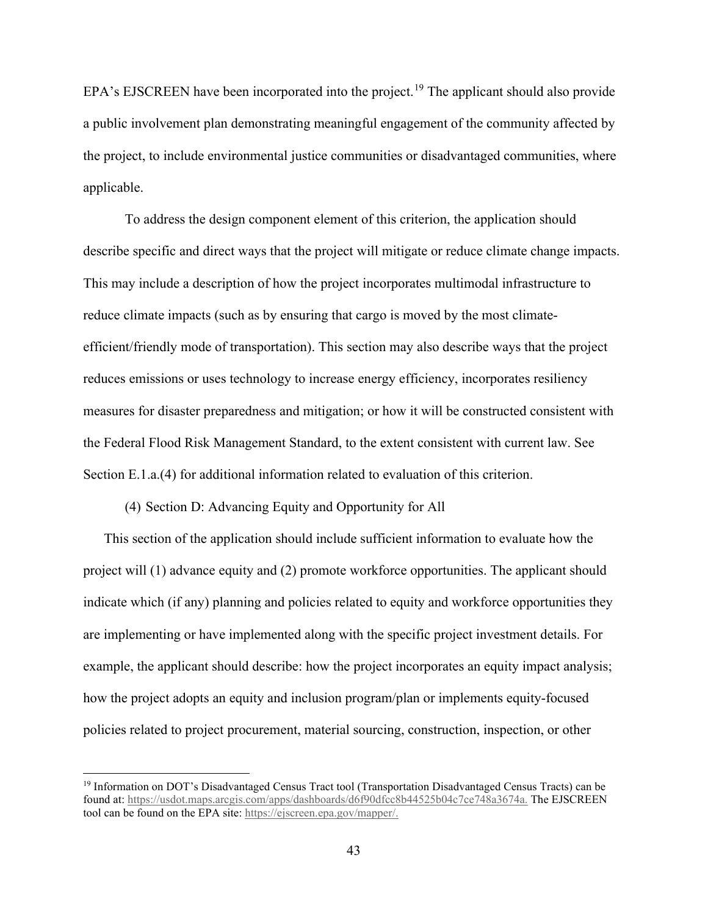EPA's EJSCREEN have been incorporated into the project.<sup>19</sup> The applicant should also provide a public involvement plan demonstrating meaningful engagement of the community affected by the project, to include environmental justice communities or disadvantaged communities, where applicable.

To address the design component element of this criterion, the application should describe specific and direct ways that the project will mitigate or reduce climate change impacts. This may include a description of how the project incorporates multimodal infrastructure to reduce climate impacts (such as by ensuring that cargo is moved by the most climateefficient/friendly mode of transportation). This section may also describe ways that the project reduces emissions or uses technology to increase energy efficiency, incorporates resiliency measures for disaster preparedness and mitigation; or how it will be constructed consistent with the Federal Flood Risk Management Standard, to the extent consistent with current law. See Section E.1.a.(4) for additional information related to evaluation of this criterion.

#### (4) Section D: Advancing Equity and Opportunity for All

This section of the application should include sufficient information to evaluate how the project will (1) advance equity and (2) promote workforce opportunities. The applicant should indicate which (if any) planning and policies related to equity and workforce opportunities they are implementing or have implemented along with the specific project investment details. For example, the applicant should describe: how the project incorporates an equity impact analysis; how the project adopts an equity and inclusion program/plan or implements equity-focused policies related to project procurement, material sourcing, construction, inspection, or other

<sup>19</sup> Information on DOT's Disadvantaged Census Tract tool (Transportation Disadvantaged Census Tracts) can be found at: https://usdot.maps.arcgis.com/apps/dashboards/d6f90dfcc8b44525b04c7ce748a3674a. The EJSCREEN tool can be found on the EPA site: https://ejscreen.epa.gov/mapper/.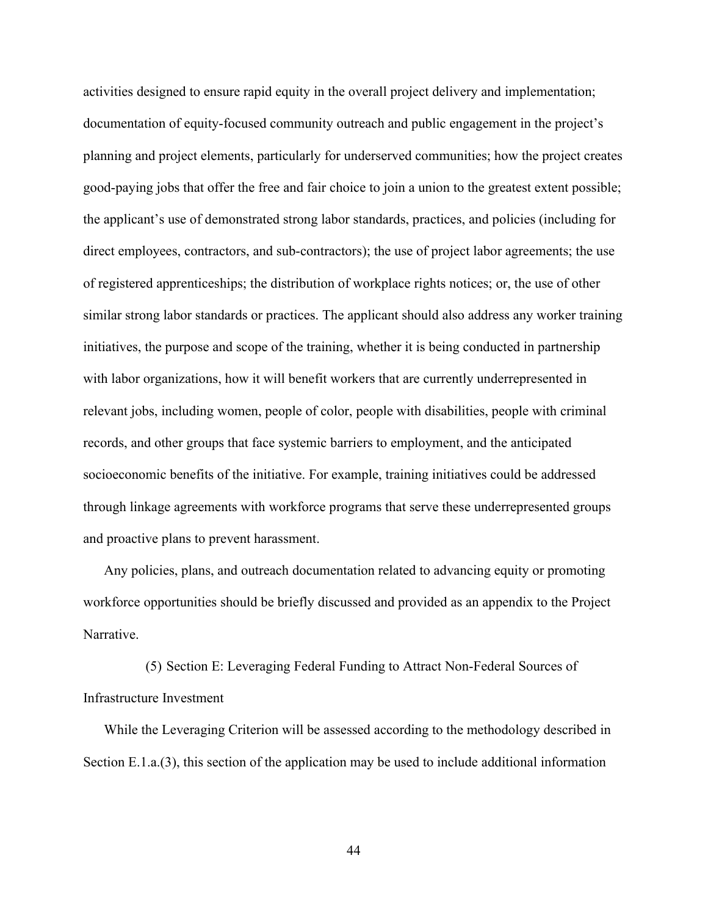activities designed to ensure rapid equity in the overall project delivery and implementation; documentation of equity-focused community outreach and public engagement in the project's planning and project elements, particularly for underserved communities; how the project creates good-paying jobs that offer the free and fair choice to join a union to the greatest extent possible; the applicant's use of demonstrated strong labor standards, practices, and policies (including for direct employees, contractors, and sub-contractors); the use of project labor agreements; the use of registered apprenticeships; the distribution of workplace rights notices; or, the use of other similar strong labor standards or practices. The applicant should also address any worker training initiatives, the purpose and scope of the training, whether it is being conducted in partnership with labor organizations, how it will benefit workers that are currently underrepresented in relevant jobs, including women, people of color, people with disabilities, people with criminal records, and other groups that face systemic barriers to employment, and the anticipated socioeconomic benefits of the initiative. For example, training initiatives could be addressed through linkage agreements with workforce programs that serve these underrepresented groups and proactive plans to prevent harassment.

Any policies, plans, and outreach documentation related to advancing equity or promoting workforce opportunities should be briefly discussed and provided as an appendix to the Project Narrative.

(5) Section E: Leveraging Federal Funding to Attract Non-Federal Sources of Infrastructure Investment

While the Leveraging Criterion will be assessed according to the methodology described in Section E.1.a.(3), this section of the application may be used to include additional information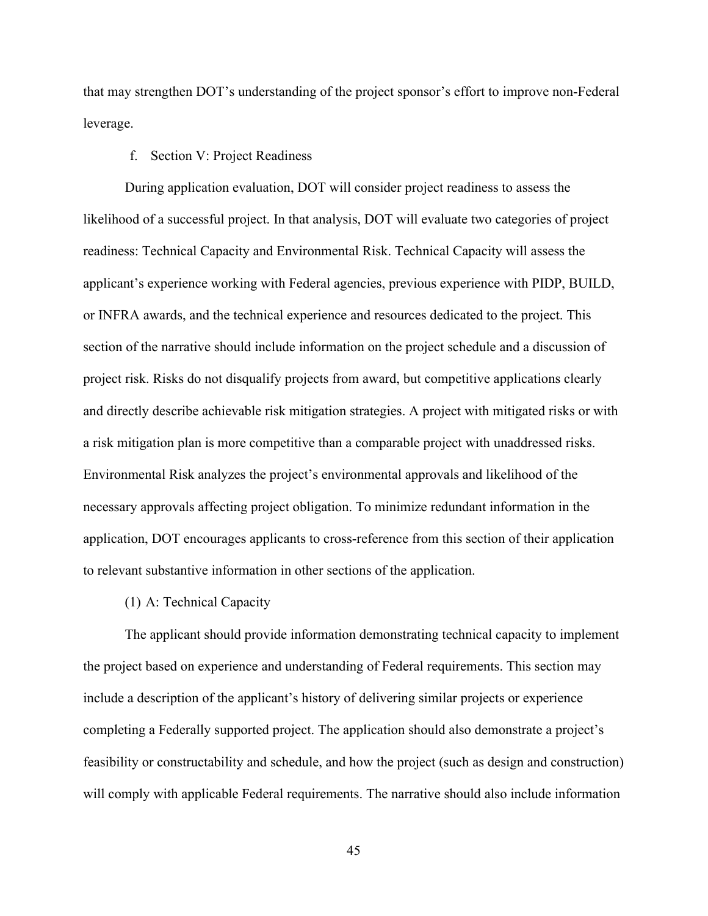that may strengthen DOT's understanding of the project sponsor's effort to improve non-Federal leverage.

## f. Section V: Project Readiness

During application evaluation, DOT will consider project readiness to assess the likelihood of a successful project. In that analysis, DOT will evaluate two categories of project readiness: Technical Capacity and Environmental Risk. Technical Capacity will assess the applicant's experience working with Federal agencies, previous experience with PIDP, BUILD, or INFRA awards, and the technical experience and resources dedicated to the project. This section of the narrative should include information on the project schedule and a discussion of project risk. Risks do not disqualify projects from award, but competitive applications clearly and directly describe achievable risk mitigation strategies. A project with mitigated risks or with a risk mitigation plan is more competitive than a comparable project with unaddressed risks. Environmental Risk analyzes the project's environmental approvals and likelihood of the necessary approvals affecting project obligation. To minimize redundant information in the application, DOT encourages applicants to cross-reference from this section of their application to relevant substantive information in other sections of the application.

# (1) A: Technical Capacity

The applicant should provide information demonstrating technical capacity to implement the project based on experience and understanding of Federal requirements. This section may include a description of the applicant's history of delivering similar projects or experience completing a Federally supported project. The application should also demonstrate a project's feasibility or constructability and schedule, and how the project (such as design and construction) will comply with applicable Federal requirements. The narrative should also include information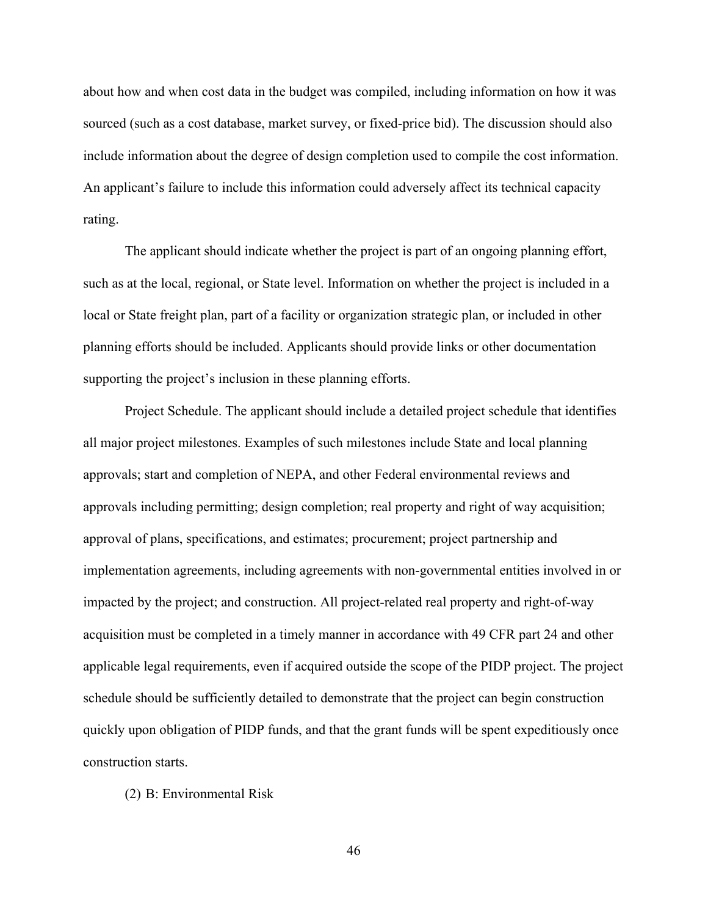about how and when cost data in the budget was compiled, including information on how it was sourced (such as a cost database, market survey, or fixed-price bid). The discussion should also include information about the degree of design completion used to compile the cost information. An applicant's failure to include this information could adversely affect its technical capacity rating.

The applicant should indicate whether the project is part of an ongoing planning effort, such as at the local, regional, or State level. Information on whether the project is included in a local or State freight plan, part of a facility or organization strategic plan, or included in other planning efforts should be included. Applicants should provide links or other documentation supporting the project's inclusion in these planning efforts.

 Project Schedule. The applicant should include a detailed project schedule that identifies all major project milestones. Examples of such milestones include State and local planning approvals; start and completion of NEPA, and other Federal environmental reviews and approvals including permitting; design completion; real property and right of way acquisition; approval of plans, specifications, and estimates; procurement; project partnership and implementation agreements, including agreements with non-governmental entities involved in or impacted by the project; and construction. All project-related real property and right-of-way acquisition must be completed in a timely manner in accordance with 49 CFR part 24 and other applicable legal requirements, even if acquired outside the scope of the PIDP project. The project schedule should be sufficiently detailed to demonstrate that the project can begin construction quickly upon obligation of PIDP funds, and that the grant funds will be spent expeditiously once construction starts.

(2) B: Environmental Risk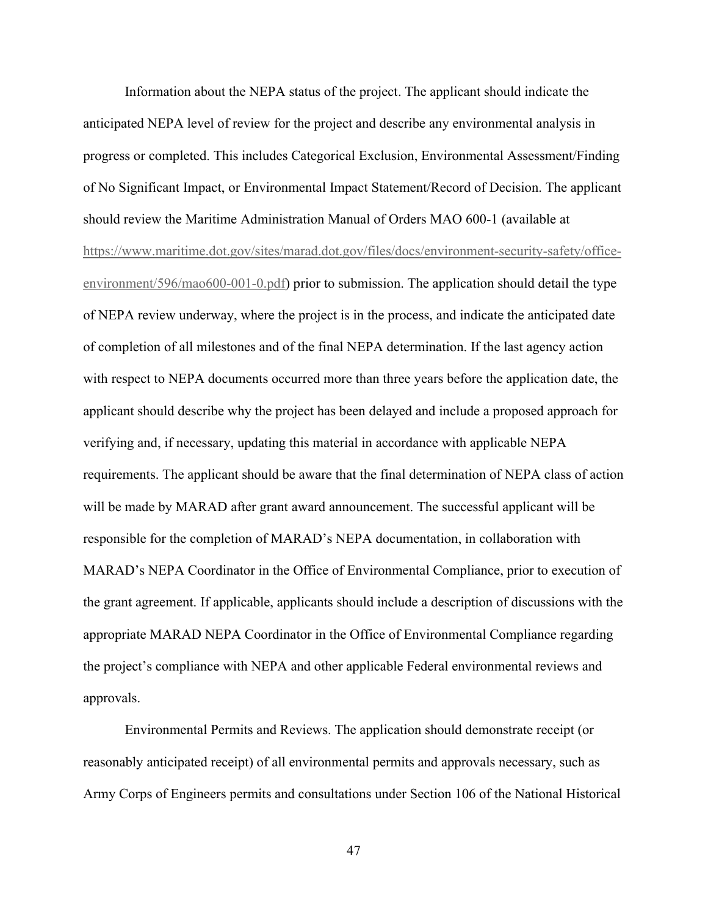Information about the NEPA status of the project. The applicant should indicate the anticipated NEPA level of review for the project and describe any environmental analysis in progress or completed. This includes Categorical Exclusion, Environmental Assessment/Finding of No Significant Impact, or Environmental Impact Statement/Record of Decision. The applicant should review the Maritime Administration Manual of Orders MAO 600-1 (available at https://www.maritime.dot.gov/sites/marad.dot.gov/files/docs/environment-security-safety/officeenvironment/596/mao600-001-0.pdf) prior to submission. The application should detail the type of NEPA review underway, where the project is in the process, and indicate the anticipated date of completion of all milestones and of the final NEPA determination. If the last agency action with respect to NEPA documents occurred more than three years before the application date, the applicant should describe why the project has been delayed and include a proposed approach for verifying and, if necessary, updating this material in accordance with applicable NEPA requirements. The applicant should be aware that the final determination of NEPA class of action will be made by MARAD after grant award announcement. The successful applicant will be responsible for the completion of MARAD's NEPA documentation, in collaboration with MARAD's NEPA Coordinator in the Office of Environmental Compliance, prior to execution of the grant agreement. If applicable, applicants should include a description of discussions with the appropriate MARAD NEPA Coordinator in the Office of Environmental Compliance regarding the project's compliance with NEPA and other applicable Federal environmental reviews and approvals.

 Environmental Permits and Reviews. The application should demonstrate receipt (or reasonably anticipated receipt) of all environmental permits and approvals necessary, such as Army Corps of Engineers permits and consultations under Section 106 of the National Historical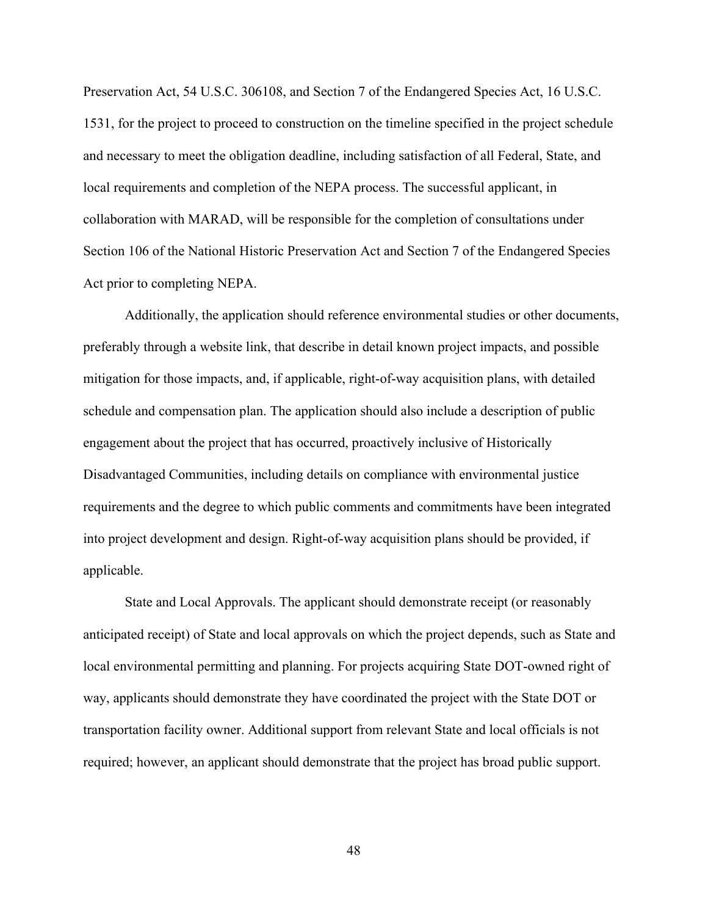Preservation Act, 54 U.S.C. 306108, and Section 7 of the Endangered Species Act, 16 U.S.C. 1531, for the project to proceed to construction on the timeline specified in the project schedule and necessary to meet the obligation deadline, including satisfaction of all Federal, State, and local requirements and completion of the NEPA process. The successful applicant, in collaboration with MARAD, will be responsible for the completion of consultations under Section 106 of the National Historic Preservation Act and Section 7 of the Endangered Species Act prior to completing NEPA.

 Additionally, the application should reference environmental studies or other documents, preferably through a website link, that describe in detail known project impacts, and possible mitigation for those impacts, and, if applicable, right-of-way acquisition plans, with detailed schedule and compensation plan. The application should also include a description of public engagement about the project that has occurred, proactively inclusive of Historically Disadvantaged Communities, including details on compliance with environmental justice requirements and the degree to which public comments and commitments have been integrated into project development and design. Right-of-way acquisition plans should be provided, if applicable.

 State and Local Approvals. The applicant should demonstrate receipt (or reasonably anticipated receipt) of State and local approvals on which the project depends, such as State and local environmental permitting and planning. For projects acquiring State DOT-owned right of way, applicants should demonstrate they have coordinated the project with the State DOT or transportation facility owner. Additional support from relevant State and local officials is not required; however, an applicant should demonstrate that the project has broad public support.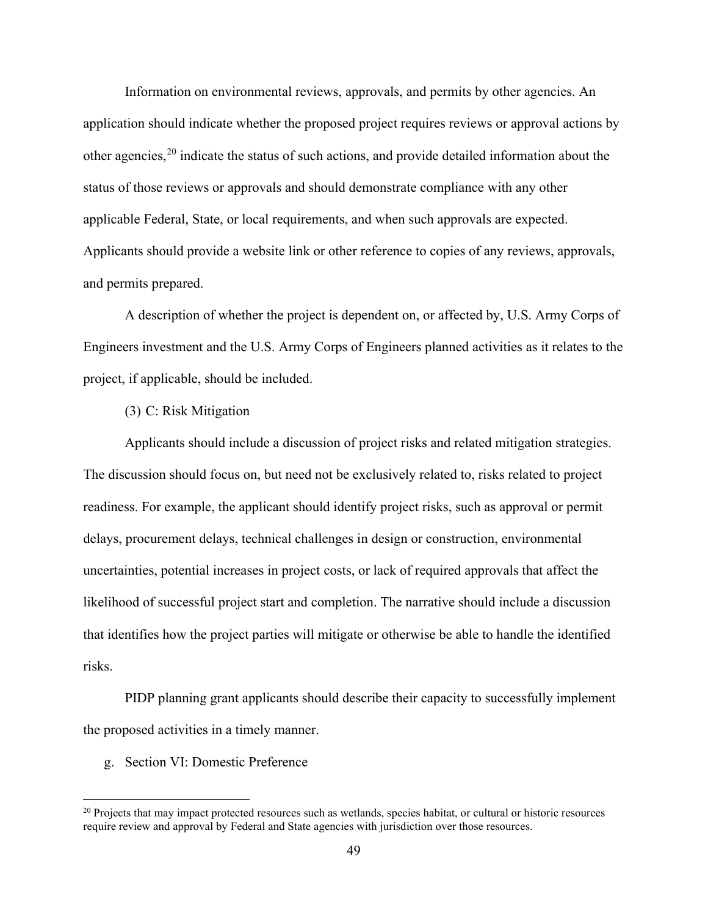Information on environmental reviews, approvals, and permits by other agencies. An application should indicate whether the proposed project requires reviews or approval actions by other agencies,  $2<sup>0</sup>$  indicate the status of such actions, and provide detailed information about the status of those reviews or approvals and should demonstrate compliance with any other applicable Federal, State, or local requirements, and when such approvals are expected. Applicants should provide a website link or other reference to copies of any reviews, approvals, and permits prepared.

 A description of whether the project is dependent on, or affected by, U.S. Army Corps of Engineers investment and the U.S. Army Corps of Engineers planned activities as it relates to the project, if applicable, should be included.

# (3) C: Risk Mitigation

 Applicants should include a discussion of project risks and related mitigation strategies. The discussion should focus on, but need not be exclusively related to, risks related to project readiness. For example, the applicant should identify project risks, such as approval or permit delays, procurement delays, technical challenges in design or construction, environmental uncertainties, potential increases in project costs, or lack of required approvals that affect the likelihood of successful project start and completion. The narrative should include a discussion that identifies how the project parties will mitigate or otherwise be able to handle the identified risks.

 PIDP planning grant applicants should describe their capacity to successfully implement the proposed activities in a timely manner.

g. Section VI: Domestic Preference

<sup>&</sup>lt;sup>20</sup> Projects that may impact protected resources such as wetlands, species habitat, or cultural or historic resources require review and approval by Federal and State agencies with jurisdiction over those resources.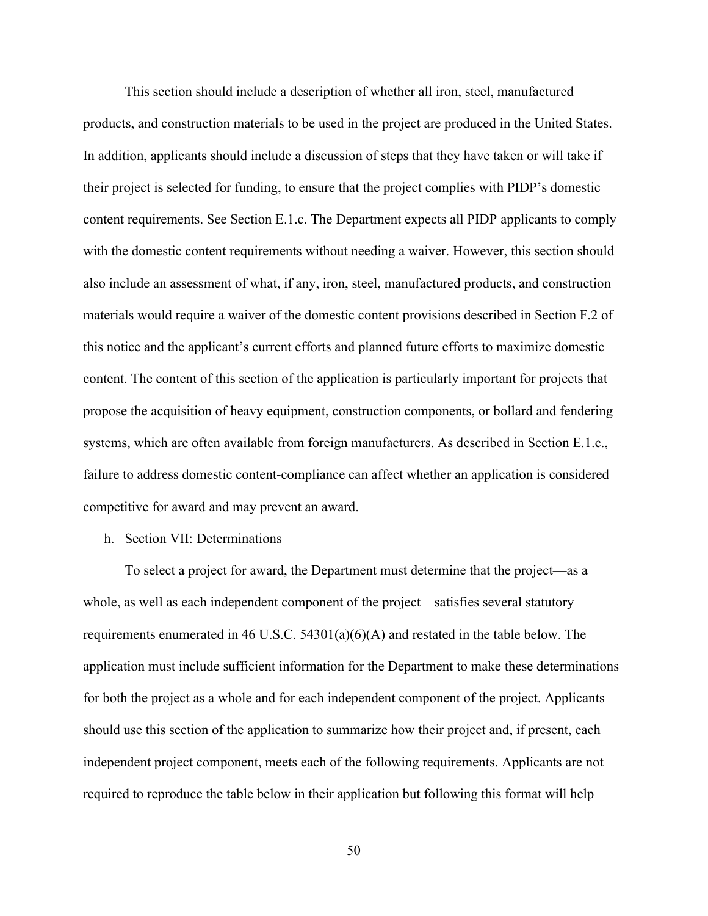This section should include a description of whether all iron, steel, manufactured products, and construction materials to be used in the project are produced in the United States. In addition, applicants should include a discussion of steps that they have taken or will take if their project is selected for funding, to ensure that the project complies with PIDP's domestic content requirements. See Section E.1.c. The Department expects all PIDP applicants to comply with the domestic content requirements without needing a waiver. However, this section should also include an assessment of what, if any, iron, steel, manufactured products, and construction materials would require a waiver of the domestic content provisions described in Section F.2 of this notice and the applicant's current efforts and planned future efforts to maximize domestic content. The content of this section of the application is particularly important for projects that propose the acquisition of heavy equipment, construction components, or bollard and fendering systems, which are often available from foreign manufacturers. As described in Section E.1.c., failure to address domestic content-compliance can affect whether an application is considered competitive for award and may prevent an award.

## h. Section VII: Determinations

To select a project for award, the Department must determine that the project—as a whole, as well as each independent component of the project—satisfies several statutory requirements enumerated in 46 U.S.C. 54301(a)(6)(A) and restated in the table below. The application must include sufficient information for the Department to make these determinations for both the project as a whole and for each independent component of the project. Applicants should use this section of the application to summarize how their project and, if present, each independent project component, meets each of the following requirements. Applicants are not required to reproduce the table below in their application but following this format will help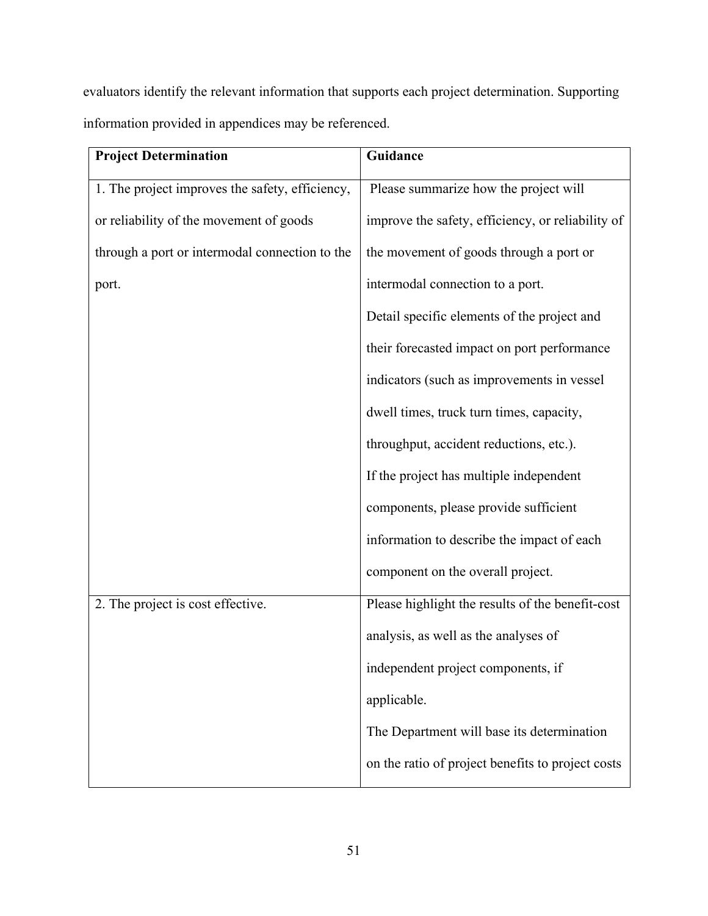evaluators identify the relevant information that supports each project determination. Supporting information provided in appendices may be referenced.

| <b>Project Determination</b>                    | Guidance                                          |
|-------------------------------------------------|---------------------------------------------------|
| 1. The project improves the safety, efficiency, | Please summarize how the project will             |
| or reliability of the movement of goods         | improve the safety, efficiency, or reliability of |
| through a port or intermodal connection to the  | the movement of goods through a port or           |
| port.                                           | intermodal connection to a port.                  |
|                                                 | Detail specific elements of the project and       |
|                                                 | their forecasted impact on port performance       |
|                                                 | indicators (such as improvements in vessel        |
|                                                 | dwell times, truck turn times, capacity,          |
|                                                 | throughput, accident reductions, etc.).           |
|                                                 | If the project has multiple independent           |
|                                                 | components, please provide sufficient             |
|                                                 | information to describe the impact of each        |
|                                                 | component on the overall project.                 |
| 2. The project is cost effective.               | Please highlight the results of the benefit-cost  |
|                                                 | analysis, as well as the analyses of              |
|                                                 | independent project components, if                |
|                                                 | applicable.                                       |
|                                                 | The Department will base its determination        |
|                                                 | on the ratio of project benefits to project costs |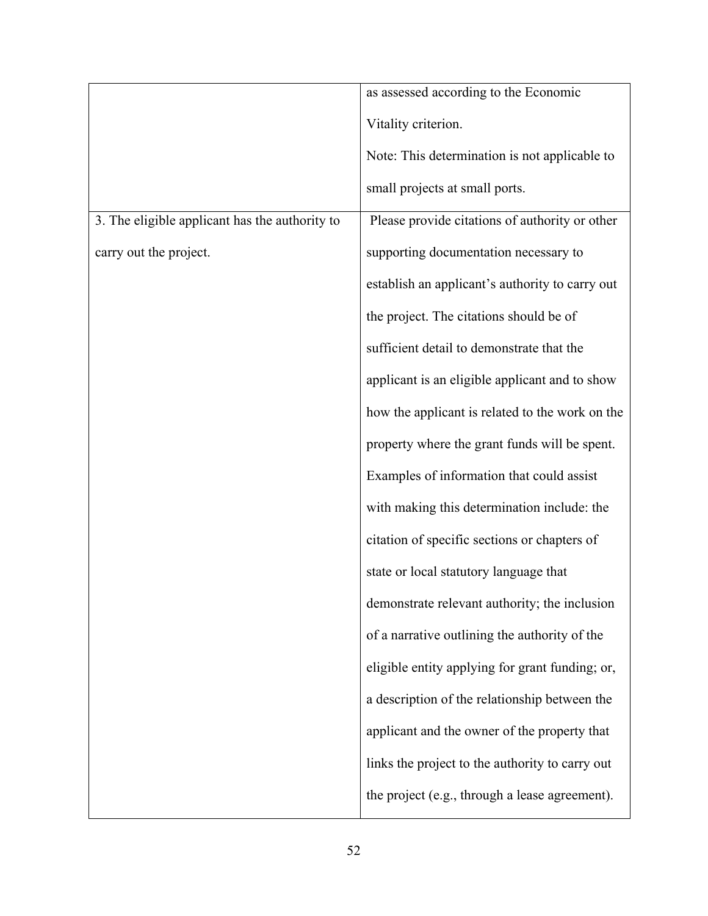|                                                | as assessed according to the Economic           |
|------------------------------------------------|-------------------------------------------------|
|                                                | Vitality criterion.                             |
|                                                | Note: This determination is not applicable to   |
|                                                | small projects at small ports.                  |
| 3. The eligible applicant has the authority to | Please provide citations of authority or other  |
| carry out the project.                         | supporting documentation necessary to           |
|                                                | establish an applicant's authority to carry out |
|                                                | the project. The citations should be of         |
|                                                | sufficient detail to demonstrate that the       |
|                                                | applicant is an eligible applicant and to show  |
|                                                | how the applicant is related to the work on the |
|                                                | property where the grant funds will be spent.   |
|                                                | Examples of information that could assist       |
|                                                | with making this determination include: the     |
|                                                | citation of specific sections or chapters of    |
|                                                | state or local statutory language that          |
|                                                | demonstrate relevant authority; the inclusion   |
|                                                | of a narrative outlining the authority of the   |
|                                                | eligible entity applying for grant funding; or, |
|                                                | a description of the relationship between the   |
|                                                | applicant and the owner of the property that    |
|                                                | links the project to the authority to carry out |
|                                                | the project (e.g., through a lease agreement).  |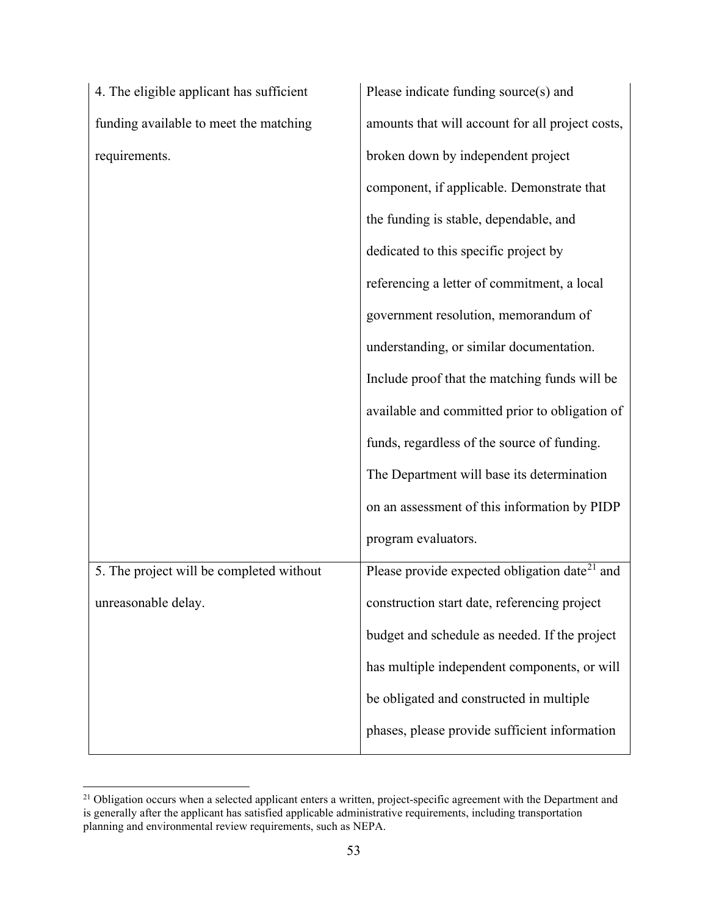| 4. The eligible applicant has sufficient |
|------------------------------------------|
| funding available to meet the matching   |
| requirements.                            |

| 4. The eligible applicant has sufficient | Please indicate funding source(s) and                     |
|------------------------------------------|-----------------------------------------------------------|
| funding available to meet the matching   | amounts that will account for all project costs,          |
| requirements.                            | broken down by independent project                        |
|                                          | component, if applicable. Demonstrate that                |
|                                          | the funding is stable, dependable, and                    |
|                                          | dedicated to this specific project by                     |
|                                          | referencing a letter of commitment, a local               |
|                                          | government resolution, memorandum of                      |
|                                          | understanding, or similar documentation.                  |
|                                          | Include proof that the matching funds will be             |
|                                          | available and committed prior to obligation of            |
|                                          | funds, regardless of the source of funding.               |
|                                          | The Department will base its determination                |
|                                          | on an assessment of this information by PIDP              |
|                                          | program evaluators.                                       |
| 5. The project will be completed without | Please provide expected obligation date <sup>21</sup> and |
| unreasonable delay.                      | construction start date, referencing project              |
|                                          | budget and schedule as needed. If the project             |

has multiple independent components, or will

phases, please provide sufficient information

be obligated and constructed in multiple

<sup>&</sup>lt;sup>21</sup> Obligation occurs when a selected applicant enters a written, project-specific agreement with the Department and is generally after the applicant has satisfied applicable administrative requirements, including transportation planning and environmental review requirements, such as NEPA.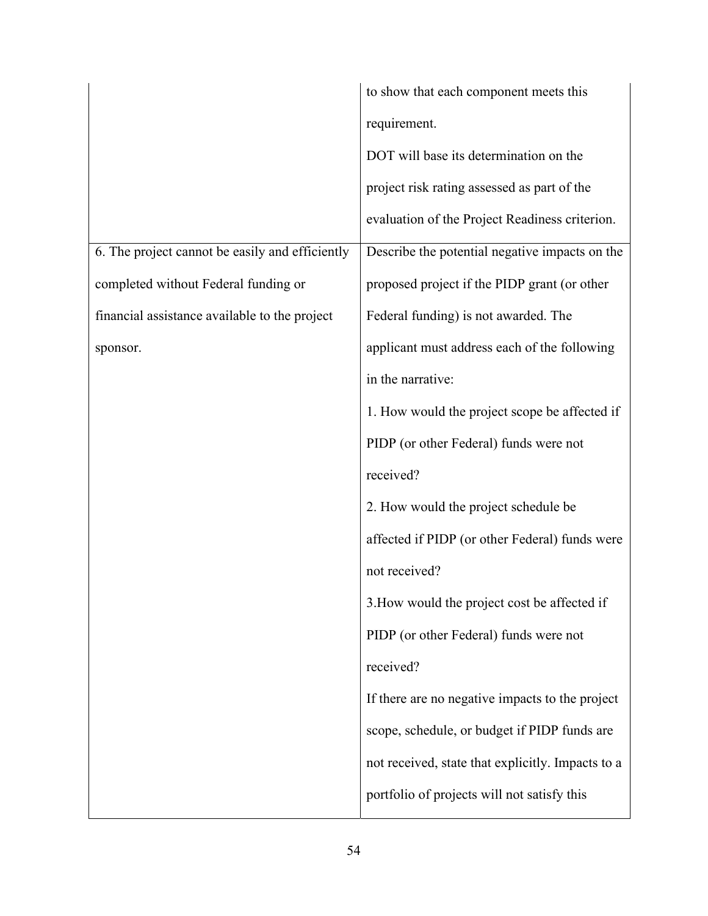|                                                 | to show that each component meets this            |
|-------------------------------------------------|---------------------------------------------------|
|                                                 | requirement.                                      |
|                                                 | DOT will base its determination on the            |
|                                                 | project risk rating assessed as part of the       |
|                                                 | evaluation of the Project Readiness criterion.    |
| 6. The project cannot be easily and efficiently | Describe the potential negative impacts on the    |
| completed without Federal funding or            | proposed project if the PIDP grant (or other      |
| financial assistance available to the project   | Federal funding) is not awarded. The              |
| sponsor.                                        | applicant must address each of the following      |
|                                                 | in the narrative:                                 |
|                                                 | 1. How would the project scope be affected if     |
|                                                 | PIDP (or other Federal) funds were not            |
|                                                 | received?                                         |
|                                                 | 2. How would the project schedule be              |
|                                                 | affected if PIDP (or other Federal) funds were    |
|                                                 | not received?                                     |
|                                                 | 3. How would the project cost be affected if      |
|                                                 | PIDP (or other Federal) funds were not            |
|                                                 | received?                                         |
|                                                 | If there are no negative impacts to the project   |
|                                                 | scope, schedule, or budget if PIDP funds are      |
|                                                 | not received, state that explicitly. Impacts to a |
|                                                 | portfolio of projects will not satisfy this       |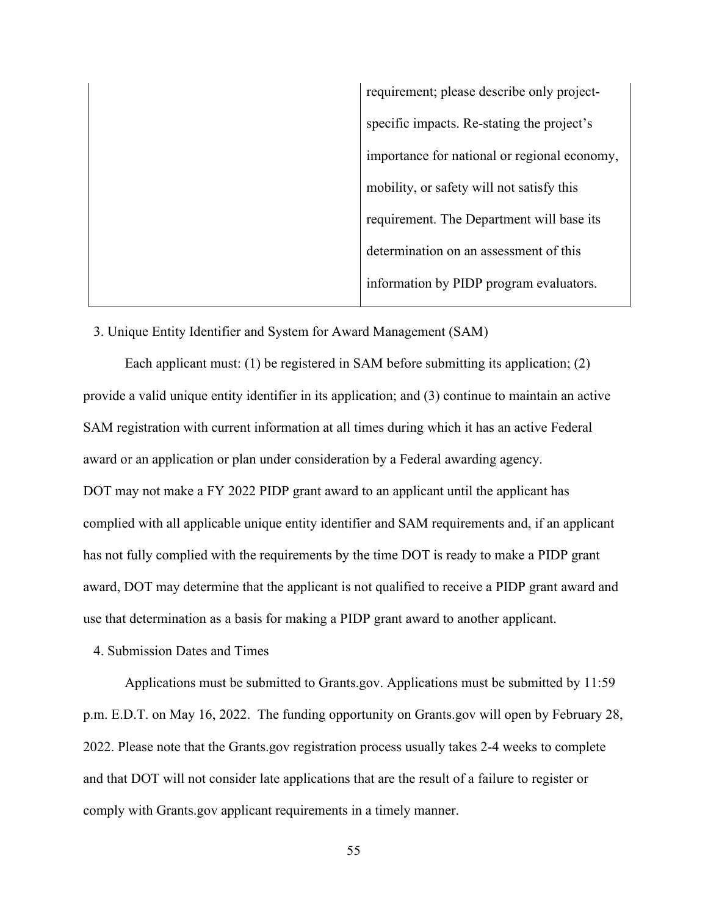requirement; please describe only projectspecific impacts. Re-stating the project's importance for national or regional economy, mobility, or safety will not satisfy this requirement. The Department will base its determination on an assessment of this information by PIDP program evaluators.

3. Unique Entity Identifier and System for Award Management (SAM)

Each applicant must: (1) be registered in SAM before submitting its application; (2) provide a valid unique entity identifier in its application; and (3) continue to maintain an active SAM registration with current information at all times during which it has an active Federal award or an application or plan under consideration by a Federal awarding agency. DOT may not make a FY 2022 PIDP grant award to an applicant until the applicant has complied with all applicable unique entity identifier and SAM requirements and, if an applicant has not fully complied with the requirements by the time DOT is ready to make a PIDP grant award, DOT may determine that the applicant is not qualified to receive a PIDP grant award and use that determination as a basis for making a PIDP grant award to another applicant.

4. Submission Dates and Times

 Applications must be submitted to Grants.gov. Applications must be submitted by 11:59 p.m. E.D.T. on May 16, 2022. The funding opportunity on Grants.gov will open by February 28, 2022. Please note that the Grants.gov registration process usually takes 2-4 weeks to complete and that DOT will not consider late applications that are the result of a failure to register or comply with Grants.gov applicant requirements in a timely manner.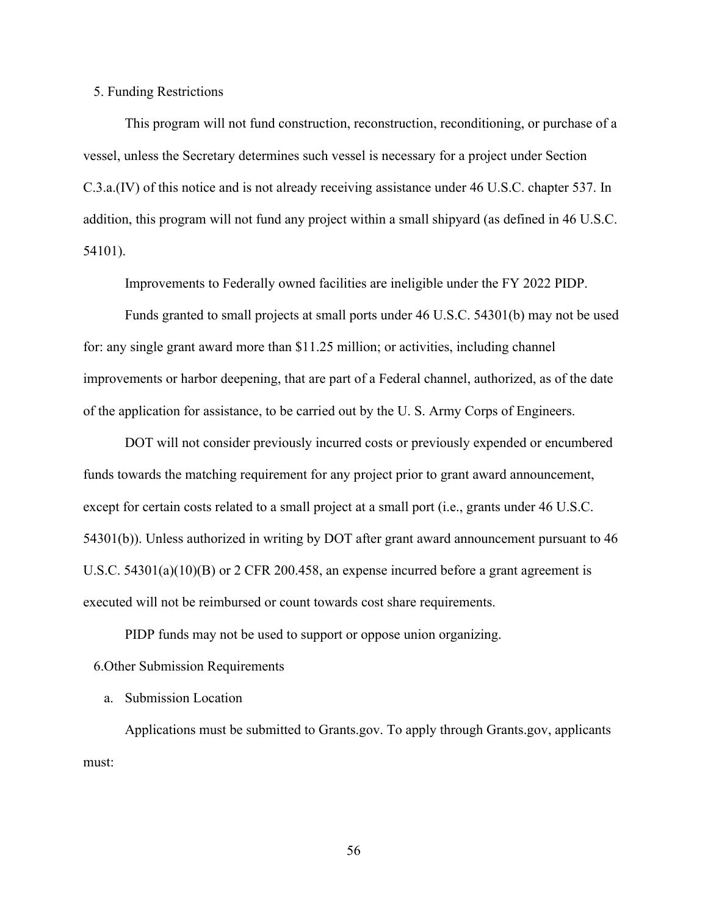5. Funding Restrictions

 This program will not fund construction, reconstruction, reconditioning, or purchase of a vessel, unless the Secretary determines such vessel is necessary for a project under Section C.3.a.(IV) of this notice and is not already receiving assistance under 46 U.S.C. chapter 537. In addition, this program will not fund any project within a small shipyard (as defined in 46 U.S.C. 54101).

Improvements to Federally owned facilities are ineligible under the FY 2022 PIDP.

 Funds granted to small projects at small ports under 46 U.S.C. 54301(b) may not be used for: any single grant award more than \$11.25 million; or activities, including channel improvements or harbor deepening, that are part of a Federal channel, authorized, as of the date of the application for assistance, to be carried out by the U. S. Army Corps of Engineers.

 DOT will not consider previously incurred costs or previously expended or encumbered funds towards the matching requirement for any project prior to grant award announcement, except for certain costs related to a small project at a small port (i.e., grants under 46 U.S.C. 54301(b)). Unless authorized in writing by DOT after grant award announcement pursuant to 46 U.S.C. 54301(a)(10)(B) or 2 CFR 200.458, an expense incurred before a grant agreement is executed will not be reimbursed or count towards cost share requirements.

PIDP funds may not be used to support or oppose union organizing.

6.Other Submission Requirements

a. Submission Location

Applications must be submitted to Grants.gov. To apply through Grants.gov, applicants must: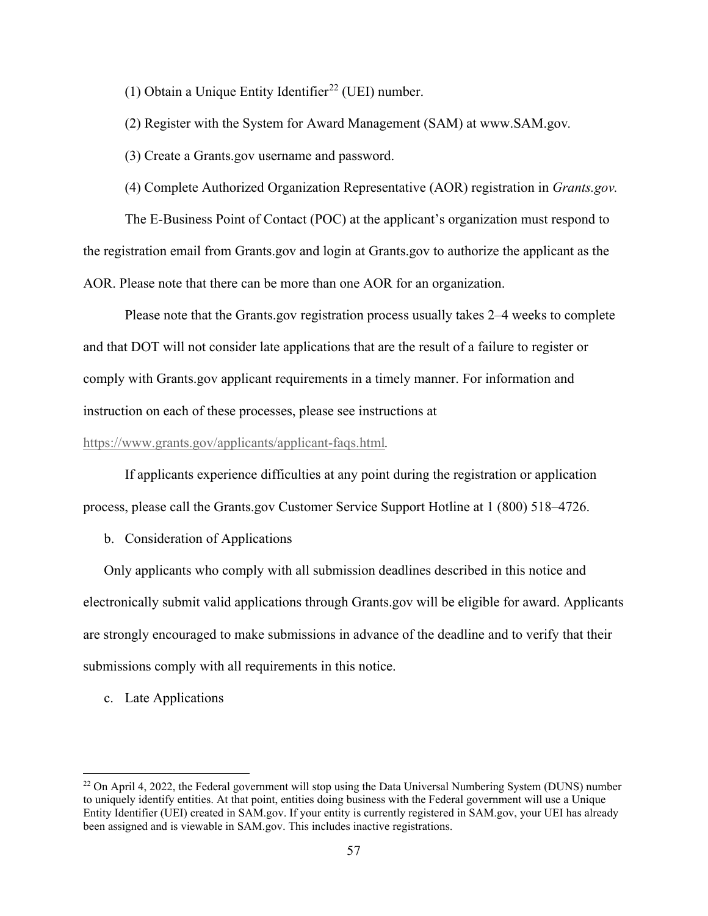(1) Obtain a Unique Entity Identifier<sup>22</sup> (UEI) number.

(2) Register with the System for Award Management (SAM) at www.SAM.gov*.* 

(3) Create a Grants.gov username and password.

(4) Complete Authorized Organization Representative (AOR) registration in *Grants.gov.* 

The E-Business Point of Contact (POC) at the applicant's organization must respond to the registration email from Grants.gov and login at Grants.gov to authorize the applicant as the AOR. Please note that there can be more than one AOR for an organization.

Please note that the Grants.gov registration process usually takes 2–4 weeks to complete and that DOT will not consider late applications that are the result of a failure to register or comply with Grants.gov applicant requirements in a timely manner. For information and instruction on each of these processes, please see instructions at

#### https://www.grants.gov/applicants/applicant-faqs.html*.*

If applicants experience difficulties at any point during the registration or application process, please call the Grants.gov Customer Service Support Hotline at 1 (800) 518–4726.

b. Consideration of Applications

Only applicants who comply with all submission deadlines described in this notice and electronically submit valid applications through Grants.gov will be eligible for award. Applicants are strongly encouraged to make submissions in advance of the deadline and to verify that their submissions comply with all requirements in this notice.

c. Late Applications

<sup>&</sup>lt;sup>22</sup> On April 4, 2022, the Federal government will stop using the Data Universal Numbering System (DUNS) number to uniquely identify entities. At that point, entities doing business with the Federal government will use a Unique Entity Identifier (UEI) created in SAM.gov. If your entity is currently registered in SAM.gov, your UEI has already been assigned and is viewable in SAM.gov. This includes inactive registrations.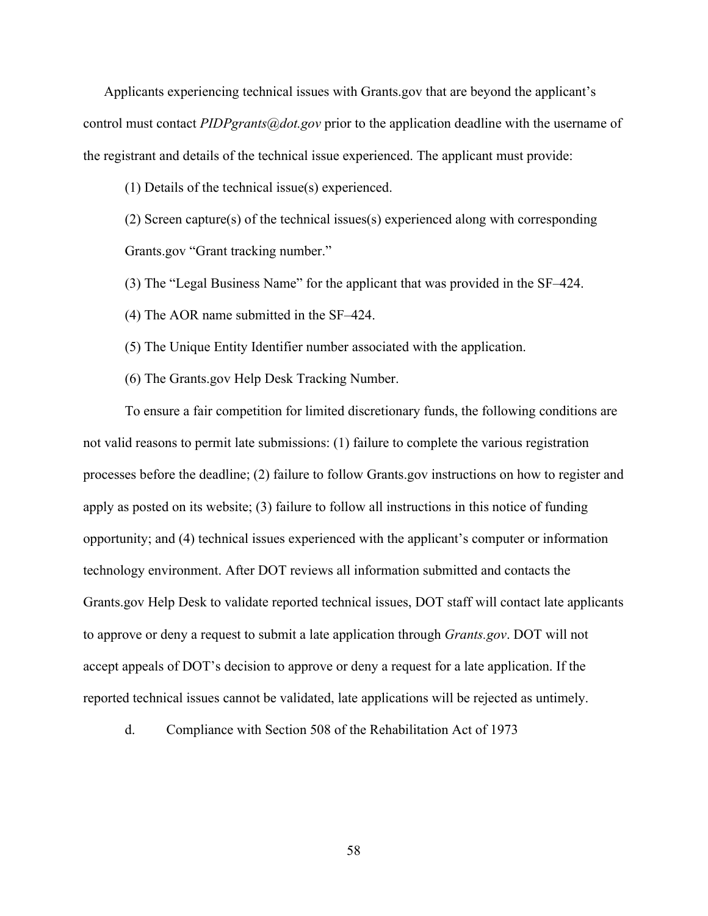Applicants experiencing technical issues with Grants.gov that are beyond the applicant's control must contact *PIDPgrants@dot.gov* prior to the application deadline with the username of the registrant and details of the technical issue experienced. The applicant must provide:

(1) Details of the technical issue(s) experienced.

(2) Screen capture(s) of the technical issues(s) experienced along with corresponding Grants.gov "Grant tracking number."

(3) The "Legal Business Name" for the applicant that was provided in the SF–424.

(4) The AOR name submitted in the SF–424.

(5) The Unique Entity Identifier number associated with the application.

(6) The Grants.gov Help Desk Tracking Number.

To ensure a fair competition for limited discretionary funds, the following conditions are not valid reasons to permit late submissions: (1) failure to complete the various registration processes before the deadline; (2) failure to follow Grants.gov instructions on how to register and apply as posted on its website; (3) failure to follow all instructions in this notice of funding opportunity; and (4) technical issues experienced with the applicant's computer or information technology environment. After DOT reviews all information submitted and contacts the Grants.gov Help Desk to validate reported technical issues, DOT staff will contact late applicants to approve or deny a request to submit a late application through *Grants.gov*. DOT will not accept appeals of DOT's decision to approve or deny a request for a late application. If the reported technical issues cannot be validated, late applications will be rejected as untimely.

d. Compliance with Section 508 of the Rehabilitation Act of 1973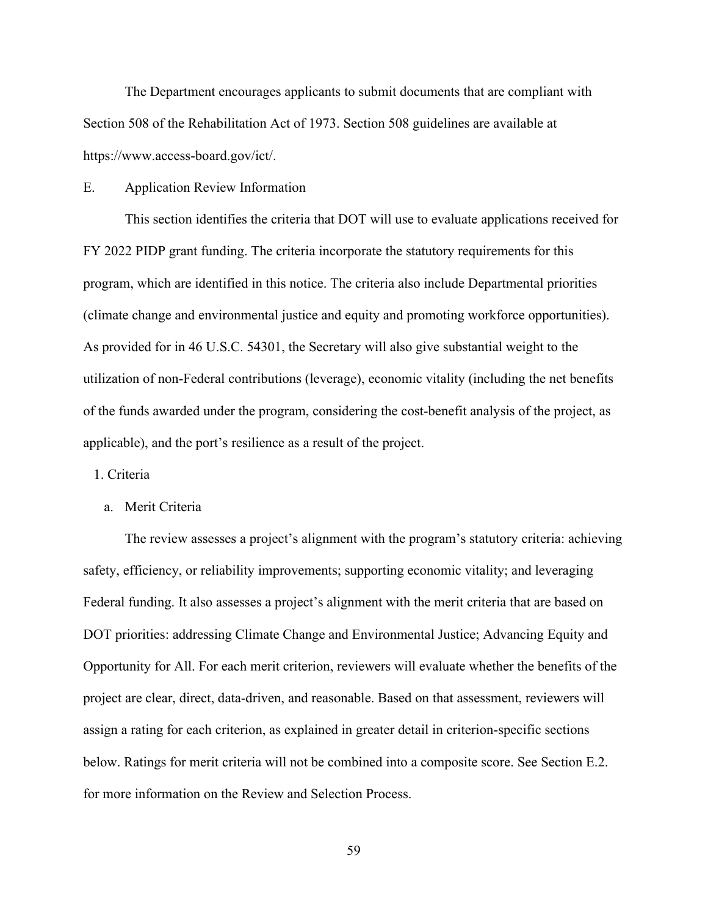The Department encourages applicants to submit documents that are compliant with Section 508 of the Rehabilitation Act of 1973. Section 508 guidelines are available at https://www.access-board.gov/ict/.

# E. Application Review Information

 This section identifies the criteria that DOT will use to evaluate applications received for FY 2022 PIDP grant funding. The criteria incorporate the statutory requirements for this program, which are identified in this notice. The criteria also include Departmental priorities (climate change and environmental justice and equity and promoting workforce opportunities). As provided for in 46 U.S.C. 54301, the Secretary will also give substantial weight to the utilization of non-Federal contributions (leverage), economic vitality (including the net benefits of the funds awarded under the program, considering the cost-benefit analysis of the project, as applicable), and the port's resilience as a result of the project.

1. Criteria

a. Merit Criteria

 The review assesses a project's alignment with the program's statutory criteria: achieving safety, efficiency, or reliability improvements; supporting economic vitality; and leveraging Federal funding. It also assesses a project's alignment with the merit criteria that are based on DOT priorities: addressing Climate Change and Environmental Justice; Advancing Equity and Opportunity for All. For each merit criterion, reviewers will evaluate whether the benefits of the project are clear, direct, data-driven, and reasonable. Based on that assessment, reviewers will assign a rating for each criterion, as explained in greater detail in criterion-specific sections below. Ratings for merit criteria will not be combined into a composite score. See Section E.2. for more information on the Review and Selection Process.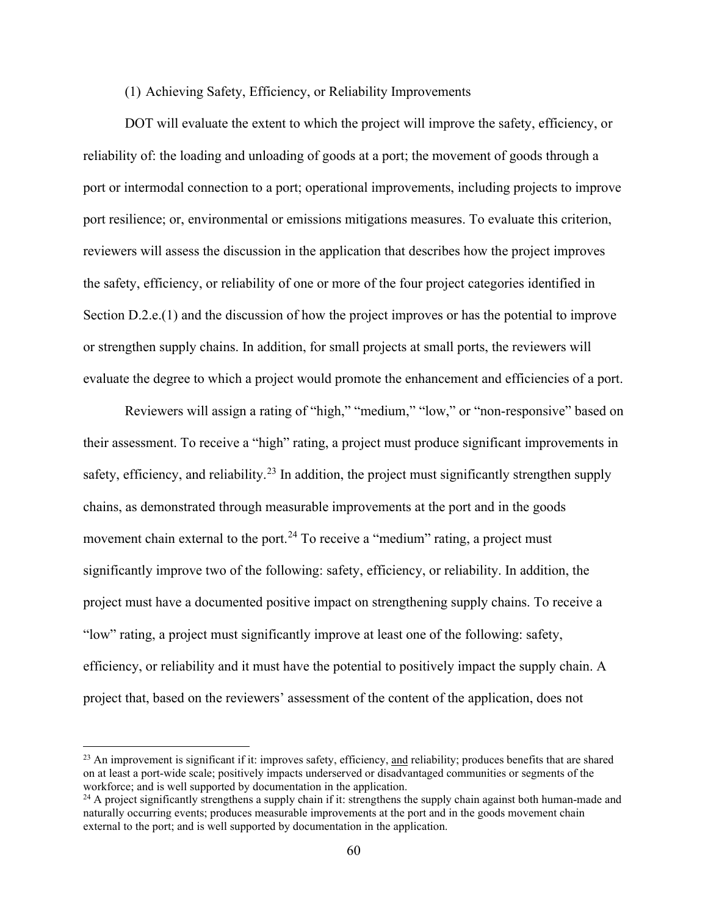## (1) Achieving Safety, Efficiency, or Reliability Improvements

DOT will evaluate the extent to which the project will improve the safety, efficiency, or reliability of: the loading and unloading of goods at a port; the movement of goods through a port or intermodal connection to a port; operational improvements, including projects to improve port resilience; or, environmental or emissions mitigations measures. To evaluate this criterion, reviewers will assess the discussion in the application that describes how the project improves the safety, efficiency, or reliability of one or more of the four project categories identified in Section D.2.e.(1) and the discussion of how the project improves or has the potential to improve or strengthen supply chains. In addition, for small projects at small ports, the reviewers will evaluate the degree to which a project would promote the enhancement and efficiencies of a port.

Reviewers will assign a rating of "high," "medium," "low," or "non-responsive" based on their assessment. To receive a "high" rating, a project must produce significant improvements in safety, efficiency, and reliability.<sup>23</sup> In addition, the project must significantly strengthen supply chains, as demonstrated through measurable improvements at the port and in the goods movement chain external to the port.<sup>24</sup> To receive a "medium" rating, a project must significantly improve two of the following: safety, efficiency, or reliability. In addition, the project must have a documented positive impact on strengthening supply chains. To receive a "low" rating, a project must significantly improve at least one of the following: safety, efficiency, or reliability and it must have the potential to positively impact the supply chain. A project that, based on the reviewers' assessment of the content of the application, does not

 $^{23}$  An improvement is significant if it: improves safety, efficiency, and reliability; produces benefits that are shared on at least a port-wide scale; positively impacts underserved or disadvantaged communities or segments of the workforce; and is well supported by documentation in the application.

 $^{24}$  A project significantly strengthens a supply chain if it: strengthens the supply chain against both human-made and naturally occurring events; produces measurable improvements at the port and in the goods movement chain external to the port; and is well supported by documentation in the application.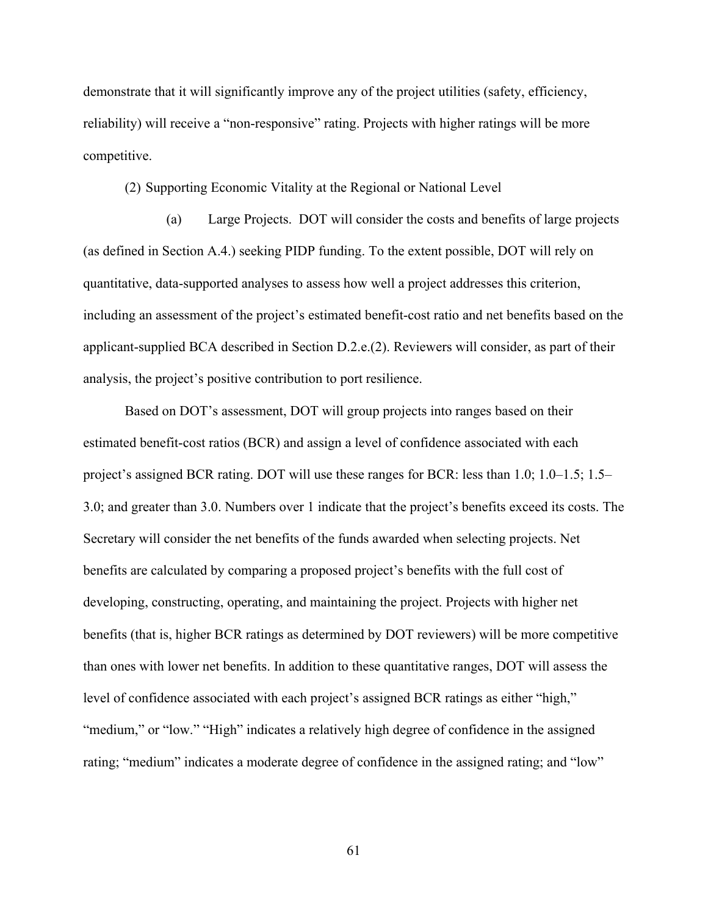demonstrate that it will significantly improve any of the project utilities (safety, efficiency, reliability) will receive a "non-responsive" rating. Projects with higher ratings will be more competitive.

(2) Supporting Economic Vitality at the Regional or National Level

(a) Large Projects. DOT will consider the costs and benefits of large projects (as defined in Section A.4.) seeking PIDP funding. To the extent possible, DOT will rely on quantitative, data-supported analyses to assess how well a project addresses this criterion, including an assessment of the project's estimated benefit-cost ratio and net benefits based on the applicant-supplied BCA described in Section D.2.e.(2). Reviewers will consider, as part of their analysis, the project's positive contribution to port resilience.

Based on DOT's assessment, DOT will group projects into ranges based on their estimated benefit-cost ratios (BCR) and assign a level of confidence associated with each project's assigned BCR rating. DOT will use these ranges for BCR: less than 1.0; 1.0–1.5; 1.5– 3.0; and greater than 3.0. Numbers over 1 indicate that the project's benefits exceed its costs. The Secretary will consider the net benefits of the funds awarded when selecting projects. Net benefits are calculated by comparing a proposed project's benefits with the full cost of developing, constructing, operating, and maintaining the project. Projects with higher net benefits (that is, higher BCR ratings as determined by DOT reviewers) will be more competitive than ones with lower net benefits. In addition to these quantitative ranges, DOT will assess the level of confidence associated with each project's assigned BCR ratings as either "high," "medium," or "low." "High" indicates a relatively high degree of confidence in the assigned rating; "medium" indicates a moderate degree of confidence in the assigned rating; and "low"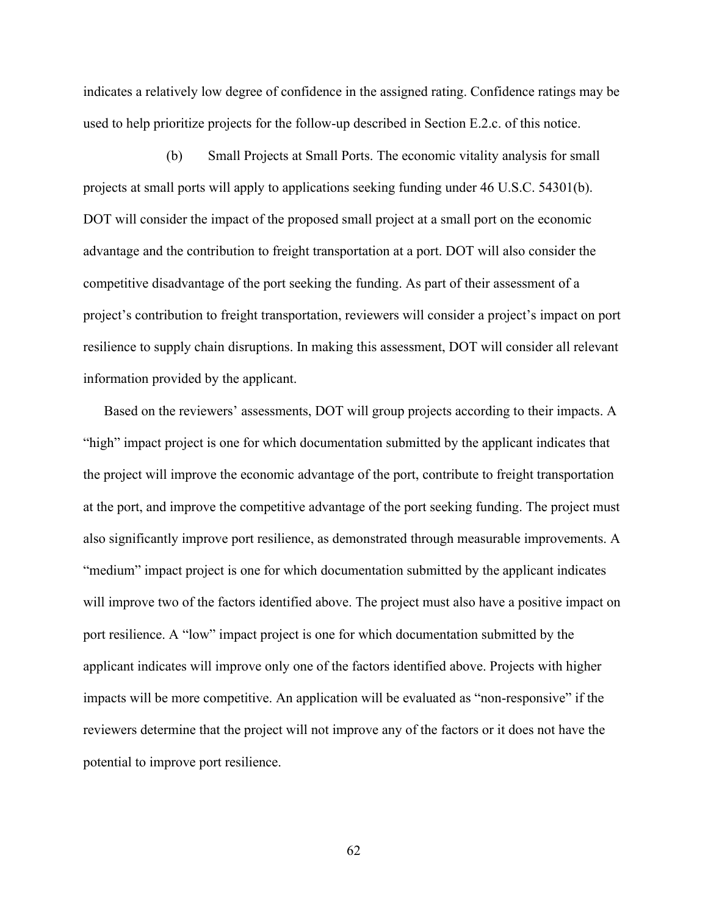indicates a relatively low degree of confidence in the assigned rating. Confidence ratings may be used to help prioritize projects for the follow-up described in Section E.2.c. of this notice.

(b) Small Projects at Small Ports. The economic vitality analysis for small projects at small ports will apply to applications seeking funding under 46 U.S.C. 54301(b). DOT will consider the impact of the proposed small project at a small port on the economic advantage and the contribution to freight transportation at a port. DOT will also consider the competitive disadvantage of the port seeking the funding. As part of their assessment of a project's contribution to freight transportation, reviewers will consider a project's impact on port resilience to supply chain disruptions. In making this assessment, DOT will consider all relevant information provided by the applicant.

 Based on the reviewers' assessments, DOT will group projects according to their impacts. A "high" impact project is one for which documentation submitted by the applicant indicates that the project will improve the economic advantage of the port, contribute to freight transportation at the port, and improve the competitive advantage of the port seeking funding. The project must also significantly improve port resilience, as demonstrated through measurable improvements. A "medium" impact project is one for which documentation submitted by the applicant indicates will improve two of the factors identified above. The project must also have a positive impact on port resilience. A "low" impact project is one for which documentation submitted by the applicant indicates will improve only one of the factors identified above. Projects with higher impacts will be more competitive. An application will be evaluated as "non-responsive" if the reviewers determine that the project will not improve any of the factors or it does not have the potential to improve port resilience.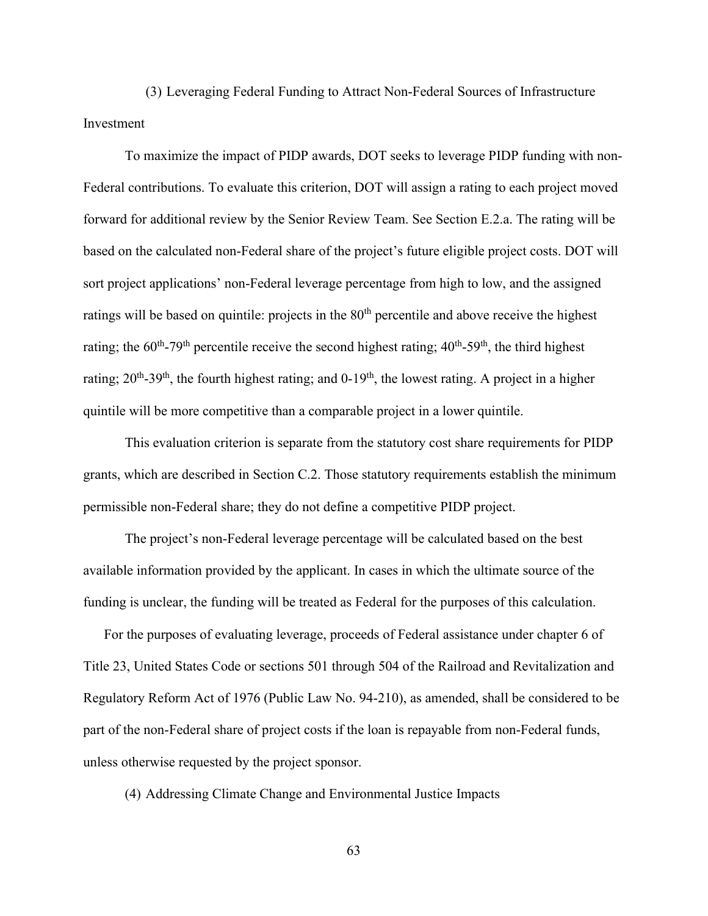(3) Leveraging Federal Funding to Attract Non-Federal Sources of Infrastructure Investment

To maximize the impact of PIDP awards, DOT seeks to leverage PIDP funding with non-Federal contributions. To evaluate this criterion, DOT will assign a rating to each project moved forward for additional review by the Senior Review Team. See Section E.2.a. The rating will be based on the calculated non-Federal share of the project's future eligible project costs. DOT will sort project applications' non-Federal leverage percentage from high to low, and the assigned ratings will be based on quintile: projects in the 80<sup>th</sup> percentile and above receive the highest rating; the  $60^{th}$ -79<sup>th</sup> percentile receive the second highest rating;  $40^{th}$ -59<sup>th</sup>, the third highest rating;  $20^{th}$ -39<sup>th</sup>, the fourth highest rating; and  $0$ -19<sup>th</sup>, the lowest rating. A project in a higher quintile will be more competitive than a comparable project in a lower quintile.

 This evaluation criterion is separate from the statutory cost share requirements for PIDP grants, which are described in Section C.2. Those statutory requirements establish the minimum permissible non-Federal share; they do not define a competitive PIDP project.

The project's non-Federal leverage percentage will be calculated based on the best available information provided by the applicant. In cases in which the ultimate source of the funding is unclear, the funding will be treated as Federal for the purposes of this calculation.

For the purposes of evaluating leverage, proceeds of Federal assistance under chapter 6 of Title 23, United States Code or sections 501 through 504 of the Railroad and Revitalization and Regulatory Reform Act of 1976 (Public Law No. 94-210), as amended, shall be considered to be part of the non-Federal share of project costs if the loan is repayable from non-Federal funds, unless otherwise requested by the project sponsor.

(4) Addressing Climate Change and Environmental Justice Impacts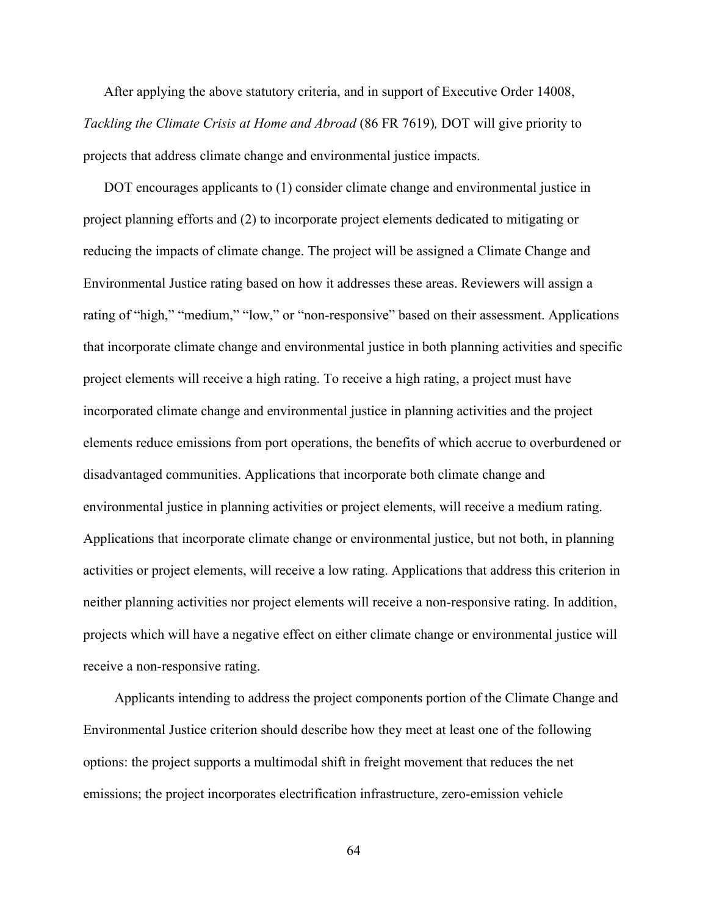After applying the above statutory criteria, and in support of Executive Order 14008, *Tackling the Climate Crisis at Home and Abroad* (86 FR 7619)*,* DOT will give priority to projects that address climate change and environmental justice impacts.

DOT encourages applicants to (1) consider climate change and environmental justice in project planning efforts and (2) to incorporate project elements dedicated to mitigating or reducing the impacts of climate change. The project will be assigned a Climate Change and Environmental Justice rating based on how it addresses these areas. Reviewers will assign a rating of "high," "medium," "low," or "non-responsive" based on their assessment. Applications that incorporate climate change and environmental justice in both planning activities and specific project elements will receive a high rating. To receive a high rating, a project must have incorporated climate change and environmental justice in planning activities and the project elements reduce emissions from port operations, the benefits of which accrue to overburdened or disadvantaged communities. Applications that incorporate both climate change and environmental justice in planning activities or project elements, will receive a medium rating. Applications that incorporate climate change or environmental justice, but not both, in planning activities or project elements, will receive a low rating. Applications that address this criterion in neither planning activities nor project elements will receive a non-responsive rating. In addition, projects which will have a negative effect on either climate change or environmental justice will receive a non-responsive rating.

Applicants intending to address the project components portion of the Climate Change and Environmental Justice criterion should describe how they meet at least one of the following options: the project supports a multimodal shift in freight movement that reduces the net emissions; the project incorporates electrification infrastructure, zero-emission vehicle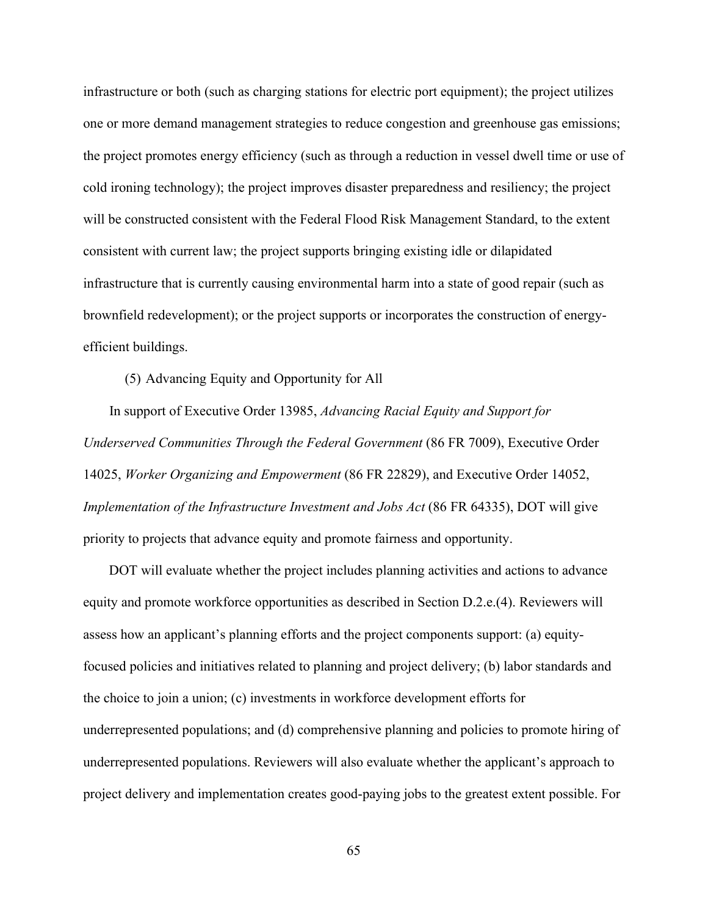infrastructure or both (such as charging stations for electric port equipment); the project utilizes one or more demand management strategies to reduce congestion and greenhouse gas emissions; the project promotes energy efficiency (such as through a reduction in vessel dwell time or use of cold ironing technology); the project improves disaster preparedness and resiliency; the project will be constructed consistent with the Federal Flood Risk Management Standard, to the extent consistent with current law; the project supports bringing existing idle or dilapidated infrastructure that is currently causing environmental harm into a state of good repair (such as brownfield redevelopment); or the project supports or incorporates the construction of energyefficient buildings.

(5) Advancing Equity and Opportunity for All

In support of Executive Order 13985, *Advancing Racial Equity and Support for Underserved Communities Through the Federal Government* (86 FR 7009), Executive Order 14025, *Worker Organizing and Empowerment* (86 FR 22829), and Executive Order 14052, *Implementation of the Infrastructure Investment and Jobs Act* (86 FR 64335), DOT will give priority to projects that advance equity and promote fairness and opportunity.

DOT will evaluate whether the project includes planning activities and actions to advance equity and promote workforce opportunities as described in Section D.2.e.(4). Reviewers will assess how an applicant's planning efforts and the project components support: (a) equityfocused policies and initiatives related to planning and project delivery; (b) labor standards and the choice to join a union; (c) investments in workforce development efforts for underrepresented populations; and (d) comprehensive planning and policies to promote hiring of underrepresented populations. Reviewers will also evaluate whether the applicant's approach to project delivery and implementation creates good-paying jobs to the greatest extent possible. For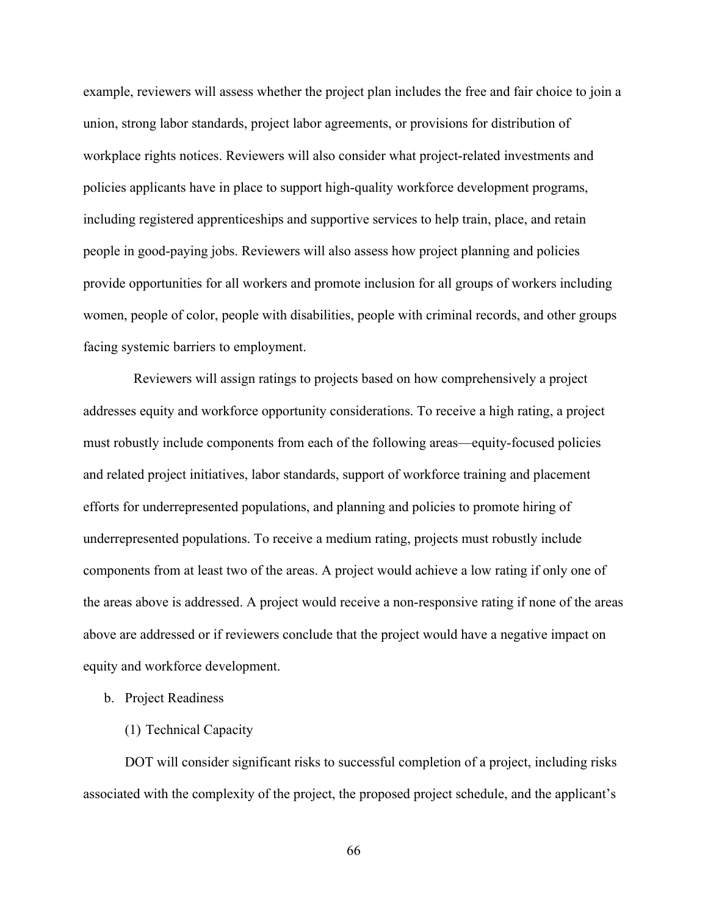example, reviewers will assess whether the project plan includes the free and fair choice to join a union, strong labor standards, project labor agreements, or provisions for distribution of workplace rights notices. Reviewers will also consider what project-related investments and policies applicants have in place to support high-quality workforce development programs, including registered apprenticeships and supportive services to help train, place, and retain people in good-paying jobs. Reviewers will also assess how project planning and policies provide opportunities for all workers and promote inclusion for all groups of workers including women, people of color, people with disabilities, people with criminal records, and other groups facing systemic barriers to employment.

 Reviewers will assign ratings to projects based on how comprehensively a project addresses equity and workforce opportunity considerations. To receive a high rating, a project must robustly include components from each of the following areas—equity-focused policies and related project initiatives, labor standards, support of workforce training and placement efforts for underrepresented populations, and planning and policies to promote hiring of underrepresented populations. To receive a medium rating, projects must robustly include components from at least two of the areas. A project would achieve a low rating if only one of the areas above is addressed. A project would receive a non-responsive rating if none of the areas above are addressed or if reviewers conclude that the project would have a negative impact on equity and workforce development.

- b. Project Readiness
	- (1) Technical Capacity

 DOT will consider significant risks to successful completion of a project, including risks associated with the complexity of the project, the proposed project schedule, and the applicant's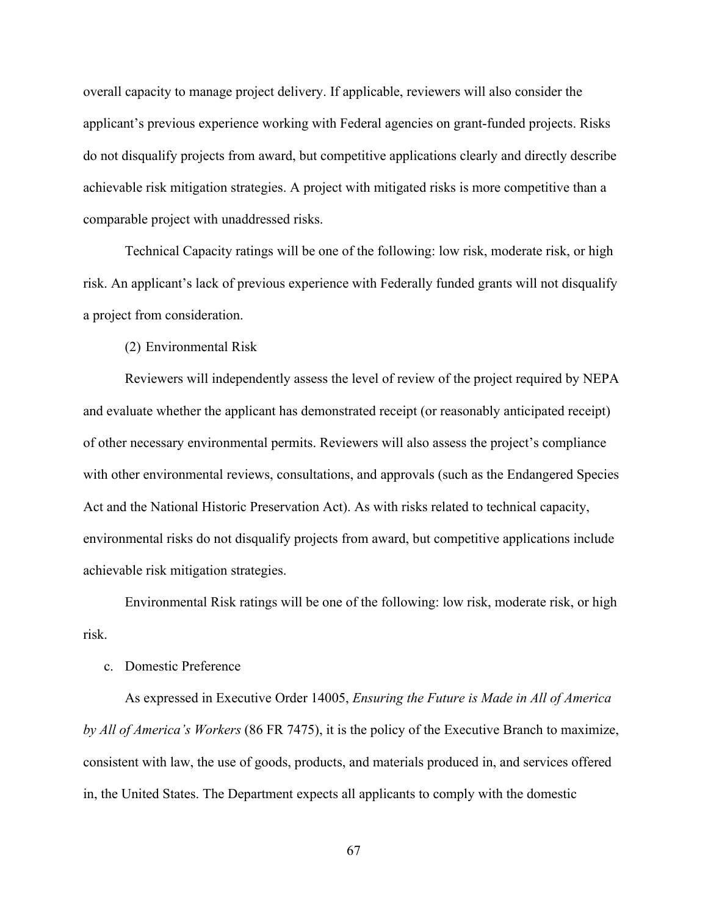overall capacity to manage project delivery. If applicable, reviewers will also consider the applicant's previous experience working with Federal agencies on grant-funded projects. Risks do not disqualify projects from award, but competitive applications clearly and directly describe achievable risk mitigation strategies. A project with mitigated risks is more competitive than a comparable project with unaddressed risks.

 Technical Capacity ratings will be one of the following: low risk, moderate risk, or high risk. An applicant's lack of previous experience with Federally funded grants will not disqualify a project from consideration.

(2) Environmental Risk

 Reviewers will independently assess the level of review of the project required by NEPA and evaluate whether the applicant has demonstrated receipt (or reasonably anticipated receipt) of other necessary environmental permits. Reviewers will also assess the project's compliance with other environmental reviews, consultations, and approvals (such as the Endangered Species Act and the National Historic Preservation Act). As with risks related to technical capacity, environmental risks do not disqualify projects from award, but competitive applications include achievable risk mitigation strategies.

 Environmental Risk ratings will be one of the following: low risk, moderate risk, or high risk.

### c. Domestic Preference

 As expressed in Executive Order 14005, *Ensuring the Future is Made in All of America by All of America's Workers* (86 FR 7475), it is the policy of the Executive Branch to maximize, consistent with law, the use of goods, products, and materials produced in, and services offered in, the United States. The Department expects all applicants to comply with the domestic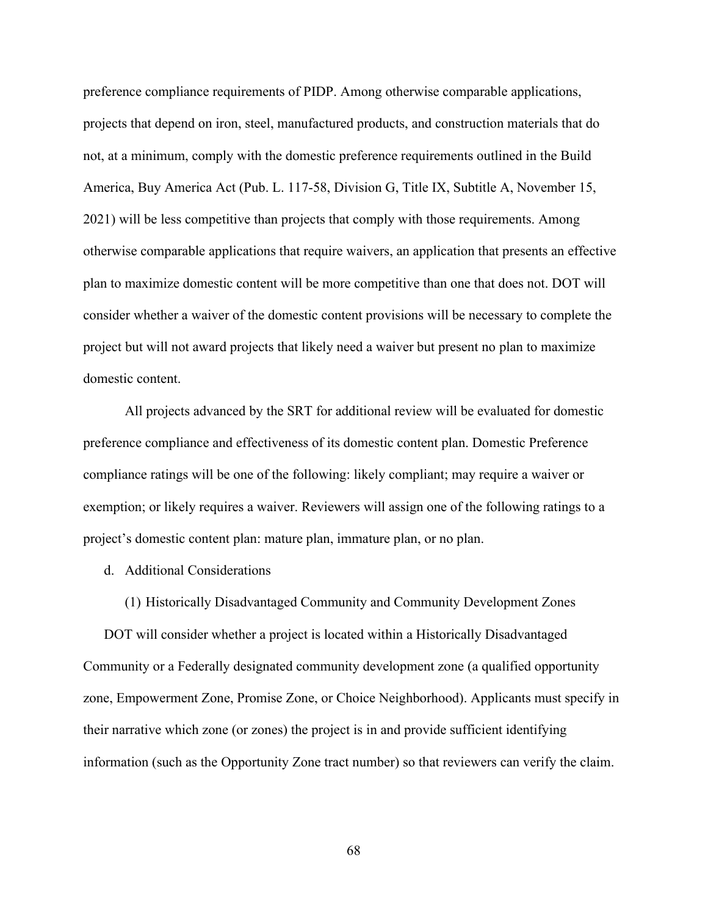preference compliance requirements of PIDP. Among otherwise comparable applications, projects that depend on iron, steel, manufactured products, and construction materials that do not, at a minimum, comply with the domestic preference requirements outlined in the Build America, Buy America Act (Pub. L. 117-58, Division G, Title IX, Subtitle A, November 15, 2021) will be less competitive than projects that comply with those requirements. Among otherwise comparable applications that require waivers, an application that presents an effective plan to maximize domestic content will be more competitive than one that does not. DOT will consider whether a waiver of the domestic content provisions will be necessary to complete the project but will not award projects that likely need a waiver but present no plan to maximize domestic content.

 All projects advanced by the SRT for additional review will be evaluated for domestic preference compliance and effectiveness of its domestic content plan. Domestic Preference compliance ratings will be one of the following: likely compliant; may require a waiver or exemption; or likely requires a waiver. Reviewers will assign one of the following ratings to a project's domestic content plan: mature plan, immature plan, or no plan.

- d. Additional Considerations
	- (1) Historically Disadvantaged Community and Community Development Zones

DOT will consider whether a project is located within a Historically Disadvantaged Community or a Federally designated community development zone (a qualified opportunity zone, Empowerment Zone, Promise Zone, or Choice Neighborhood). Applicants must specify in their narrative which zone (or zones) the project is in and provide sufficient identifying information (such as the Opportunity Zone tract number) so that reviewers can verify the claim.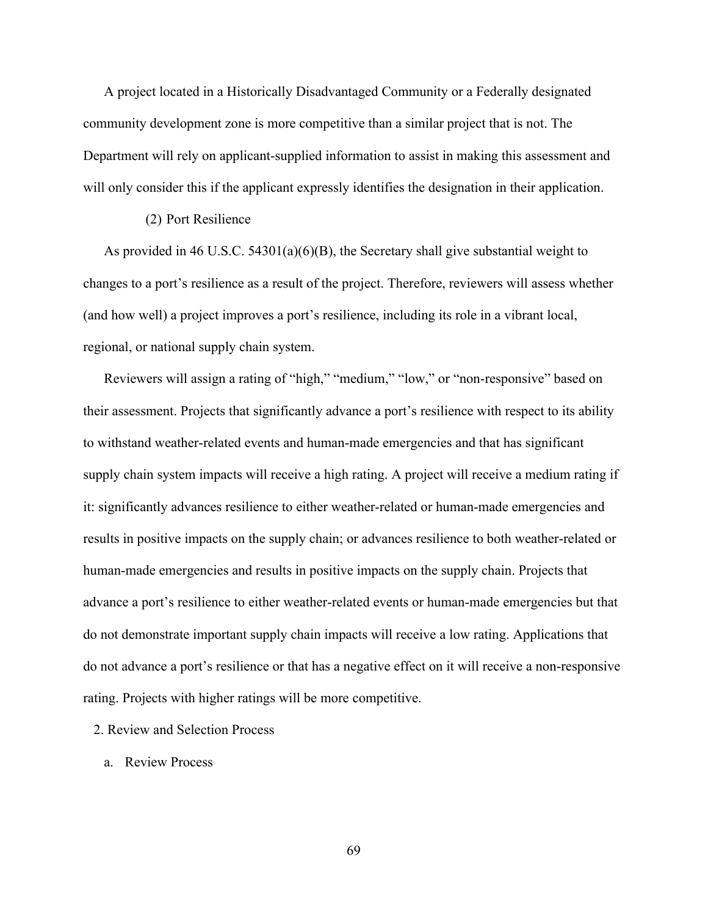A project located in a Historically Disadvantaged Community or a Federally designated community development zone is more competitive than a similar project that is not. The Department will rely on applicant-supplied information to assist in making this assessment and will only consider this if the applicant expressly identifies the designation in their application.

### (2) Port Resilience

As provided in 46 U.S.C. 54301(a)(6)(B), the Secretary shall give substantial weight to changes to a port's resilience as a result of the project. Therefore, reviewers will assess whether (and how well) a project improves a port's resilience, including its role in a vibrant local, regional, or national supply chain system.

Reviewers will assign a rating of "high," "medium," "low," or "non-responsive" based on their assessment. Projects that significantly advance a port's resilience with respect to its ability to withstand weather-related events and human-made emergencies and that has significant supply chain system impacts will receive a high rating. A project will receive a medium rating if it: significantly advances resilience to either weather-related or human-made emergencies and results in positive impacts on the supply chain; or advances resilience to both weather-related or human-made emergencies and results in positive impacts on the supply chain. Projects that advance a port's resilience to either weather-related events or human-made emergencies but that do not demonstrate important supply chain impacts will receive a low rating. Applications that do not advance a port's resilience or that has a negative effect on it will receive a non-responsive rating. Projects with higher ratings will be more competitive.

### 2. Review and Selection Process

a. Review Process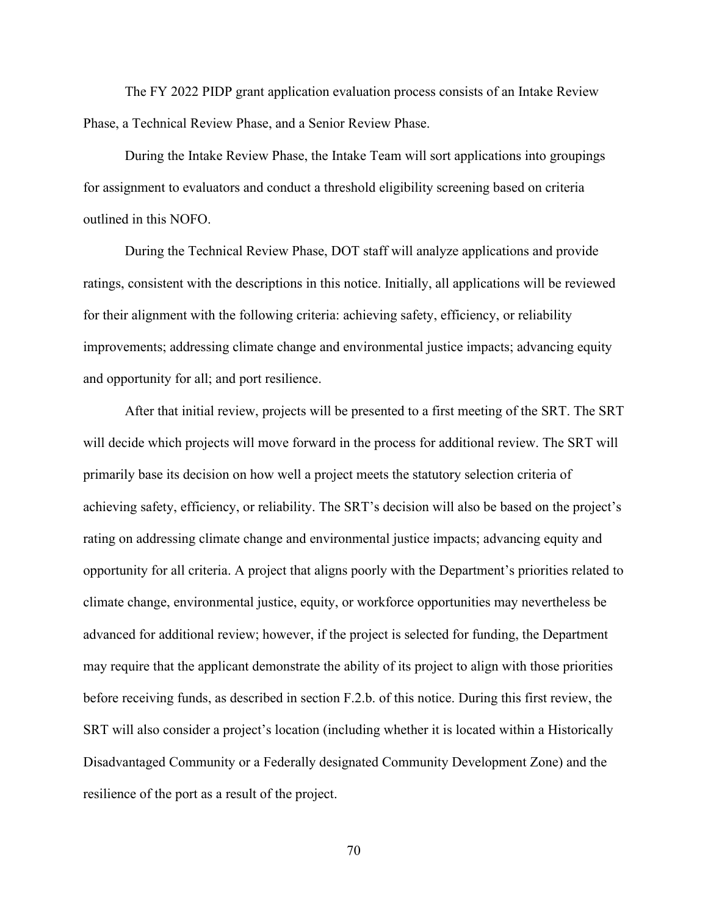The FY 2022 PIDP grant application evaluation process consists of an Intake Review Phase, a Technical Review Phase, and a Senior Review Phase.

During the Intake Review Phase, the Intake Team will sort applications into groupings for assignment to evaluators and conduct a threshold eligibility screening based on criteria outlined in this NOFO.

During the Technical Review Phase, DOT staff will analyze applications and provide ratings, consistent with the descriptions in this notice. Initially, all applications will be reviewed for their alignment with the following criteria: achieving safety, efficiency, or reliability improvements; addressing climate change and environmental justice impacts; advancing equity and opportunity for all; and port resilience.

After that initial review, projects will be presented to a first meeting of the SRT. The SRT will decide which projects will move forward in the process for additional review. The SRT will primarily base its decision on how well a project meets the statutory selection criteria of achieving safety, efficiency, or reliability. The SRT's decision will also be based on the project's rating on addressing climate change and environmental justice impacts; advancing equity and opportunity for all criteria. A project that aligns poorly with the Department's priorities related to climate change, environmental justice, equity, or workforce opportunities may nevertheless be advanced for additional review; however, if the project is selected for funding, the Department may require that the applicant demonstrate the ability of its project to align with those priorities before receiving funds, as described in section F.2.b. of this notice. During this first review, the SRT will also consider a project's location (including whether it is located within a Historically Disadvantaged Community or a Federally designated Community Development Zone) and the resilience of the port as a result of the project.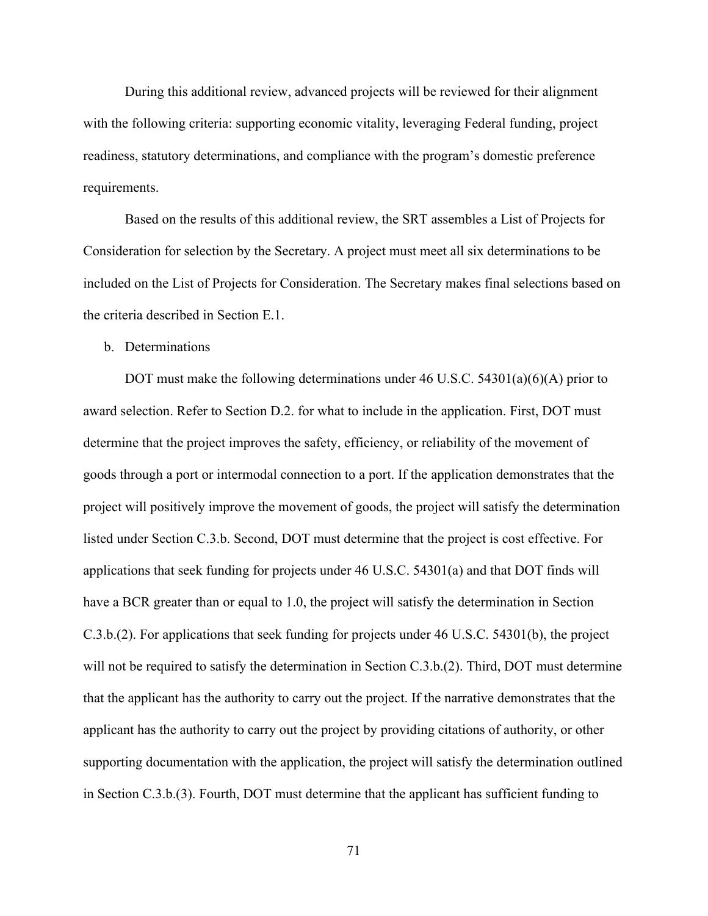During this additional review, advanced projects will be reviewed for their alignment with the following criteria: supporting economic vitality, leveraging Federal funding, project readiness, statutory determinations, and compliance with the program's domestic preference requirements.

Based on the results of this additional review, the SRT assembles a List of Projects for Consideration for selection by the Secretary. A project must meet all six determinations to be included on the List of Projects for Consideration. The Secretary makes final selections based on the criteria described in Section E.1.

## b. Determinations

 DOT must make the following determinations under 46 U.S.C. 54301(a)(6)(A) prior to award selection. Refer to Section D.2. for what to include in the application. First, DOT must determine that the project improves the safety, efficiency, or reliability of the movement of goods through a port or intermodal connection to a port. If the application demonstrates that the project will positively improve the movement of goods, the project will satisfy the determination listed under Section C.3.b. Second, DOT must determine that the project is cost effective. For applications that seek funding for projects under 46 U.S.C. 54301(a) and that DOT finds will have a BCR greater than or equal to 1.0, the project will satisfy the determination in Section C.3.b.(2). For applications that seek funding for projects under 46 U.S.C. 54301(b), the project will not be required to satisfy the determination in Section C.3.b.(2). Third, DOT must determine that the applicant has the authority to carry out the project. If the narrative demonstrates that the applicant has the authority to carry out the project by providing citations of authority, or other supporting documentation with the application, the project will satisfy the determination outlined in Section C.3.b.(3). Fourth, DOT must determine that the applicant has sufficient funding to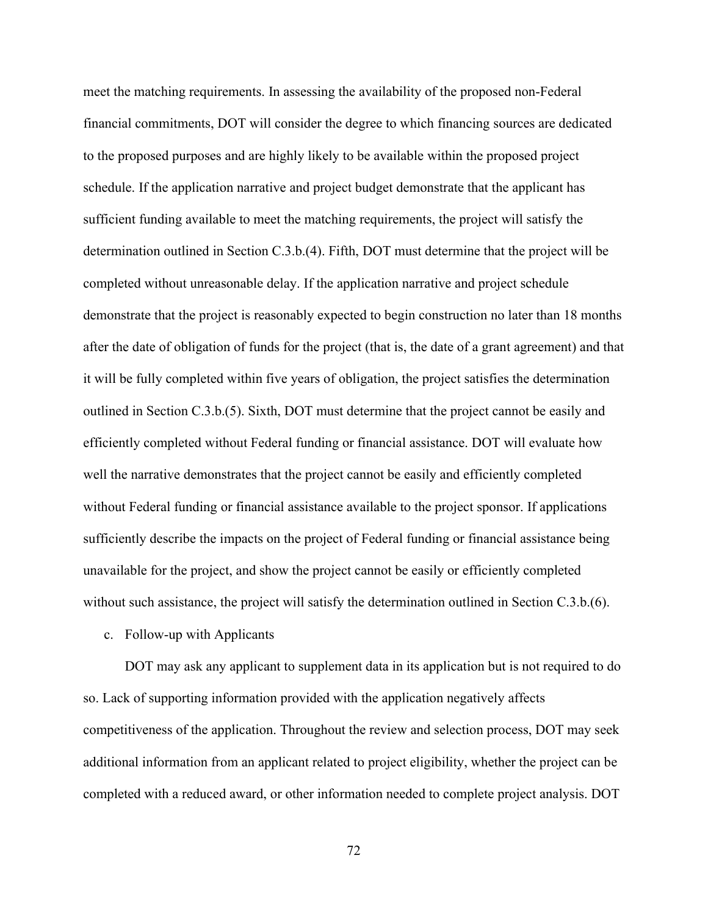meet the matching requirements. In assessing the availability of the proposed non-Federal financial commitments, DOT will consider the degree to which financing sources are dedicated to the proposed purposes and are highly likely to be available within the proposed project schedule. If the application narrative and project budget demonstrate that the applicant has sufficient funding available to meet the matching requirements, the project will satisfy the determination outlined in Section C.3.b.(4). Fifth, DOT must determine that the project will be completed without unreasonable delay. If the application narrative and project schedule demonstrate that the project is reasonably expected to begin construction no later than 18 months after the date of obligation of funds for the project (that is, the date of a grant agreement) and that it will be fully completed within five years of obligation, the project satisfies the determination outlined in Section C.3.b.(5). Sixth, DOT must determine that the project cannot be easily and efficiently completed without Federal funding or financial assistance. DOT will evaluate how well the narrative demonstrates that the project cannot be easily and efficiently completed without Federal funding or financial assistance available to the project sponsor. If applications sufficiently describe the impacts on the project of Federal funding or financial assistance being unavailable for the project, and show the project cannot be easily or efficiently completed without such assistance, the project will satisfy the determination outlined in Section C.3.b.(6).

c. Follow-up with Applicants

DOT may ask any applicant to supplement data in its application but is not required to do so. Lack of supporting information provided with the application negatively affects competitiveness of the application. Throughout the review and selection process, DOT may seek additional information from an applicant related to project eligibility, whether the project can be completed with a reduced award, or other information needed to complete project analysis. DOT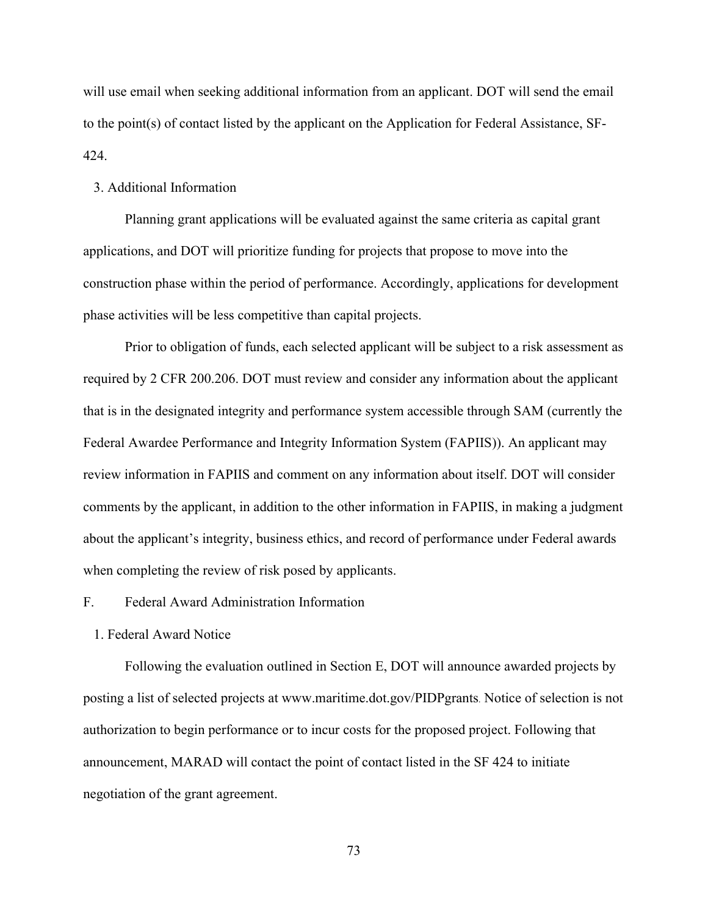will use email when seeking additional information from an applicant. DOT will send the email to the point(s) of contact listed by the applicant on the Application for Federal Assistance, SF-424.

### 3. Additional Information

Planning grant applications will be evaluated against the same criteria as capital grant applications, and DOT will prioritize funding for projects that propose to move into the construction phase within the period of performance. Accordingly, applications for development phase activities will be less competitive than capital projects.

Prior to obligation of funds, each selected applicant will be subject to a risk assessment as required by 2 CFR 200.206. DOT must review and consider any information about the applicant that is in the designated integrity and performance system accessible through SAM (currently the Federal Awardee Performance and Integrity Information System (FAPIIS)). An applicant may review information in FAPIIS and comment on any information about itself. DOT will consider comments by the applicant, in addition to the other information in FAPIIS, in making a judgment about the applicant's integrity, business ethics, and record of performance under Federal awards when completing the review of risk posed by applicants.

# F. Federal Award Administration Information

1. Federal Award Notice

Following the evaluation outlined in Section E, DOT will announce awarded projects by posting a list of selected projects at www.maritime.dot.gov/PIDPgrants. Notice of selection is not authorization to begin performance or to incur costs for the proposed project. Following that announcement, MARAD will contact the point of contact listed in the SF 424 to initiate negotiation of the grant agreement.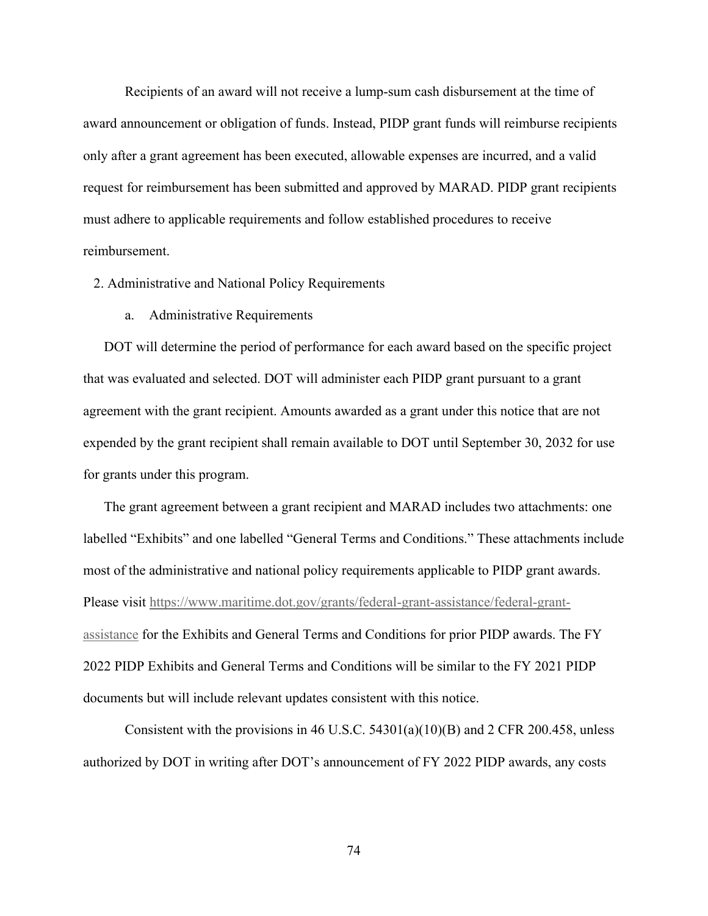Recipients of an award will not receive a lump-sum cash disbursement at the time of award announcement or obligation of funds. Instead, PIDP grant funds will reimburse recipients only after a grant agreement has been executed, allowable expenses are incurred, and a valid request for reimbursement has been submitted and approved by MARAD. PIDP grant recipients must adhere to applicable requirements and follow established procedures to receive reimbursement.

2. Administrative and National Policy Requirements

a. Administrative Requirements

DOT will determine the period of performance for each award based on the specific project that was evaluated and selected. DOT will administer each PIDP grant pursuant to a grant agreement with the grant recipient. Amounts awarded as a grant under this notice that are not expended by the grant recipient shall remain available to DOT until September 30, 2032 for use for grants under this program.

The grant agreement between a grant recipient and MARAD includes two attachments: one labelled "Exhibits" and one labelled "General Terms and Conditions." These attachments include most of the administrative and national policy requirements applicable to PIDP grant awards. Please visit https://www.maritime.dot.gov/grants/federal-grant-assistance/federal-grantassistance for the Exhibits and General Terms and Conditions for prior PIDP awards. The FY 2022 PIDP Exhibits and General Terms and Conditions will be similar to the FY 2021 PIDP documents but will include relevant updates consistent with this notice.

Consistent with the provisions in 46 U.S.C.  $54301(a)(10)(B)$  and 2 CFR 200.458, unless authorized by DOT in writing after DOT's announcement of FY 2022 PIDP awards, any costs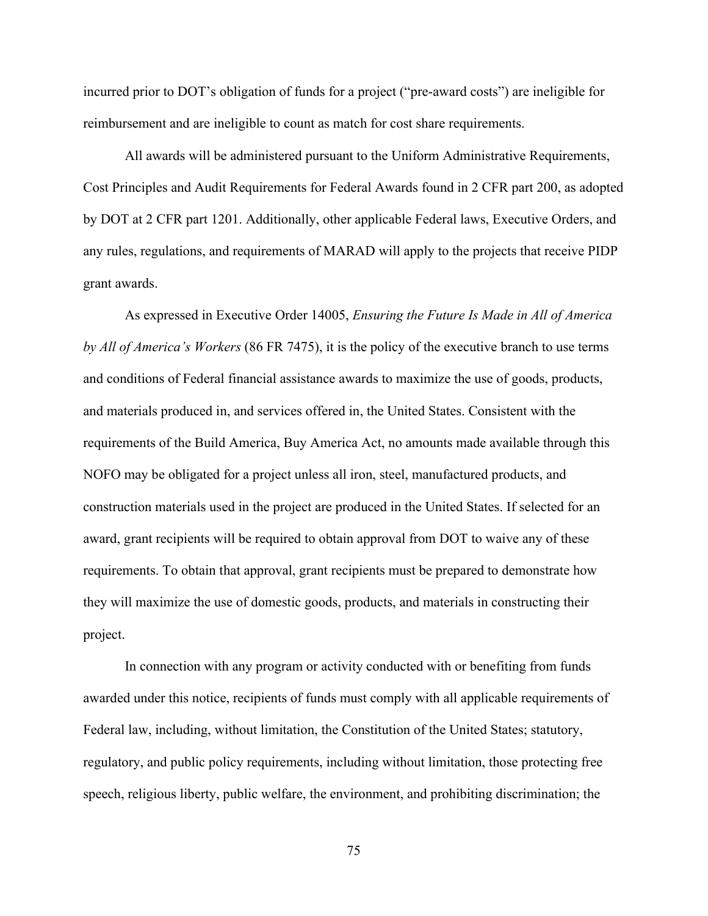incurred prior to DOT's obligation of funds for a project ("pre-award costs") are ineligible for reimbursement and are ineligible to count as match for cost share requirements.

All awards will be administered pursuant to the Uniform Administrative Requirements, Cost Principles and Audit Requirements for Federal Awards found in 2 CFR part 200, as adopted by DOT at 2 CFR part 1201. Additionally, other applicable Federal laws, Executive Orders, and any rules, regulations, and requirements of MARAD will apply to the projects that receive PIDP grant awards.

As expressed in Executive Order 14005, *Ensuring the Future Is Made in All of America by All of America's Workers* (86 FR 7475), it is the policy of the executive branch to use terms and conditions of Federal financial assistance awards to maximize the use of goods, products, and materials produced in, and services offered in, the United States. Consistent with the requirements of the Build America, Buy America Act, no amounts made available through this NOFO may be obligated for a project unless all iron, steel, manufactured products, and construction materials used in the project are produced in the United States. If selected for an award, grant recipients will be required to obtain approval from DOT to waive any of these requirements. To obtain that approval, grant recipients must be prepared to demonstrate how they will maximize the use of domestic goods, products, and materials in constructing their project.

In connection with any program or activity conducted with or benefiting from funds awarded under this notice, recipients of funds must comply with all applicable requirements of Federal law, including, without limitation, the Constitution of the United States; statutory, regulatory, and public policy requirements, including without limitation, those protecting free speech, religious liberty, public welfare, the environment, and prohibiting discrimination; the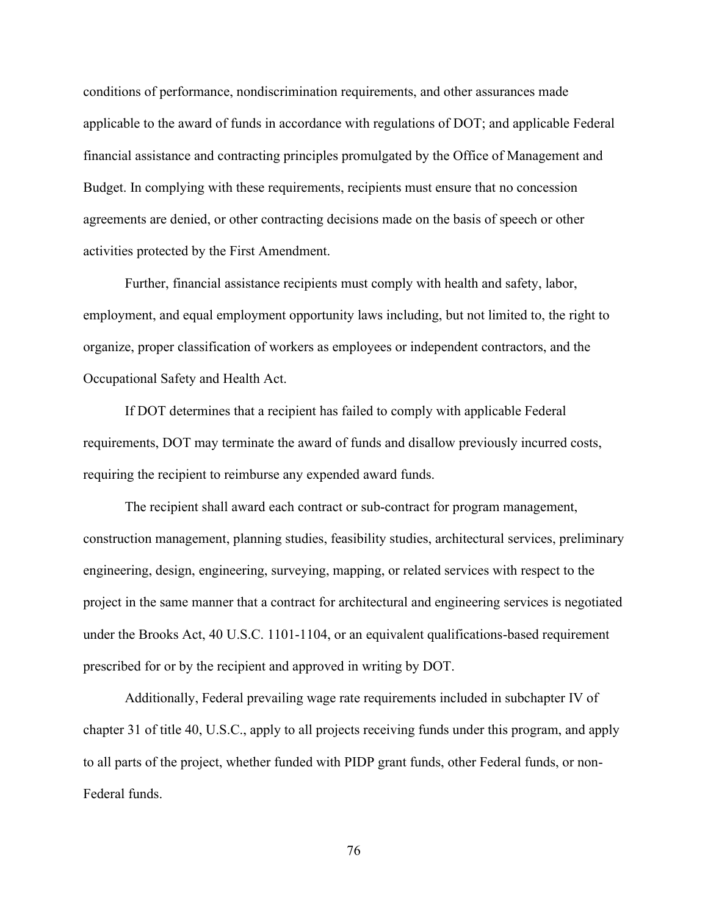conditions of performance, nondiscrimination requirements, and other assurances made applicable to the award of funds in accordance with regulations of DOT; and applicable Federal financial assistance and contracting principles promulgated by the Office of Management and Budget. In complying with these requirements, recipients must ensure that no concession agreements are denied, or other contracting decisions made on the basis of speech or other activities protected by the First Amendment.

Further, financial assistance recipients must comply with health and safety, labor, employment, and equal employment opportunity laws including, but not limited to, the right to organize, proper classification of workers as employees or independent contractors, and the Occupational Safety and Health Act.

If DOT determines that a recipient has failed to comply with applicable Federal requirements, DOT may terminate the award of funds and disallow previously incurred costs, requiring the recipient to reimburse any expended award funds.

The recipient shall award each contract or sub-contract for program management, construction management, planning studies, feasibility studies, architectural services, preliminary engineering, design, engineering, surveying, mapping, or related services with respect to the project in the same manner that a contract for architectural and engineering services is negotiated under the Brooks Act, 40 U.S.C. 1101-1104, or an equivalent qualifications-based requirement prescribed for or by the recipient and approved in writing by DOT.

Additionally, Federal prevailing wage rate requirements included in subchapter IV of chapter 31 of title 40, U.S.C., apply to all projects receiving funds under this program, and apply to all parts of the project, whether funded with PIDP grant funds, other Federal funds, or non-Federal funds.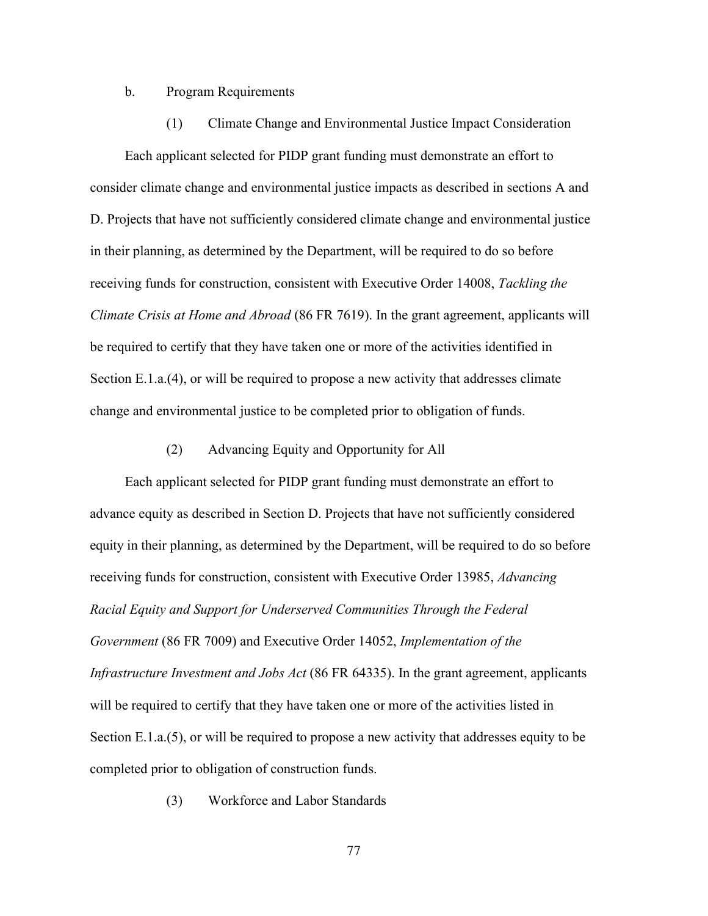#### b. Program Requirements

(1) Climate Change and Environmental Justice Impact Consideration Each applicant selected for PIDP grant funding must demonstrate an effort to consider climate change and environmental justice impacts as described in sections A and D. Projects that have not sufficiently considered climate change and environmental justice in their planning, as determined by the Department, will be required to do so before receiving funds for construction, consistent with Executive Order 14008, *Tackling the Climate Crisis at Home and Abroad* (86 FR 7619). In the grant agreement, applicants will be required to certify that they have taken one or more of the activities identified in Section E.1.a.(4), or will be required to propose a new activity that addresses climate change and environmental justice to be completed prior to obligation of funds.

### (2) Advancing Equity and Opportunity for All

 Each applicant selected for PIDP grant funding must demonstrate an effort to advance equity as described in Section D. Projects that have not sufficiently considered equity in their planning, as determined by the Department, will be required to do so before receiving funds for construction, consistent with Executive Order 13985, *Advancing Racial Equity and Support for Underserved Communities Through the Federal Government* (86 FR 7009) and Executive Order 14052, *Implementation of the Infrastructure Investment and Jobs Act* (86 FR 64335). In the grant agreement, applicants will be required to certify that they have taken one or more of the activities listed in Section E.1.a.(5), or will be required to propose a new activity that addresses equity to be completed prior to obligation of construction funds.

(3) Workforce and Labor Standards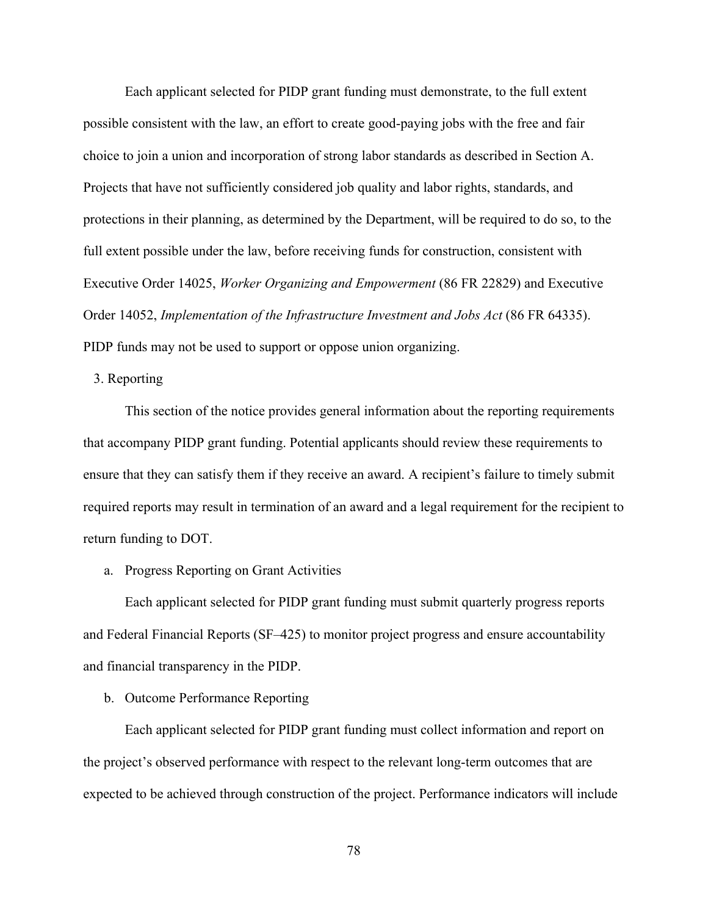Each applicant selected for PIDP grant funding must demonstrate, to the full extent possible consistent with the law, an effort to create good-paying jobs with the free and fair choice to join a union and incorporation of strong labor standards as described in Section A. Projects that have not sufficiently considered job quality and labor rights, standards, and protections in their planning, as determined by the Department, will be required to do so, to the full extent possible under the law, before receiving funds for construction, consistent with Executive Order 14025, *Worker Organizing and Empowerment* (86 FR 22829) and Executive Order 14052, *Implementation of the Infrastructure Investment and Jobs Act* (86 FR 64335). PIDP funds may not be used to support or oppose union organizing.

## 3. Reporting

This section of the notice provides general information about the reporting requirements that accompany PIDP grant funding. Potential applicants should review these requirements to ensure that they can satisfy them if they receive an award. A recipient's failure to timely submit required reports may result in termination of an award and a legal requirement for the recipient to return funding to DOT.

a. Progress Reporting on Grant Activities

Each applicant selected for PIDP grant funding must submit quarterly progress reports and Federal Financial Reports (SF–425) to monitor project progress and ensure accountability and financial transparency in the PIDP.

b. Outcome Performance Reporting

Each applicant selected for PIDP grant funding must collect information and report on the project's observed performance with respect to the relevant long-term outcomes that are expected to be achieved through construction of the project. Performance indicators will include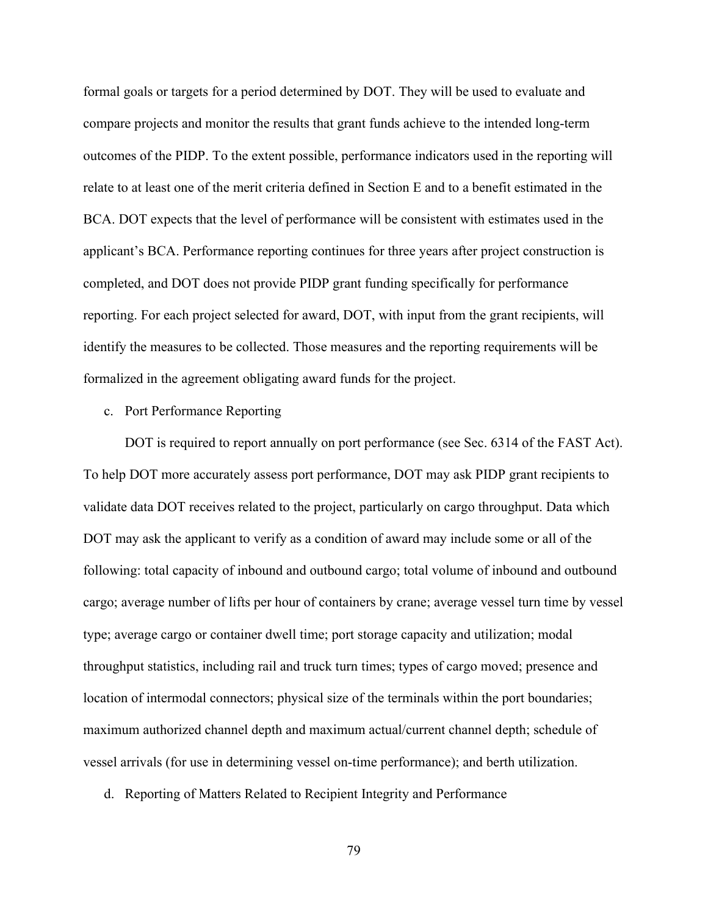formal goals or targets for a period determined by DOT. They will be used to evaluate and compare projects and monitor the results that grant funds achieve to the intended long-term outcomes of the PIDP. To the extent possible, performance indicators used in the reporting will relate to at least one of the merit criteria defined in Section E and to a benefit estimated in the BCA. DOT expects that the level of performance will be consistent with estimates used in the applicant's BCA. Performance reporting continues for three years after project construction is completed, and DOT does not provide PIDP grant funding specifically for performance reporting. For each project selected for award, DOT, with input from the grant recipients, will identify the measures to be collected. Those measures and the reporting requirements will be formalized in the agreement obligating award funds for the project.

### c. Port Performance Reporting

 DOT is required to report annually on port performance (see Sec. 6314 of the FAST Act). To help DOT more accurately assess port performance, DOT may ask PIDP grant recipients to validate data DOT receives related to the project, particularly on cargo throughput. Data which DOT may ask the applicant to verify as a condition of award may include some or all of the following: total capacity of inbound and outbound cargo; total volume of inbound and outbound cargo; average number of lifts per hour of containers by crane; average vessel turn time by vessel type; average cargo or container dwell time; port storage capacity and utilization; modal throughput statistics, including rail and truck turn times; types of cargo moved; presence and location of intermodal connectors; physical size of the terminals within the port boundaries; maximum authorized channel depth and maximum actual/current channel depth; schedule of vessel arrivals (for use in determining vessel on-time performance); and berth utilization.

d. Reporting of Matters Related to Recipient Integrity and Performance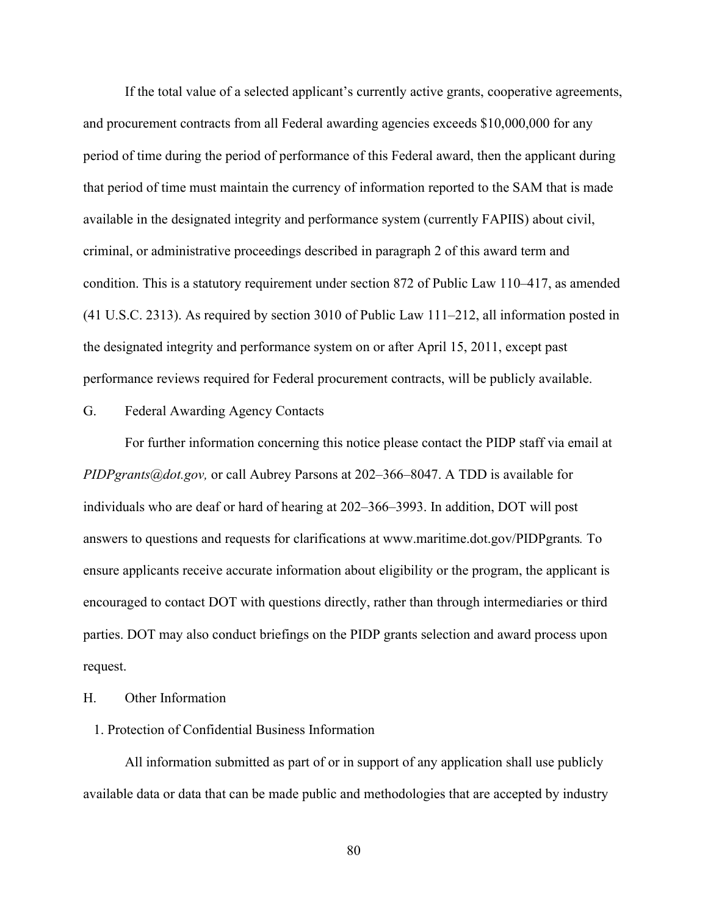If the total value of a selected applicant's currently active grants, cooperative agreements, and procurement contracts from all Federal awarding agencies exceeds \$10,000,000 for any period of time during the period of performance of this Federal award, then the applicant during that period of time must maintain the currency of information reported to the SAM that is made available in the designated integrity and performance system (currently FAPIIS) about civil, criminal, or administrative proceedings described in paragraph 2 of this award term and condition. This is a statutory requirement under section 872 of Public Law 110–417, as amended (41 U.S.C. 2313). As required by section 3010 of Public Law 111–212, all information posted in the designated integrity and performance system on or after April 15, 2011, except past performance reviews required for Federal procurement contracts, will be publicly available.

G. Federal Awarding Agency Contacts

For further information concerning this notice please contact the PIDP staff via email at *PIDPgrants@dot.gov,* or call Aubrey Parsons at 202–366–8047. A TDD is available for individuals who are deaf or hard of hearing at 202–366–3993. In addition, DOT will post answers to questions and requests for clarifications at www.maritime.dot.gov/PIDPgrants*.* To ensure applicants receive accurate information about eligibility or the program, the applicant is encouraged to contact DOT with questions directly, rather than through intermediaries or third parties. DOT may also conduct briefings on the PIDP grants selection and award process upon request.

H. Other Information

# 1. Protection of Confidential Business Information

All information submitted as part of or in support of any application shall use publicly available data or data that can be made public and methodologies that are accepted by industry